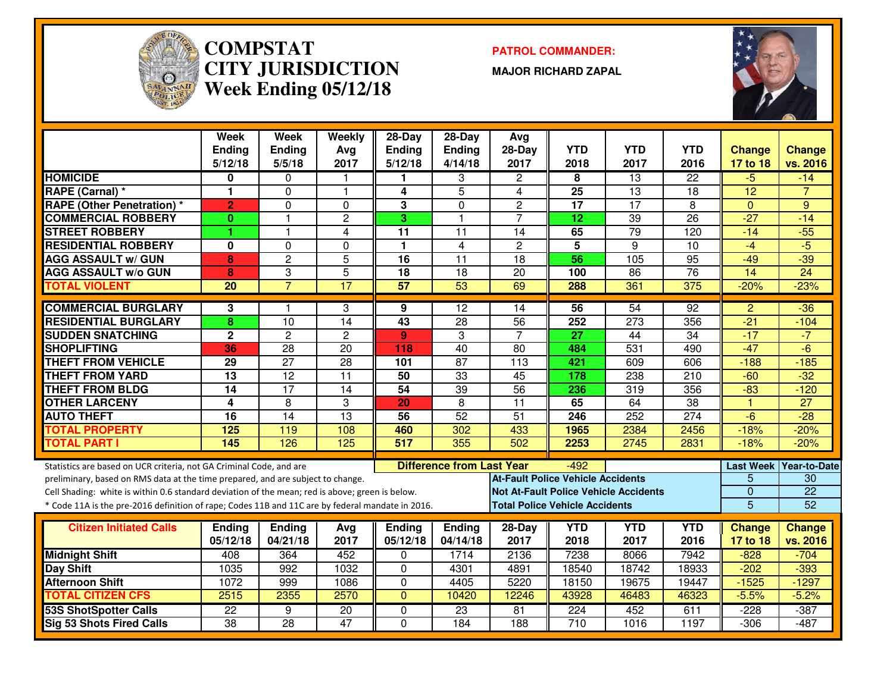

#### **COMPSTAT PATROL COMMANDER: CITY JURISDICTIONWeek Ending 05/12/18**

**MAJOR RICHARD ZAPAL**



|                                                                                                  | Week<br>Ending<br>5/12/18 | Week<br><b>Ending</b><br>5/5/18 | Weekly<br>Avg<br>2017 | 28-Day<br><b>Ending</b><br>5/12/18 | $28-Day$<br>Ending<br>4/14/18    | Avg<br>28-Day<br>2017             | <b>YTD</b><br>2018                    | <b>YTD</b><br>2017                           | <b>YTD</b><br>2016 | <b>Change</b><br>17 to 18 | <b>Change</b><br>vs. 2016 |
|--------------------------------------------------------------------------------------------------|---------------------------|---------------------------------|-----------------------|------------------------------------|----------------------------------|-----------------------------------|---------------------------------------|----------------------------------------------|--------------------|---------------------------|---------------------------|
| <b>HOMICIDE</b>                                                                                  | 0                         | $\Omega$                        |                       |                                    | 3                                | $\overline{2}$                    | 8                                     | $\overline{13}$                              | 22                 | $-5$                      | $-14$                     |
| RAPE (Carnal) *                                                                                  | 1                         | $\mathbf 0$                     | $\overline{1}$        | 4                                  | $\overline{5}$                   | 4                                 | $\overline{25}$                       | $\overline{13}$                              | 18                 | $\overline{12}$           | $\overline{7}$            |
| <b>RAPE (Other Penetration)</b> *                                                                | $\overline{2}$            | 0                               | $\Omega$              | 3                                  | $\mathbf 0$                      | $\overline{c}$                    | 17                                    | $\overline{17}$                              | 8                  | $\mathbf{0}$              | 9                         |
| <b>COMMERCIAL ROBBERY</b>                                                                        | 0                         | $\mathbf{1}$                    | 2                     | 3                                  | $\mathbf{1}$                     | $\overline{7}$                    | 12                                    | 39                                           | 26                 | $-27$                     | $-14$                     |
| <b>STREET ROBBERY</b>                                                                            |                           | $\mathbf{1}$                    | 4                     | 11                                 | $\overline{11}$                  | 14                                | 65                                    | 79                                           | 120                | $-14$                     | $-55$                     |
| <b>RESIDENTIAL ROBBERY</b>                                                                       | $\mathbf{0}$              | $\mathbf 0$                     | $\mathbf 0$           | 1                                  | $\overline{4}$                   | $\overline{2}$                    | $\overline{5}$                        | $\overline{9}$                               | $\overline{10}$    | $-4$                      | $-5$                      |
| <b>AGG ASSAULT w/ GUN</b>                                                                        | 8                         | $\overline{2}$                  | $\overline{5}$        | $\overline{16}$                    | $\overline{11}$                  | $\overline{18}$                   | 56                                    | 105                                          | 95                 | $-49$                     | $-39$                     |
| <b>AGG ASSAULT W/o GUN</b>                                                                       | $\bf{8}$                  | 3                               | $\overline{5}$        | $\overline{18}$                    | $\overline{18}$                  | $\overline{20}$                   | 100                                   | $\overline{86}$                              | 76                 | $\overline{14}$           | $\overline{24}$           |
| <b>TOTAL VIOLENT</b>                                                                             | 20                        | $\overline{7}$                  | $\overline{17}$       | 57                                 | $\overline{53}$                  | 69                                | 288                                   | 361                                          | 375                | $-20%$                    | $-23%$                    |
| <b>COMMERCIAL BURGLARY</b>                                                                       | 3                         | $\mathbf{1}$                    | 3                     | 9                                  | 12                               | 14                                | 56                                    | $\overline{54}$                              | 92                 | 2                         | $-36$                     |
| <b>RESIDENTIAL BURGLARY</b>                                                                      | 8                         | $\overline{10}$                 | 14                    | $\overline{43}$                    | $\overline{28}$                  | $\overline{56}$                   | 252                                   | 273                                          | 356                | $-21$                     | $-104$                    |
| <b>SUDDEN SNATCHING</b>                                                                          | $\overline{2}$            | $\overline{2}$                  | $\overline{2}$        | $\mathbf{9}$                       | 3                                | $\overline{7}$                    | $\overline{27}$                       | $\overline{44}$                              | $\overline{34}$    | $-17$                     | $-7$                      |
| <b>SHOPLIFTING</b>                                                                               | 36                        | $\overline{28}$                 | $\overline{20}$       | 118                                | 40                               | 80                                | 484                                   | 531                                          | 490                | $-47$                     | $-6$                      |
| <b>THEFT FROM VEHICLE</b>                                                                        | 29                        | $\overline{27}$                 | 28                    | 101                                | $\overline{87}$                  | 113                               | 421                                   | 609                                          | 606                | $-188$                    | $-185$                    |
| <b>THEFT FROM YARD</b>                                                                           | $\overline{13}$           | $\overline{12}$                 | $\overline{11}$       | 50                                 | 33                               | 45                                | 178                                   | 238                                          | 210                | $-60$                     | $-32$                     |
| <b>THEFT FROM BLDG</b>                                                                           | $\overline{14}$           | $\overline{17}$                 | $\overline{14}$       | $\overline{54}$                    | 39                               | $\overline{56}$                   | 236                                   | 319                                          | 356                | $-83$                     | $-120$                    |
| <b>OTHER LARCENY</b>                                                                             | 4                         | 8                               | 3                     | 20                                 | 8                                | $\overline{11}$                   | 65                                    | 64                                           | 38                 | $\overline{1}$            | $\overline{27}$           |
| <b>AUTO THEFT</b>                                                                                | $\overline{16}$           | $\overline{14}$                 | 13                    | 56                                 | 52                               | $\overline{51}$                   | 246                                   | 252                                          | 274                | $-6$                      | $-28$                     |
| <b>TOTAL PROPERTY</b>                                                                            | 125                       | 119                             | 108                   | 460                                | 302                              | 433                               | 1965                                  | 2384                                         | 2456               | $-18%$                    | $-20%$                    |
| <b>TOTAL PART I</b>                                                                              | 145                       | 126                             | 125                   | 517                                | 355                              | 502                               | 2253                                  | 2745                                         | 2831               | $-18%$                    | $-20%$                    |
| Statistics are based on UCR criteria, not GA Criminal Code, and are                              |                           |                                 |                       |                                    | <b>Difference from Last Year</b> |                                   | $-492$                                |                                              |                    |                           | Last Week Year-to-Date    |
| preliminary, based on RMS data at the time prepared, and are subject to change.                  |                           |                                 |                       |                                    |                                  | At-Fault Police Vehicle Accidents |                                       |                                              |                    | 5                         | 30                        |
| Cell Shading: white is within 0.6 standard deviation of the mean; red is above; green is below.  |                           |                                 |                       |                                    |                                  |                                   |                                       | <b>Not At-Fault Police Vehicle Accidents</b> |                    | $\overline{0}$            | $\overline{22}$           |
| * Code 11A is the pre-2016 definition of rape; Codes 11B and 11C are by federal mandate in 2016. |                           |                                 |                       |                                    |                                  |                                   | <b>Total Police Vehicle Accidents</b> |                                              |                    | $\overline{5}$            | 52                        |
|                                                                                                  |                           |                                 |                       |                                    |                                  |                                   |                                       | <b>YTD</b>                                   | <b>YTD</b>         |                           |                           |
| <b>Citizen Initiated Calls</b>                                                                   | <b>Ending</b><br>05/12/18 | <b>Ending</b><br>04/21/18       | Avg<br>2017           | Ending<br>05/12/18                 | <b>Ending</b><br>04/14/18        | 28-Day<br>2017                    | <b>YTD</b><br>2018                    | 2017                                         | 2016               | <b>Change</b><br>17 to 18 | Change<br>vs. 2016        |
| <b>Midnight Shift</b>                                                                            | 408                       | 364                             | 452                   | 0                                  | 1714                             | 2136                              | 7238                                  | 8066                                         | 7942               | $-828$                    | $-704$                    |
| Day Shift                                                                                        | 1035                      | 992                             | 1032                  | 0                                  | 4301                             | 4891                              | 18540                                 | 18742                                        | 18933              | $-202$                    | $-393$                    |
| <b>Afternoon Shift</b>                                                                           | 1072                      | 999                             | 1086                  | 0                                  | 4405                             | 5220                              | 18150                                 | 19675                                        | 19447              | $-1525$                   | $-1297$                   |
| <b>TOTAL CITIZEN CFS</b>                                                                         | 2515                      | 2355                            | 2570                  | $\mathbf{0}$                       | 10420                            | 12246                             | 43928                                 | 46483                                        | 46323              | $-5.5%$                   | $-5.2%$                   |
| <b>53S ShotSpotter Calls</b>                                                                     | $\overline{22}$           | $\overline{9}$                  | $\overline{20}$       | 0                                  | 23                               | 81                                | 224                                   | 452                                          | 611                | $-228$                    | $-387$                    |
| <b>Sig 53 Shots Fired Calls</b>                                                                  | $\overline{38}$           | $\overline{28}$                 | 47                    | $\Omega$                           | 184                              | 188                               | $\overline{710}$                      | 1016                                         | 1197               | $-306$                    | $-487$                    |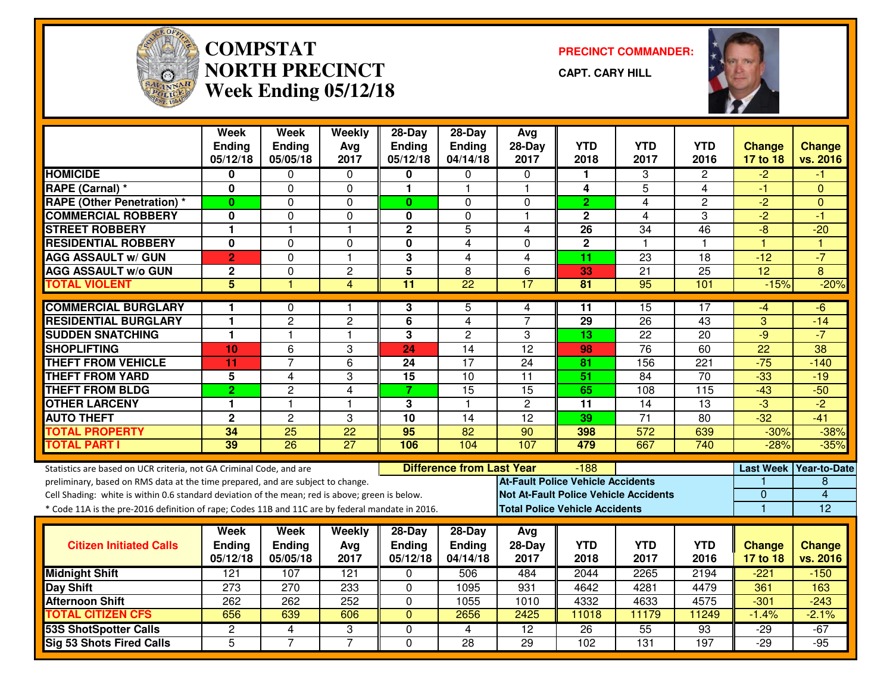

# **COMPSTAT PRECINCT COMMANDER: NORTH PRECINCTWeek Ending 05/12/18**

**CAPT. CARY HILL**



|                                                                                                                                                                                                                                                                                                                                                               | <b>Week</b><br><b>Ending</b><br>05/12/18 | <b>Week</b><br><b>Ending</b><br>05/05/18 | Weekly<br>Avg<br>2017 | $28-Day$<br><b>Ending</b><br>05/12/18 | $28-Day$<br><b>Ending</b><br>04/14/18 | Avg<br>$28-Dav$<br>2017                                                                  | <b>YTD</b><br>2018                              | <b>YTD</b><br>2017 | <b>YTD</b><br>2016 | <b>Change</b><br>17 to 18              | <b>Change</b><br>vs. 2016           |
|---------------------------------------------------------------------------------------------------------------------------------------------------------------------------------------------------------------------------------------------------------------------------------------------------------------------------------------------------------------|------------------------------------------|------------------------------------------|-----------------------|---------------------------------------|---------------------------------------|------------------------------------------------------------------------------------------|-------------------------------------------------|--------------------|--------------------|----------------------------------------|-------------------------------------|
| <b>HOMICIDE</b>                                                                                                                                                                                                                                                                                                                                               | 0                                        | $\Omega$                                 | 0                     | 0                                     | $\mathbf{0}$                          | $\Omega$                                                                                 | 1.                                              | 3                  | $\mathbf{2}$       | $-2$                                   | -1                                  |
| <b>RAPE (Carnal) *</b>                                                                                                                                                                                                                                                                                                                                        | $\bf{0}$                                 | $\Omega$                                 | $\Omega$              | 1                                     | 1                                     | $\mathbf{1}$                                                                             | 4                                               | 5                  | 4                  | $-1$                                   | $\Omega$                            |
| <b>RAPE (Other Penetration) *</b>                                                                                                                                                                                                                                                                                                                             | $\bf{0}$                                 | $\mathbf{0}$                             | 0                     | $\mathbf{0}$                          | $\Omega$                              | $\mathbf{0}$                                                                             | $\overline{2}$                                  | 4                  | $\overline{c}$     | $-2$                                   | $\Omega$                            |
| <b>COMMERCIAL ROBBERY</b>                                                                                                                                                                                                                                                                                                                                     | 0                                        | $\mathbf{0}$                             | $\Omega$              | 0                                     | 0                                     | -1                                                                                       | $\mathbf{2}$                                    | 4                  | 3                  | $-2$                                   | -1                                  |
| <b>STREET ROBBERY</b>                                                                                                                                                                                                                                                                                                                                         | $\mathbf{1}$                             | $\mathbf{1}$                             | $\mathbf{1}$          | $\mathbf 2$                           | 5                                     | 4                                                                                        | 26                                              | 34                 | 46                 | -8                                     | $-20$                               |
| <b>RESIDENTIAL ROBBERY</b>                                                                                                                                                                                                                                                                                                                                    | $\mathbf 0$                              | $\mathbf 0$                              | 0                     | $\mathbf{0}$                          | $\overline{4}$                        | $\Omega$                                                                                 | $\overline{2}$                                  | $\overline{1}$     | 1.                 | $\overline{1}$                         | $\overline{1}$                      |
| <b>AGG ASSAULT w/ GUN</b>                                                                                                                                                                                                                                                                                                                                     | $\overline{2}$                           | $\mathbf 0$                              | $\mathbf{1}$          | 3                                     | 4                                     | $\overline{4}$                                                                           | $\overline{11}$                                 | $\overline{23}$    | $\overline{18}$    | $-12$                                  | $-7$                                |
| <b>AGG ASSAULT w/o GUN</b>                                                                                                                                                                                                                                                                                                                                    | $\mathbf 2$                              | $\mathbf{0}$                             | $\overline{c}$        | 5                                     | 8                                     | 6                                                                                        | 33                                              | 21                 | 25                 | 12                                     | 8                                   |
| <b>TOTAL VIOLENT</b>                                                                                                                                                                                                                                                                                                                                          | $\overline{5}$                           |                                          | $\overline{4}$        | $\overline{11}$                       | $\overline{22}$                       | 17                                                                                       | $\overline{81}$                                 | $\overline{95}$    | 101                | $-15%$                                 | $-20%$                              |
| <b>COMMERCIAL BURGLARY</b>                                                                                                                                                                                                                                                                                                                                    | 1                                        | $\Omega$                                 | 1                     | 3                                     | 5                                     | 4                                                                                        | 11                                              | $\overline{15}$    | 17                 | -4                                     | -6                                  |
| <b>RESIDENTIAL BURGLARY</b>                                                                                                                                                                                                                                                                                                                                   | $\mathbf{1}$                             | $\overline{2}$                           | $\overline{2}$        | 6                                     | 4                                     | $\overline{7}$                                                                           | 29                                              | 26                 | 43                 | 3                                      | $-14$                               |
| <b>SUDDEN SNATCHING</b>                                                                                                                                                                                                                                                                                                                                       | $\mathbf{1}$                             | $\mathbf{1}$                             | $\mathbf{1}$          | 3                                     | $\overline{c}$                        | 3                                                                                        | 13                                              | 22                 | 20                 | $-9$                                   | $-7$                                |
| <b>SHOPLIFTING</b>                                                                                                                                                                                                                                                                                                                                            | 10                                       | $\overline{6}$                           | 3                     | 24                                    | 14                                    | $\overline{12}$                                                                          | 98                                              | 76                 | 60                 | $\overline{22}$                        | 38                                  |
| <b>THEFT FROM VEHICLE</b>                                                                                                                                                                                                                                                                                                                                     | 11                                       | $\overline{7}$                           | 6                     | 24                                    | $\overline{17}$                       | 24                                                                                       | 81                                              | 156                | 221                | $-75$                                  | $-140$                              |
| <b>THEFT FROM YARD</b>                                                                                                                                                                                                                                                                                                                                        | 5                                        | 4                                        | 3                     | $\overline{15}$                       | $\overline{10}$                       | $\overline{11}$                                                                          | $\overline{51}$                                 | $\overline{84}$    | $\overline{70}$    | $-33$                                  | $-19$                               |
| <b>THEFT FROM BLDG</b>                                                                                                                                                                                                                                                                                                                                        | $\overline{2}$                           | $\overline{c}$                           | 4                     | $\overline{7}$                        | 15                                    | $\overline{15}$                                                                          | 65                                              | 108                | 115                | $-43$                                  | $-50$                               |
| <b>OTHER LARCENY</b>                                                                                                                                                                                                                                                                                                                                          | $\mathbf{1}$                             | $\mathbf{1}$                             | $\mathbf{1}$          | 3                                     | $\mathbf{1}$                          | $\overline{c}$                                                                           | 11                                              | 14                 | 13                 | $\overline{3}$                         | $\overline{-2}$                     |
| <b>AUTO THEFT</b>                                                                                                                                                                                                                                                                                                                                             | $\overline{2}$                           | $\overline{c}$                           | 3                     | $\overline{10}$                       | 14                                    | $\overline{12}$                                                                          | 39                                              | $\overline{71}$    | 80                 | $-32$                                  | $-41$                               |
| <b>TOTAL PROPERTY</b>                                                                                                                                                                                                                                                                                                                                         | $\overline{34}$                          | $\overline{25}$                          | $\overline{22}$       | 95                                    | $\overline{82}$                       | $\overline{90}$                                                                          | 398                                             | $\overline{572}$   | 639                | $-30%$                                 | $-38%$                              |
| <b>TOTAL PART I</b>                                                                                                                                                                                                                                                                                                                                           | 39                                       | $\overline{26}$                          | 27                    | 106                                   | 104                                   | 107                                                                                      | 479                                             | 667                | 740                | $-28%$                                 | $-35%$                              |
| Statistics are based on UCR criteria, not GA Criminal Code, and are<br>preliminary, based on RMS data at the time prepared, and are subject to change.<br>Cell Shading: white is within 0.6 standard deviation of the mean; red is above; green is below.<br>* Code 11A is the pre-2016 definition of rape; Codes 11B and 11C are by federal mandate in 2016. |                                          |                                          |                       |                                       | <b>Difference from Last Year</b>      | <b>At-Fault Police Vehicle Accidents</b><br><b>Not At-Fault Police Vehicle Accidents</b> | $-188$<br><b>Total Police Vehicle Accidents</b> |                    |                    | <b>Last Week</b><br>$\mathbf{0}$<br>-1 | <b>Year-to-Date</b><br>8<br>4<br>12 |
|                                                                                                                                                                                                                                                                                                                                                               | Week                                     | <b>Week</b>                              | Weekly                | 28-Day                                | 28-Day                                | Avg                                                                                      |                                                 |                    |                    |                                        |                                     |
| <b>Citizen Initiated Calls</b>                                                                                                                                                                                                                                                                                                                                | <b>Ending</b><br>05/12/18                | <b>Ending</b><br>05/05/18                | Avg<br>2017           | <b>Ending</b><br>05/12/18             | <b>Ending</b><br>04/14/18             | $28-Day$<br>2017                                                                         | <b>YTD</b><br>2018                              | <b>YTD</b><br>2017 | <b>YTD</b><br>2016 | <b>Change</b><br>17 to 18              | <b>Change</b><br>vs. 2016           |
| <b>Midnight Shift</b>                                                                                                                                                                                                                                                                                                                                         | 121                                      | 107                                      | 121                   | 0                                     | 506                                   | 484                                                                                      | $\overline{2044}$                               | 2265               | 2194               | $-221$                                 | $-150$                              |
| <b>Day Shift</b>                                                                                                                                                                                                                                                                                                                                              | 273                                      | 270                                      | 233                   | $\Omega$                              | 1095                                  | 931                                                                                      | 4642                                            | 4281               | 4479               | 361                                    | 163                                 |
| <b>Afternoon Shift</b>                                                                                                                                                                                                                                                                                                                                        | 262                                      | 262                                      | 252                   | $\Omega$                              | 1055                                  | 1010                                                                                     | 4332                                            | 4633               | 4575               | $-301$                                 | $-243$                              |
| <b>TOTAL CITIZEN CFS</b>                                                                                                                                                                                                                                                                                                                                      | 656                                      | 639                                      | 606                   | $\overline{0}$                        | 2656                                  | 2425                                                                                     | 11018                                           | 11179              | 11249              | $-1.4%$                                | $-2.1%$                             |
| 53S ShotSpotter Calls                                                                                                                                                                                                                                                                                                                                         | $\overline{c}$                           | 4                                        | 3                     | 0                                     | 4                                     | 12                                                                                       | 26                                              | $\overline{55}$    | 93                 | -29                                    | $-67$                               |
| Sig 53 Shots Fired Calls                                                                                                                                                                                                                                                                                                                                      | 5                                        | $\overline{7}$                           | $\overline{7}$        | $\Omega$                              | 28                                    | 29                                                                                       | 102                                             | $\overline{131}$   | 197                | $-29$                                  | $-95$                               |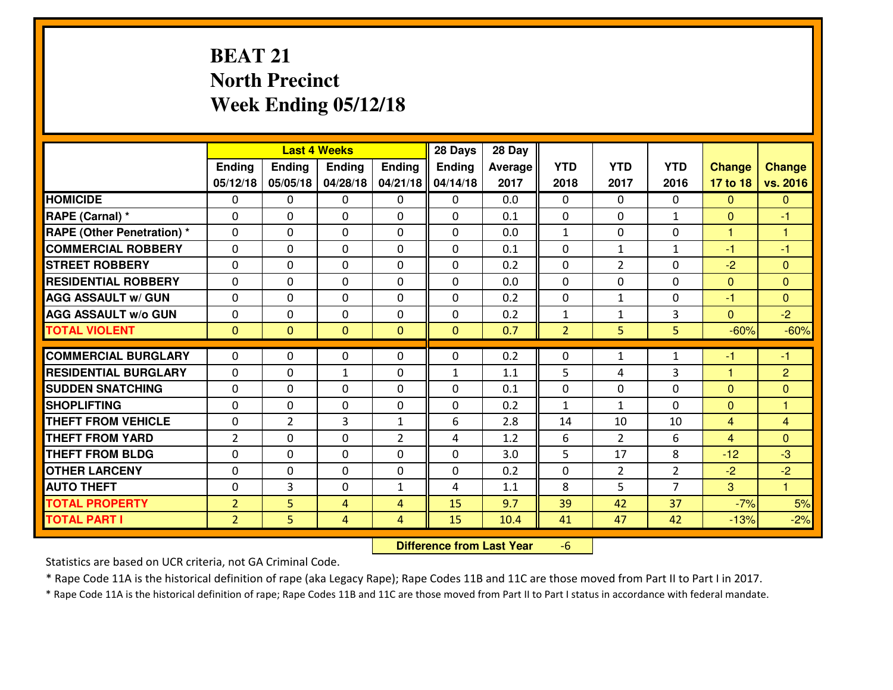# **BEAT 21 North PrecinctWeek Ending 05/12/18**

|                                  |                |                | <b>Last 4 Weeks</b> |                | 28 Days       | 28 Day  |                |                |                |                |                |
|----------------------------------|----------------|----------------|---------------------|----------------|---------------|---------|----------------|----------------|----------------|----------------|----------------|
|                                  | Ending         | <b>Ending</b>  | <b>Ending</b>       | Ending         | <b>Ending</b> | Average | <b>YTD</b>     | <b>YTD</b>     | <b>YTD</b>     | <b>Change</b>  | <b>Change</b>  |
|                                  | 05/12/18       | 05/05/18       | 04/28/18            | 04/21/18       | 04/14/18      | 2017    | 2018           | 2017           | 2016           | 17 to 18       | vs. 2016       |
| <b>HOMICIDE</b>                  | $\Omega$       | 0              | 0                   | $\Omega$       | $\Omega$      | 0.0     | 0              | $\Omega$       | 0              | $\Omega$       | $\Omega$       |
| RAPE (Carnal) *                  | $\Omega$       | 0              | $\Omega$            | $\Omega$       | $\Omega$      | 0.1     | $\Omega$       | $\Omega$       | $\mathbf{1}$   | $\Omega$       | -1             |
| <b>RAPE (Other Penetration)*</b> | 0              | 0              | $\mathbf 0$         | 0              | 0             | 0.0     | $\mathbf{1}$   | 0              | 0              | $\mathbf{1}$   | $\overline{1}$ |
| <b>COMMERCIAL ROBBERY</b>        | 0              | 0              | $\mathbf 0$         | 0              | 0             | 0.1     | 0              | $\mathbf{1}$   | $\mathbf{1}$   | $-1$           | $-1$           |
| <b>STREET ROBBERY</b>            | 0              | 0              | $\mathbf 0$         | 0              | 0             | 0.2     | 0              | $\overline{2}$ | 0              | $-2$           | $\overline{0}$ |
| <b>RESIDENTIAL ROBBERY</b>       | 0              | 0              | $\mathbf 0$         | $\mathbf{0}$   | 0             | 0.0     | $\mathbf 0$    | 0              | 0              | $\mathbf{0}$   | $\mathbf{0}$   |
| <b>AGG ASSAULT w/ GUN</b>        | 0              | 0              | $\mathbf 0$         | 0              | 0             | 0.2     | 0              | $\mathbf{1}$   | 0              | $-1$           | $\overline{0}$ |
| <b>AGG ASSAULT W/o GUN</b>       | 0              | 0              | 0                   | 0              | $\mathbf 0$   | 0.2     | $\mathbf{1}$   | $\mathbf{1}$   | 3              | $\mathbf{0}$   | $-2$           |
| <b>TOTAL VIOLENT</b>             | $\mathbf{0}$   | $\overline{0}$ | $\mathbf{O}$        | $\mathbf{0}$   | $\mathbf{0}$  | 0.7     | $\overline{2}$ | 5              | 5              | $-60%$         | $-60%$         |
| <b>COMMERCIAL BURGLARY</b>       | $\Omega$       | 0              | $\mathbf{0}$        | 0              | $\Omega$      | 0.2     | 0              | $\mathbf{1}$   | $\mathbf{1}$   | $-1$           | $-1$           |
| <b>RESIDENTIAL BURGLARY</b>      | 0              | 0              | 1                   | 0              | $\mathbf{1}$  | 1.1     | 5              | 4              | 3              | $\mathbf{1}$   | $\overline{2}$ |
| <b>SUDDEN SNATCHING</b>          | $\mathbf{0}$   | 0              | $\mathbf 0$         | 0              | 0             | 0.1     | 0              | $\mathbf{0}$   | 0              | $\Omega$       | $\mathbf{0}$   |
| <b>SHOPLIFTING</b>               | 0              | 0              | $\mathbf 0$         | 0              | 0             | 0.2     | $\mathbf{1}$   | $\mathbf{1}$   | $\Omega$       | $\mathbf{0}$   | $\mathbf{1}$   |
| <b>THEFT FROM VEHICLE</b>        | 0              | $\overline{2}$ | 3                   | $\mathbf{1}$   | 6             | 2.8     | 14             | 10             | 10             | $\overline{4}$ | 4              |
| <b>THEFT FROM YARD</b>           | $\overline{2}$ | 0              | $\mathbf 0$         | $\overline{2}$ | 4             | 1.2     | 6              | $\overline{2}$ | 6              | $\overline{4}$ | $\overline{0}$ |
| <b>THEFT FROM BLDG</b>           | 0              | 0              | $\mathbf 0$         | 0              | 0             | 3.0     | 5              | 17             | 8              | $-12$          | $-3$           |
| <b>OTHER LARCENY</b>             | 0              | 0              | $\mathbf 0$         | $\mathbf 0$    | 0             | 0.2     | $\mathbf 0$    | $\overline{2}$ | $\overline{2}$ | $-2$           | $-2$           |
| <b>AUTO THEFT</b>                | 0              | 3              | $\mathbf 0$         | $\mathbf{1}$   | 4             | 1.1     | 8              | 5              | $\overline{7}$ | 3              | $\overline{1}$ |
| <b>TOTAL PROPERTY</b>            | $\overline{2}$ | 5              | 4                   | $\overline{4}$ | 15            | 9.7     | 39             | 42             | 37             | $-7%$          | 5%             |
| <b>TOTAL PART I</b>              | $\overline{2}$ | 5              | $\overline{4}$      | 4              | 15            | 10.4    | 41             | 47             | 42             | $-13%$         | $-2%$          |
|                                  |                |                |                     |                |               |         |                |                |                |                |                |

 **Difference from Last Year**-6

Statistics are based on UCR criteria, not GA Criminal Code.

\* Rape Code 11A is the historical definition of rape (aka Legacy Rape); Rape Codes 11B and 11C are those moved from Part II to Part I in 2017.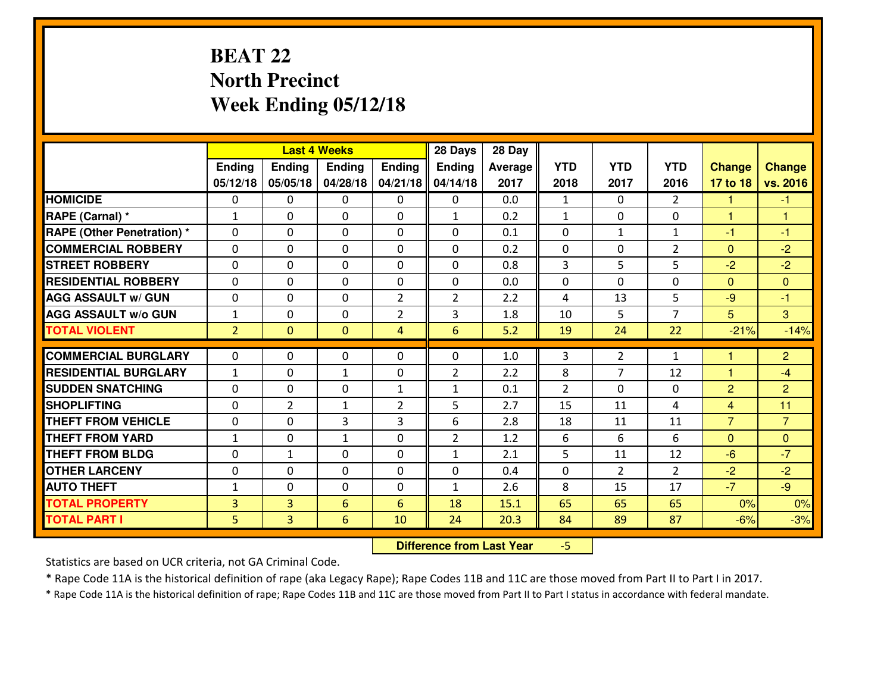# **BEAT 22 North PrecinctWeek Ending 05/12/18**

|                                   |                |                | <b>Last 4 Weeks</b> |                | 28 Days         | 28 Day  |                |                |                |                |                |
|-----------------------------------|----------------|----------------|---------------------|----------------|-----------------|---------|----------------|----------------|----------------|----------------|----------------|
|                                   | Ending         | <b>Ending</b>  | <b>Ending</b>       | Ending         | <b>Ending</b>   | Average | <b>YTD</b>     | <b>YTD</b>     | <b>YTD</b>     | <b>Change</b>  | <b>Change</b>  |
|                                   | 05/12/18       | 05/05/18       | 04/28/18            | 04/21/18       | 04/14/18        | 2017    | 2018           | 2017           | 2016           | 17 to 18       | vs. 2016       |
| <b>HOMICIDE</b>                   | $\Omega$       | 0              | 0                   | $\Omega$       | $\Omega$        | 0.0     | 1              | $\Omega$       | $\mathfrak{D}$ | 1              | $-1$           |
| RAPE (Carnal) *                   | $\mathbf{1}$   | 0              | $\mathbf{0}$        | 0              | $\mathbf{1}$    | 0.2     | $\mathbf{1}$   | $\mathbf{0}$   | 0              | $\mathbf{1}$   | $\overline{1}$ |
| <b>RAPE (Other Penetration) *</b> | $\Omega$       | 0              | $\mathbf{0}$        | $\Omega$       | $\Omega$        | 0.1     | $\Omega$       | $\mathbf{1}$   | $\mathbf{1}$   | $-1$           | $-1$           |
| <b>COMMERCIAL ROBBERY</b>         | 0              | 0              | 0                   | 0              | $\Omega$        | 0.2     | $\mathbf{0}$   | 0              | $\overline{2}$ | $\mathbf{0}$   | $-2$           |
| <b>STREET ROBBERY</b>             | 0              | 0              | $\mathbf 0$         | 0              | 0               | 0.8     | $\overline{3}$ | 5              | 5              | $-2$           | $-2$           |
| <b>RESIDENTIAL ROBBERY</b>        | $\Omega$       | $\Omega$       | $\mathbf 0$         | $\Omega$       | 0               | 0.0     | 0              | $\Omega$       | 0              | $\Omega$       | $\Omega$       |
| <b>AGG ASSAULT w/ GUN</b>         | 0              | 0              | $\mathbf 0$         | $\overline{2}$ | $\overline{2}$  | 2.2     | 4              | 13             | 5              | $-9$           | $-1$           |
| <b>AGG ASSAULT W/o GUN</b>        | $1\,$          | 0              | $\mathbf 0$         | $\overline{2}$ | 3               | 1.8     | 10             | 5              | $\overline{7}$ | 5              | $\overline{3}$ |
| <b>TOTAL VIOLENT</b>              | $\overline{2}$ | $\mathbf{0}$   | $\overline{0}$      | 4              | $6\overline{6}$ | 5.2     | 19             | 24             | 22             | $-21%$         | $-14%$         |
| <b>COMMERCIAL BURGLARY</b>        | $\Omega$       | 0              | $\mathbf{0}$        | $\Omega$       | $\Omega$        | 1.0     | 3              | $\overline{2}$ | $\mathbf{1}$   | 1              | $\overline{2}$ |
| <b>RESIDENTIAL BURGLARY</b>       | $\mathbf{1}$   | 0              | $\mathbf{1}$        | 0              | $\overline{2}$  | 2.2     | 8              | $\overline{7}$ | 12             | $\mathbf{1}$   | $-4$           |
| <b>SUDDEN SNATCHING</b>           | 0              | 0              | $\mathbf 0$         | $\mathbf{1}$   | $\mathbf{1}$    | 0.1     | 2              | $\Omega$       | 0              | $\overline{2}$ | $\overline{2}$ |
| <b>SHOPLIFTING</b>                | 0              | $\overline{2}$ | 1                   | $\overline{2}$ | 5               | 2.7     | 15             | 11             | 4              | $\overline{4}$ | 11             |
| <b>THEFT FROM VEHICLE</b>         | 0              | 0              | 3                   | 3              | 6               | 2.8     | 18             | 11             | 11             | $\overline{7}$ | $\overline{7}$ |
| <b>THEFT FROM YARD</b>            | $1\,$          | 0              | $\mathbf{1}$        | 0              | $\overline{2}$  | 1.2     | 6              | 6              | 6              | $\mathbf{0}$   | $\overline{0}$ |
| <b>THEFT FROM BLDG</b>            | 0              | $\mathbf{1}$   | $\mathbf 0$         | 0              | $\mathbf{1}$    | 2.1     | 5              | 11             | 12             | $-6$           | $-7$           |
| <b>OTHER LARCENY</b>              | 0              | 0              | $\mathbf 0$         | 0              | 0               | 0.4     | 0              | $\overline{2}$ | $\overline{2}$ | $-2$           | $-2$           |
| <b>AUTO THEFT</b>                 | $\mathbf{1}$   | 0              | $\mathbf{0}$        | 0              | $\mathbf{1}$    | 2.6     | 8              | 15             | 17             | $-7$           | $-9$           |
| <b>TOTAL PROPERTY</b>             | 3              | 3              | 6                   | 6              | 18              | 15.1    | 65             | 65             | 65             | 0%             | 0%             |
| <b>TOTAL PART I</b>               | 5              | $\overline{3}$ | 6                   | 10             | 24              | 20.3    | 84             | 89             | 87             | $-6%$          | $-3%$          |
|                                   |                |                |                     |                |                 |         |                |                |                |                |                |

 **Difference from Last Year**-5

Statistics are based on UCR criteria, not GA Criminal Code.

\* Rape Code 11A is the historical definition of rape (aka Legacy Rape); Rape Codes 11B and 11C are those moved from Part II to Part I in 2017.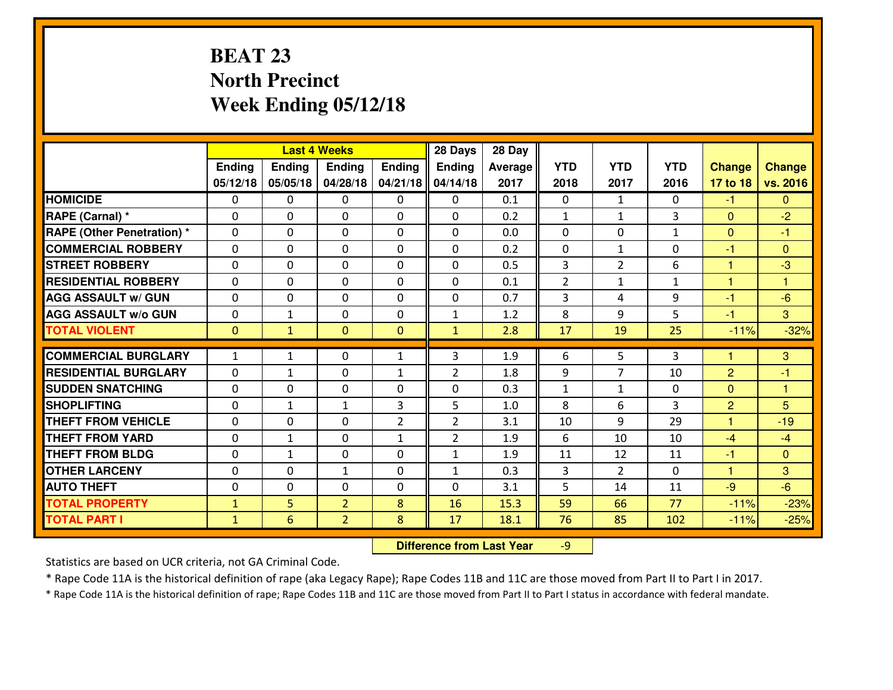# **BEAT 23 North PrecinctWeek Ending 05/12/18**

|                                  |              |               | <b>Last 4 Weeks</b> |                | 28 Days        | 28 Day  |                |                |                |                |                |
|----------------------------------|--------------|---------------|---------------------|----------------|----------------|---------|----------------|----------------|----------------|----------------|----------------|
|                                  | Ending       | <b>Ending</b> | <b>Ending</b>       | Ending         | <b>Ending</b>  | Average | <b>YTD</b>     | <b>YTD</b>     | <b>YTD</b>     | <b>Change</b>  | <b>Change</b>  |
|                                  | 05/12/18     | 05/05/18      | 04/28/18            | 04/21/18       | 04/14/18       | 2017    | 2018           | 2017           | 2016           | 17 to 18       | vs. 2016       |
| <b>HOMICIDE</b>                  | $\Omega$     | 0             | 0                   | $\Omega$       | $\Omega$       | 0.1     | 0              | $\mathbf{1}$   | 0              | $-1$           | $\Omega$       |
| RAPE (Carnal) *                  | $\Omega$     | 0             | $\Omega$            | $\Omega$       | $\Omega$       | 0.2     | $\mathbf{1}$   | $\mathbf{1}$   | 3              | $\Omega$       | $-2$           |
| <b>RAPE (Other Penetration)*</b> | 0            | 0             | $\mathbf 0$         | 0              | 0              | 0.0     | 0              | 0              | $\mathbf{1}$   | $\overline{0}$ | $-1$           |
| <b>COMMERCIAL ROBBERY</b>        | 0            | 0             | $\mathbf 0$         | 0              | 0              | 0.2     | 0              | $\mathbf{1}$   | 0              | $-1$           | $\overline{0}$ |
| <b>STREET ROBBERY</b>            | 0            | 0             | $\mathbf 0$         | 0              | 0              | 0.5     | 3              | $\overline{2}$ | 6              | 1              | $-3$           |
| <b>RESIDENTIAL ROBBERY</b>       | 0            | 0             | $\mathbf 0$         | $\mathbf{0}$   | 0              | 0.1     | $\overline{2}$ | $\mathbf{1}$   | $\mathbf{1}$   | $\mathbf{1}$   | $\mathbf{1}$   |
| <b>AGG ASSAULT w/ GUN</b>        | 0            | 0             | $\mathbf 0$         | 0              | 0              | 0.7     | 3              | 4              | 9              | $-1$           | $-6$           |
| <b>AGG ASSAULT W/o GUN</b>       | 0            | $\mathbf{1}$  | 0                   | $\mathbf{0}$   | $\mathbf{1}$   | 1.2     | 8              | 9              | 5              | $-1$           | 3              |
| <b>TOTAL VIOLENT</b>             | $\mathbf{0}$ | $\mathbf{1}$  | $\mathbf{O}$        | $\mathbf{0}$   | $\mathbf{1}$   | 2.8     | 17             | 19             | 25             | $-11%$         | $-32%$         |
| <b>COMMERCIAL BURGLARY</b>       | $\mathbf{1}$ | $\mathbf{1}$  | $\mathbf{0}$        | $\mathbf{1}$   | 3              | 1.9     | 6              | 5.             | 3              | 1              | 3              |
| <b>RESIDENTIAL BURGLARY</b>      | $\mathbf{0}$ | 1             | 0                   | $\mathbf{1}$   | $\overline{2}$ | 1.8     | 9              | 7              | 10             | $\overline{2}$ | $-1$           |
| <b>SUDDEN SNATCHING</b>          | $\mathbf{0}$ | 0             | $\mathbf 0$         | 0              | 0              | 0.3     | $\mathbf{1}$   | $\mathbf{1}$   | 0              | $\mathbf{0}$   | $\overline{1}$ |
| <b>SHOPLIFTING</b>               | 0            | $\mathbf{1}$  | 1                   | 3              | 5              | 1.0     | 8              | 6              | $\overline{3}$ | $\overline{2}$ | 5              |
| <b>THEFT FROM VEHICLE</b>        | 0            | $\Omega$      | $\mathbf 0$         | $\overline{2}$ | $\overline{2}$ | 3.1     | 10             | 9              | 29             | 1              | $-19$          |
| <b>THEFT FROM YARD</b>           | 0            | $\mathbf{1}$  | $\mathbf 0$         | $\mathbf{1}$   | $\overline{2}$ | 1.9     | 6              | 10             | 10             | $-4$           | $-4$           |
| <b>THEFT FROM BLDG</b>           | 0            | $\mathbf{1}$  | $\mathbf 0$         | $\mathbf{0}$   | $\mathbf{1}$   | 1.9     | 11             | 12             | 11             | $-1$           | $\overline{0}$ |
| <b>OTHER LARCENY</b>             | 0            | 0             | $\mathbf{1}$        | 0              | $\mathbf{1}$   | 0.3     | 3              | $\overline{2}$ | 0              | $\mathbf{1}$   | 3              |
| <b>AUTO THEFT</b>                | 0            | 0             | $\mathbf 0$         | 0              | 0              | 3.1     | 5              | 14             | 11             | $-9$           | $-6$           |
| <b>TOTAL PROPERTY</b>            | $\mathbf{1}$ | 5             | $\overline{2}$      | 8              | 16             | 15.3    | 59             | 66             | 77             | $-11%$         | $-23%$         |
| <b>TOTAL PART I</b>              | $\mathbf{1}$ | 6             | $\overline{2}$      | 8              | 17             | 18.1    | 76             | 85             | 102            | $-11%$         | $-25%$         |

 **Difference from Last Year**-9

Statistics are based on UCR criteria, not GA Criminal Code.

\* Rape Code 11A is the historical definition of rape (aka Legacy Rape); Rape Codes 11B and 11C are those moved from Part II to Part I in 2017.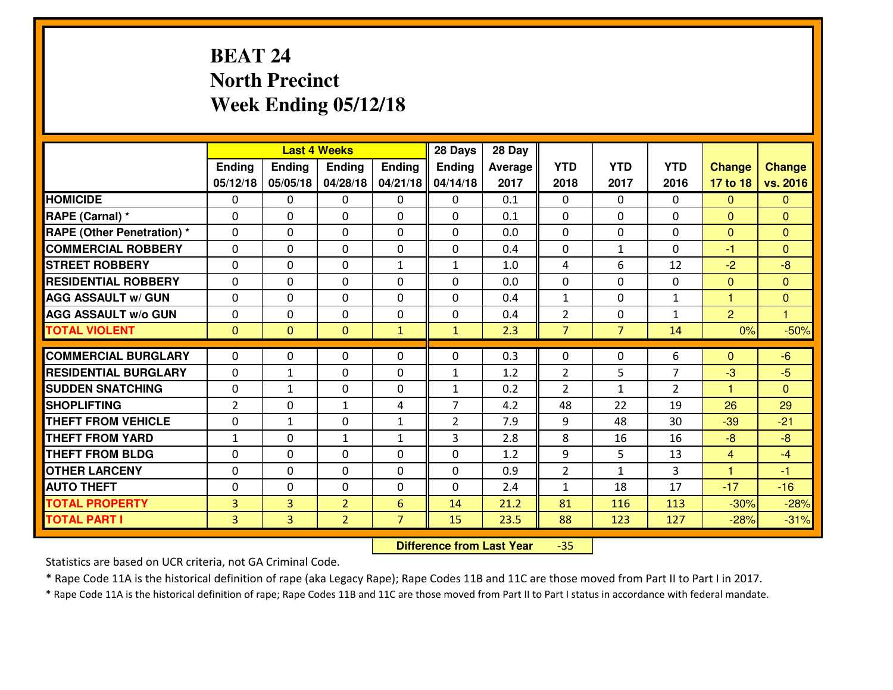# **BEAT 24 North PrecinctWeek Ending 05/12/18**

|                                              |                     |                     | <b>Last 4 Weeks</b>              |                     | 28 Days        | 28 Day       |                |                |                |                  |                  |
|----------------------------------------------|---------------------|---------------------|----------------------------------|---------------------|----------------|--------------|----------------|----------------|----------------|------------------|------------------|
|                                              | Ending              | <b>Ending</b>       | <b>Ending</b>                    | Ending              | <b>Ending</b>  | Average      | <b>YTD</b>     | <b>YTD</b>     | <b>YTD</b>     | <b>Change</b>    | <b>Change</b>    |
|                                              | 05/12/18            | 05/05/18            | 04/28/18                         | 04/21/18            | 04/14/18       | 2017         | 2018           | 2017           | 2016           | 17 to 18         | vs. 2016         |
| <b>HOMICIDE</b>                              | $\Omega$            | 0                   | 0                                | $\Omega$            | $\Omega$       | 0.1          | 0              | $\Omega$       | 0              | $\Omega$         | $\Omega$         |
| RAPE (Carnal) *                              | $\mathbf{0}$        | 0                   | $\mathbf{0}$                     | 0                   | $\Omega$       | 0.1          | $\mathbf{0}$   | 0              | 0              | $\Omega$         | $\mathbf{0}$     |
| RAPE (Other Penetration) *                   | $\Omega$            | 0                   | $\mathbf{0}$                     | $\Omega$            | $\Omega$       | 0.0          | $\Omega$       | 0              | 0              | $\mathbf{0}$     | $\mathbf{0}$     |
| <b>COMMERCIAL ROBBERY</b>                    | $\mathbf{0}$        | 0                   | 0                                | 0                   | $\Omega$       | 0.4          | $\mathbf{0}$   | $\mathbf{1}$   | 0              | $-1$             | $\Omega$         |
| <b>STREET ROBBERY</b>                        | 0                   | 0                   | $\mathbf 0$                      | $\mathbf{1}$        | $\mathbf{1}$   | 1.0          | 4              | 6              | 12             | $-2$             | $-8$             |
| <b>RESIDENTIAL ROBBERY</b>                   | $\Omega$            | $\Omega$            | $\mathbf 0$                      | $\Omega$            | 0              | 0.0          | $\mathbf 0$    | $\Omega$       | 0              | $\mathbf{0}$     | $\Omega$         |
| <b>AGG ASSAULT w/ GUN</b>                    | $\Omega$            | $\Omega$            | $\mathbf 0$                      | $\Omega$            | 0              | 0.4          | $\mathbf 1$    | $\Omega$       | $\mathbf{1}$   | $\mathbf{1}$     | $\overline{0}$   |
| <b>AGG ASSAULT W/o GUN</b>                   | 0                   | 0                   | $\mathbf 0$                      | $\mathbf 0$         | 0              | 0.4          | $\overline{2}$ | 0              | $\mathbf{1}$   | 2                | $\mathbf{1}$     |
| <b>TOTAL VIOLENT</b>                         | $\mathbf{0}$        | $\overline{0}$      | $\mathbf{O}$                     | $\mathbf{1}$        | $\mathbf{1}$   | 2.3          | $\overline{7}$ | $\overline{7}$ | 14             | 0%               | $-50%$           |
| <b>COMMERCIAL BURGLARY</b>                   | $\Omega$            | 0                   | $\mathbf{0}$                     | $\Omega$            | $\Omega$       | 0.3          | $\Omega$       | $\Omega$       | 6              | $\Omega$         | $-6$             |
| <b>RESIDENTIAL BURGLARY</b>                  | 0                   | $\mathbf{1}$        | 0                                | 0                   | $\mathbf{1}$   | 1.2          | $\overline{2}$ | 5              | $\overline{7}$ | $-3$             | $-5$             |
| <b>SUDDEN SNATCHING</b>                      | 0                   | $\mathbf{1}$        | 0                                | 0                   | $\mathbf{1}$   | 0.2          | $\overline{2}$ | $\mathbf{1}$   | $\overline{2}$ | $\overline{1}$   | $\Omega$         |
| <b>SHOPLIFTING</b>                           |                     |                     |                                  |                     |                |              |                |                |                |                  |                  |
|                                              |                     |                     |                                  |                     |                |              |                |                |                |                  |                  |
|                                              | $\overline{2}$      | 0                   | 1                                | 4                   | $\overline{7}$ | 4.2          | 48             | 22             | 19             | 26               | 29               |
| <b>THEFT FROM VEHICLE</b>                    | 0                   | $\mathbf{1}$        | $\mathbf 0$                      | $\mathbf{1}$        | $\overline{2}$ | 7.9          | 9              | 48             | 30             | $-39$            | $-21$            |
| <b>THEFT FROM YARD</b>                       | $1\,$               | 0                   | 1                                | $\mathbf{1}$        | 3              | 2.8          | 8              | 16             | 16             | $-8$             | $-8$             |
| <b>THEFT FROM BLDG</b>                       | 0                   | 0                   | $\mathbf 0$                      | 0                   | 0              | 1.2          | 9              | 5              | 13             | $\overline{4}$   | $-4$             |
| <b>OTHER LARCENY</b>                         | 0                   | 0                   | $\mathbf 0$                      | 0                   | 0              | 0.9          | $\overline{2}$ | $\mathbf{1}$   | 3              | $\mathbf{1}$     | $-1$             |
| <b>AUTO THEFT</b>                            | $\mathbf{0}$        | 0                   | $\mathbf{0}$                     | 0                   | 0              | 2.4          | $\mathbf{1}$   | 18             | 17             | $-17$            | $-16$            |
| <b>TOTAL PROPERTY</b><br><b>TOTAL PART I</b> | 3<br>$\overline{3}$ | 3<br>$\overline{3}$ | $\overline{2}$<br>$\overline{2}$ | 6<br>$\overline{7}$ | 14<br>15       | 21.2<br>23.5 | 81<br>88       | 116<br>123     | 113<br>127     | $-30%$<br>$-28%$ | $-28%$<br>$-31%$ |

 **Difference from Last Year**-35

Statistics are based on UCR criteria, not GA Criminal Code.

\* Rape Code 11A is the historical definition of rape (aka Legacy Rape); Rape Codes 11B and 11C are those moved from Part II to Part I in 2017.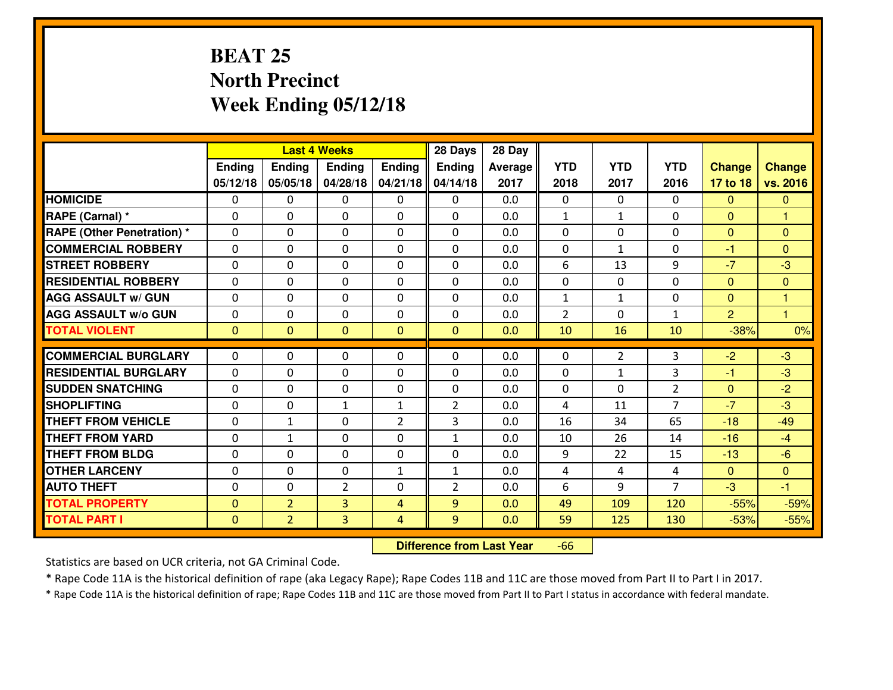# **BEAT 25 North PrecinctWeek Ending 05/12/18**

|                                  |              |                | <b>Last 4 Weeks</b> |                | 28 Days        | 28 Day         |                |                |                |                |                |
|----------------------------------|--------------|----------------|---------------------|----------------|----------------|----------------|----------------|----------------|----------------|----------------|----------------|
|                                  | Ending       | Ending         | <b>Ending</b>       | Ending         | <b>Ending</b>  | <b>Average</b> | <b>YTD</b>     | <b>YTD</b>     | <b>YTD</b>     | <b>Change</b>  | <b>Change</b>  |
|                                  | 05/12/18     | 05/05/18       | 04/28/18            | 04/21/18       | 04/14/18       | 2017           | 2018           | 2017           | 2016           | 17 to 18       | vs. 2016       |
| <b>HOMICIDE</b>                  | 0            | 0              | 0                   | $\mathbf{0}$   | 0              | 0.0            | $\Omega$       | $\Omega$       | $\Omega$       | $\mathbf{0}$   | $\mathbf{0}$   |
| RAPE (Carnal) *                  | $\mathbf{0}$ | 0              | $\mathbf{0}$        | 0              | 0              | 0.0            | 1              | $\mathbf{1}$   | 0              | $\mathbf{0}$   | 1              |
| <b>RAPE (Other Penetration)*</b> | $\Omega$     | 0              | $\mathbf{0}$        | 0              | $\Omega$       | 0.0            | $\Omega$       | $\Omega$       | $\Omega$       | $\mathbf{0}$   | $\Omega$       |
| <b>COMMERCIAL ROBBERY</b>        | $\mathbf{0}$ | 0              | $\mathbf{0}$        | 0              | $\Omega$       | 0.0            | $\mathbf{0}$   | $\mathbf{1}$   | $\Omega$       | -1             | $\mathbf{0}$   |
| <b>STREET ROBBERY</b>            | 0            | 0              | $\mathbf 0$         | 0              | $\Omega$       | 0.0            | 6              | 13             | 9              | $-7$           | $-3$           |
| <b>RESIDENTIAL ROBBERY</b>       | $\Omega$     | $\Omega$       | $\mathbf 0$         | 0              | 0              | 0.0            | $\mathbf 0$    | $\Omega$       | 0              | $\mathbf{0}$   | $\overline{0}$ |
| <b>AGG ASSAULT w/ GUN</b>        | $\mathbf 0$  | 0              | $\mathbf 0$         | 0              | 0              | 0.0            | $\mathbf{1}$   | $\mathbf{1}$   | 0              | $\mathbf{0}$   | $\mathbf{1}$   |
| <b>AGG ASSAULT W/o GUN</b>       | 0            | 0              | 0                   | $\Omega$       | 0              | 0.0            | $\overline{2}$ | $\Omega$       | $\mathbf{1}$   | $\overline{2}$ | $\mathbf{1}$   |
| <b>TOTAL VIOLENT</b>             | $\mathbf{0}$ | $\overline{0}$ | $\mathbf{0}$        | $\mathbf{0}$   | $\overline{0}$ | 0.0            | 10             | 16             | 10             | $-38%$         | 0%             |
| <b>COMMERCIAL BURGLARY</b>       | $\Omega$     | 0              | $\mathbf{0}$        | $\mathbf{0}$   | $\Omega$       | 0.0            | $\mathbf{0}$   | $\overline{2}$ | 3              | $-2$           | $-3$           |
| <b>RESIDENTIAL BURGLARY</b>      | 0            | 0              | $\mathbf 0$         | 0              | 0              | 0.0            | $\mathbf 0$    | $\mathbf{1}$   | 3              | $-1$           | $-3$           |
| <b>SUDDEN SNATCHING</b>          | $\Omega$     | $\Omega$       | $\mathbf 0$         | 0              | $\Omega$       | 0.0            | $\Omega$       | $\Omega$       | $\overline{2}$ | $\mathbf{0}$   | $-2$           |
| <b>SHOPLIFTING</b>               | 0            | 0              | $\mathbf{1}$        | $\mathbf{1}$   | $\overline{2}$ | 0.0            | 4              | 11             | $\overline{7}$ | $-7$           | $-3$           |
| <b>THEFT FROM VEHICLE</b>        | $\mathbf{0}$ | $\mathbf{1}$   | $\mathbf{0}$        | $\overline{2}$ | 3              | 0.0            | 16             | 34             | 65             | $-18$          | $-49$          |
| <b>THEFT FROM YARD</b>           | 0            | 1              | 0                   | 0              | $\mathbf{1}$   | 0.0            | 10             | 26             | 14             | $-16$          | $-4$           |
| <b>THEFT FROM BLDG</b>           | 0            | 0              | 0                   | 0              | 0              | 0.0            | 9              | 22             | 15             | $-13$          | $-6$           |
| <b>OTHER LARCENY</b>             | 0            | 0              | $\mathbf 0$         | $\mathbf{1}$   | $\mathbf{1}$   | 0.0            | 4              | 4              | 4              | $\mathbf{0}$   | $\overline{0}$ |
| <b>AUTO THEFT</b>                | $\mathbf{0}$ | 0              | $\overline{2}$      | 0              | $\overline{2}$ | 0.0            | 6              | 9              | $\overline{7}$ | $-3$           | $-1$           |
| <b>TOTAL PROPERTY</b>            | $\mathbf{0}$ | $\overline{2}$ | 3                   | $\overline{4}$ | 9              | 0.0            | 49             | 109            | 120            | $-55%$         | $-59%$         |
| <b>TOTAL PART I</b>              | $\mathbf{0}$ | $\overline{2}$ | 3                   | $\overline{4}$ | 9              | 0.0            | 59             | 125            | 130            |                | $-55%$         |
|                                  |              |                |                     |                |                |                |                |                |                | $-53%$         |                |

 **Difference from Last Year**-66

Statistics are based on UCR criteria, not GA Criminal Code.

\* Rape Code 11A is the historical definition of rape (aka Legacy Rape); Rape Codes 11B and 11C are those moved from Part II to Part I in 2017.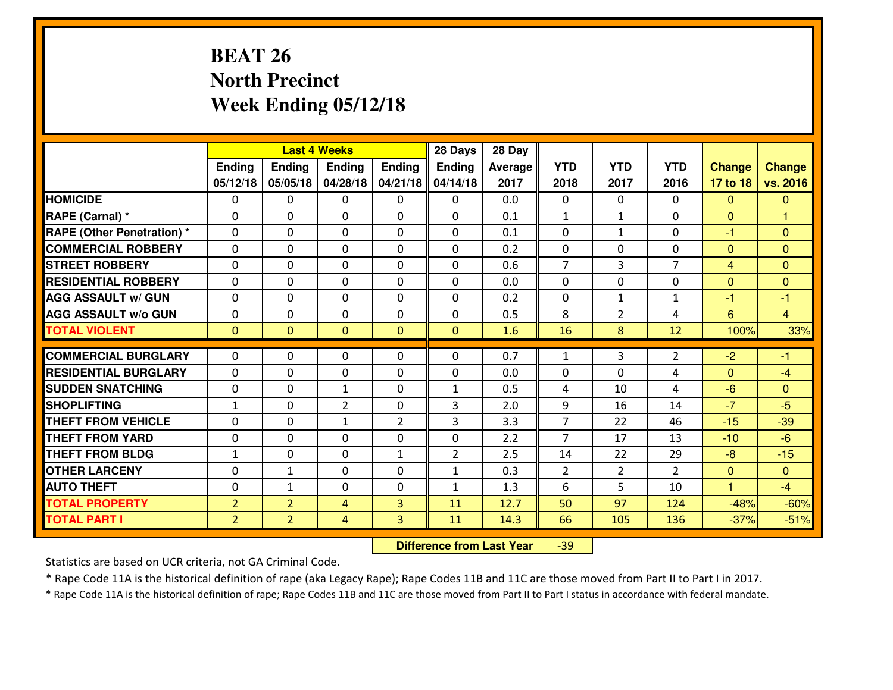# **BEAT 26 North PrecinctWeek Ending 05/12/18**

|                                  |                |                | <b>Last 4 Weeks</b> |                | 28 Days        | 28 Day  |                |                |                |                |                |
|----------------------------------|----------------|----------------|---------------------|----------------|----------------|---------|----------------|----------------|----------------|----------------|----------------|
|                                  | Ending         | <b>Ending</b>  | <b>Ending</b>       | Ending         | <b>Ending</b>  | Average | <b>YTD</b>     | <b>YTD</b>     | <b>YTD</b>     | <b>Change</b>  | <b>Change</b>  |
|                                  | 05/12/18       | 05/05/18       | 04/28/18            | 04/21/18       | 04/14/18       | 2017    | 2018           | 2017           | 2016           | 17 to 18       | vs. 2016       |
| <b>HOMICIDE</b>                  | $\Omega$       | 0              | 0                   | $\Omega$       | $\Omega$       | 0.0     | 0              | $\Omega$       | 0              | $\Omega$       | $\mathbf{0}$   |
| RAPE (Carnal) *                  | $\Omega$       | 0              | $\Omega$            | $\Omega$       | $\Omega$       | 0.1     | $\mathbf{1}$   | $\mathbf{1}$   | 0              | $\Omega$       | 1              |
| <b>RAPE (Other Penetration)*</b> | 0              | 0              | $\mathbf 0$         | 0              | 0              | 0.1     | 0              | $\mathbf{1}$   | 0              | $-1$           | $\overline{0}$ |
| <b>COMMERCIAL ROBBERY</b>        | 0              | 0              | $\mathbf 0$         | 0              | 0              | 0.2     | 0              | 0              | 0              | $\mathbf{0}$   | $\overline{0}$ |
| <b>STREET ROBBERY</b>            | 0              | 0              | $\mathbf 0$         | 0              | 0              | 0.6     | $\overline{7}$ | 3              | $\overline{7}$ | $\overline{4}$ | $\mathbf{0}$   |
| <b>RESIDENTIAL ROBBERY</b>       | 0              | 0              | $\mathbf 0$         | 0              | 0              | 0.0     | $\mathbf 0$    | 0              | 0              | $\mathbf{0}$   | $\mathbf{0}$   |
| <b>AGG ASSAULT w/ GUN</b>        | 0              | 0              | $\mathbf 0$         | 0              | 0              | 0.2     | 0              | $\mathbf{1}$   | $\mathbf{1}$   | $-1$           | $-1$           |
| <b>AGG ASSAULT W/o GUN</b>       | 0              | 0              | 0                   | 0              | $\mathbf 0$    | 0.5     | 8              | $\overline{2}$ | 4              | $6\phantom{1}$ | $\overline{4}$ |
| <b>TOTAL VIOLENT</b>             | $\mathbf{0}$   | $\overline{0}$ | $\mathbf{O}$        | $\mathbf{0}$   | $\mathbf{0}$   | 1.6     | 16             | 8              | 12             | 100%           | 33%            |
| <b>COMMERCIAL BURGLARY</b>       | $\Omega$       | 0              | $\mathbf{0}$        | 0              | $\Omega$       | 0.7     | $\mathbf{1}$   | 3              | $\overline{2}$ | $-2$           | $-1$           |
| <b>RESIDENTIAL BURGLARY</b>      | $\mathbf{0}$   | 0              | 0                   | 0              | 0              | 0.0     | 0              | 0              | 4              | $\mathbf{0}$   | $-4$           |
| <b>SUDDEN SNATCHING</b>          | $\mathbf{0}$   | 0              | 1                   | 0              | $\mathbf{1}$   | 0.5     | 4              | 10             | 4              | $-6$           | $\mathbf{0}$   |
| <b>SHOPLIFTING</b>               | $\mathbf{1}$   | 0              | $\overline{2}$      | 0              | 3              | 2.0     | 9              | 16             | 14             | $-7$           | $-5$           |
| <b>THEFT FROM VEHICLE</b>        | 0              | 0              | 1                   | $\overline{2}$ | 3              | 3.3     | $\overline{7}$ | 22             | 46             | $-15$          | $-39$          |
| <b>THEFT FROM YARD</b>           | 0              | 0              | $\mathbf 0$         | 0              | 0              | 2.2     | $\overline{7}$ | 17             | 13             | $-10$          | $-6$           |
| <b>THEFT FROM BLDG</b>           | $\mathbf{1}$   | 0              | $\mathbf 0$         | $\mathbf{1}$   | $\overline{2}$ | 2.5     | 14             | 22             | 29             | $-8$           | $-15$          |
| <b>OTHER LARCENY</b>             | 0              | $\mathbf{1}$   | $\mathbf 0$         | 0              | $\mathbf{1}$   | 0.3     | $\overline{2}$ | $\overline{2}$ | $\overline{2}$ | $\mathbf{0}$   | $\overline{0}$ |
| <b>AUTO THEFT</b>                | 0              | $\mathbf{1}$   | $\mathbf 0$         | 0              | $\mathbf{1}$   | 1.3     | 6              | 5              | 10             | $\mathbf{1}$   | $-4$           |
| <b>TOTAL PROPERTY</b>            | $\overline{2}$ | $\overline{2}$ | 4                   | 3              | 11             | 12.7    | 50             | 97             | 124            | $-48%$         | $-60%$         |
| <b>TOTAL PART I</b>              | $\overline{2}$ | $\overline{2}$ | $\overline{4}$      | 3              | 11             | 14.3    | 66             | 105            | 136            | $-37%$         | $-51%$         |

 **Difference from Last Year**-39

Statistics are based on UCR criteria, not GA Criminal Code.

\* Rape Code 11A is the historical definition of rape (aka Legacy Rape); Rape Codes 11B and 11C are those moved from Part II to Part I in 2017.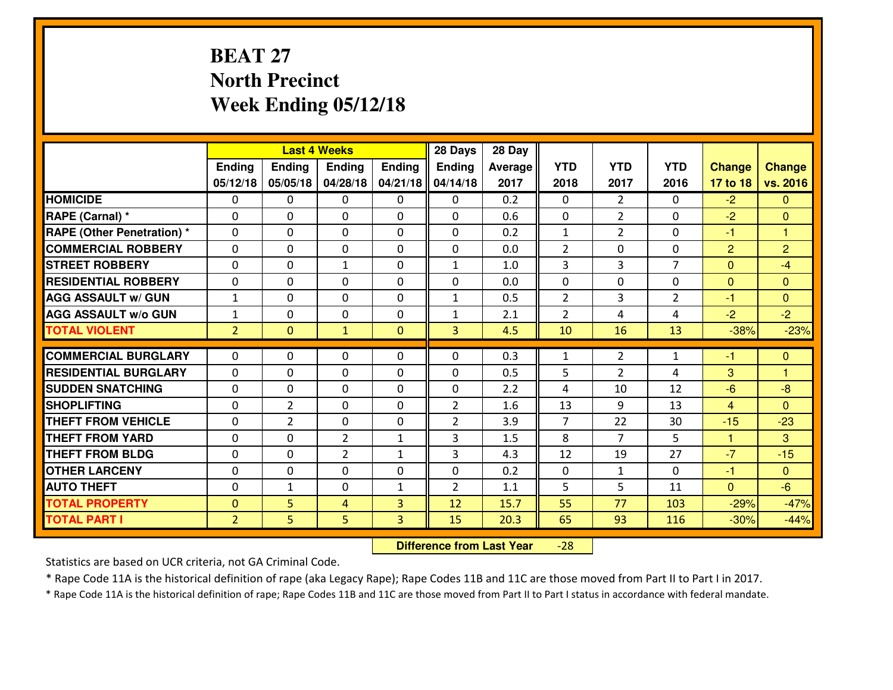# **BEAT 27 North PrecinctWeek Ending 05/12/18**

|                                              |                |                | <b>Last 4 Weeks</b> |              | 28 Days        | 28 Day  |                |                |                |                |                |
|----------------------------------------------|----------------|----------------|---------------------|--------------|----------------|---------|----------------|----------------|----------------|----------------|----------------|
|                                              | Ending         | <b>Ending</b>  | <b>Ending</b>       | Ending       | <b>Ending</b>  | Average | <b>YTD</b>     | <b>YTD</b>     | <b>YTD</b>     | <b>Change</b>  | <b>Change</b>  |
|                                              | 05/12/18       | 05/05/18       | 04/28/18            | 04/21/18     | 04/14/18       | 2017    | 2018           | 2017           | 2016           | 17 to 18       | vs. 2016       |
| <b>HOMICIDE</b>                              | $\Omega$       | 0              | $\Omega$            | $\Omega$     | $\Omega$       | 0.2     | 0              | $\overline{2}$ | 0              | $-2$           | $\Omega$       |
| RAPE (Carnal) *                              | $\mathbf{0}$   | 0              | $\mathbf{0}$        | $\Omega$     | $\Omega$       | 0.6     | $\mathbf{0}$   | $\overline{2}$ | 0              | $-2$           | $\mathbf{0}$   |
| <b>RAPE (Other Penetration) *</b>            | $\Omega$       | 0              | $\mathbf{0}$        | $\Omega$     | $\Omega$       | 0.2     | $\mathbf{1}$   | $\overline{2}$ | 0              | $-1$           | 1              |
| <b>COMMERCIAL ROBBERY</b>                    | $\mathbf{0}$   | 0              | $\mathbf 0$         | 0            | 0              | 0.0     | $\overline{2}$ | 0              | 0              | $\overline{2}$ | $\overline{2}$ |
| <b>STREET ROBBERY</b>                        | 0              | 0              | 1                   | 0            | $\mathbf{1}$   | 1.0     | $\overline{3}$ | $\overline{3}$ | $\overline{7}$ | $\mathbf{0}$   | $-4$           |
| <b>RESIDENTIAL ROBBERY</b>                   | $\Omega$       | $\Omega$       | $\mathbf 0$         | $\Omega$     | 0              | 0.0     | 0              | $\Omega$       | 0              | $\mathbf{0}$   | $\Omega$       |
| <b>AGG ASSAULT w/ GUN</b>                    | $\mathbf{1}$   | 0              | $\mathbf 0$         | 0            | $\mathbf{1}$   | 0.5     | $\overline{2}$ | 3              | $\overline{2}$ | $-1$           | $\overline{0}$ |
| <b>AGG ASSAULT W/o GUN</b>                   | $\mathbf{1}$   | 0              | $\mathbf 0$         | $\mathbf 0$  | $\mathbf{1}$   | 2.1     | 2              | 4              | 4              | $-2$           | $-2$           |
| <b>TOTAL VIOLENT</b>                         | $\overline{2}$ | $\mathbf{0}$   | $\mathbf{1}$        | $\mathbf{0}$ | 3              | 4.5     | 10             | 16             | 13             | $-38%$         | $-23%$         |
| <b>COMMERCIAL BURGLARY</b>                   | $\Omega$       | 0              | $\mathbf{0}$        | $\Omega$     | $\Omega$       | 0.3     | 1              | $\overline{2}$ | $\mathbf{1}$   | -1             | $\mathbf{0}$   |
| <b>RESIDENTIAL BURGLARY</b>                  | 0              | 0              | 0                   | 0            | 0              | 0.5     | 5              | $\overline{2}$ | 4              | 3              | 1              |
| <b>SUDDEN SNATCHING</b>                      | 0              | 0              | 0                   | 0            | 0              | 2.2     | 4              | 10             | 12             | $-6$           | $-8$           |
| <b>SHOPLIFTING</b>                           | 0              | $\overline{2}$ | $\mathbf 0$         | 0            | $\overline{2}$ | 1.6     | 13             | 9              | 13             | $\overline{4}$ | $\Omega$       |
| <b>THEFT FROM VEHICLE</b>                    | 0              | $\overline{2}$ | $\mathbf 0$         | 0            | $\overline{2}$ | 3.9     | $\overline{7}$ | 22             | 30             | $-15$          | $-23$          |
| <b>THEFT FROM YARD</b>                       | 0              | 0              | $\overline{2}$      | $\mathbf{1}$ | 3              | 1.5     | 8              | $\overline{7}$ | 5              | $\mathbf{1}$   | 3              |
| <b>THEFT FROM BLDG</b>                       | 0              | 0              | $\overline{2}$      | $\mathbf{1}$ | 3              | 4.3     | 12             | 19             | 27             | $-7$           | $-15$          |
| <b>OTHER LARCENY</b>                         | 0              | 0              | $\mathbf 0$         | 0            | 0              | 0.2     | $\mathbf 0$    | $\mathbf{1}$   | 0              | $-1$           | $\overline{0}$ |
| <b>AUTO THEFT</b>                            | $\mathbf{0}$   | $\mathbf{1}$   | $\mathbf{0}$        | $\mathbf{1}$ | $\overline{2}$ | 1.1     | 5              | 5              | 11             | $\Omega$       | $-6$           |
|                                              | $\mathbf{0}$   | 5              | 4                   | 3            | 12             | 15.7    | 55             | 77             | 103            | $-29%$         | $-47%$         |
|                                              |                |                |                     |              |                |         |                |                |                |                |                |
| <b>TOTAL PROPERTY</b><br><b>TOTAL PART I</b> | $\overline{2}$ | 5              | 5                   | 3            | 15             | 20.3    | 65             | 93             | 116            | $-30%$         | $-44%$         |

 **Difference from Last Year**-28

Statistics are based on UCR criteria, not GA Criminal Code.

\* Rape Code 11A is the historical definition of rape (aka Legacy Rape); Rape Codes 11B and 11C are those moved from Part II to Part I in 2017.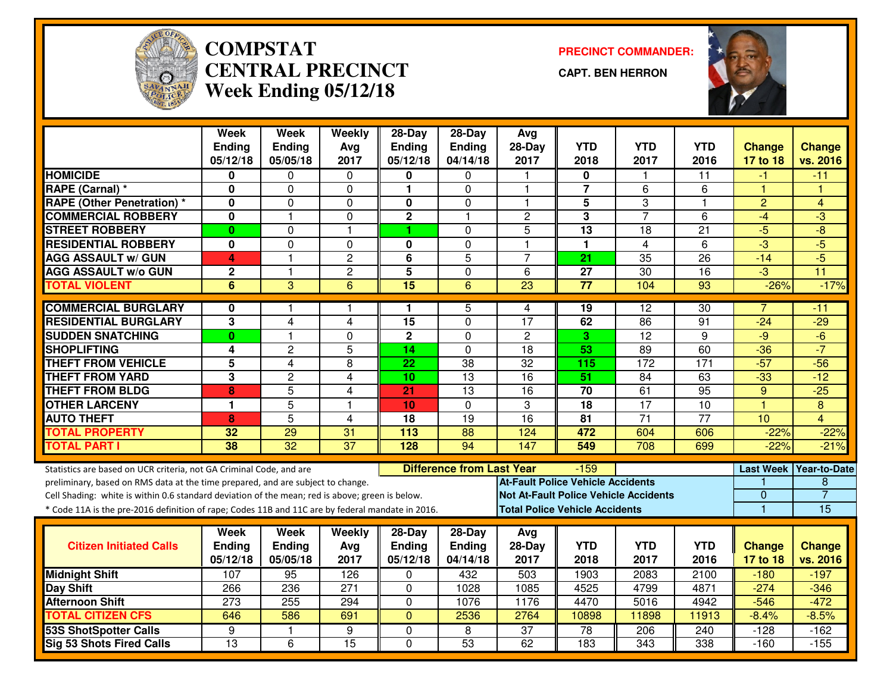

#### **COMPSTAT PRECINCT COMMANDER: CENTRAL PRECINCTWeek Ending 05/12/18**

**CAPT. BEN HERRON**



|                                                                                                                                                        | Week<br><b>Ending</b><br>05/12/18 | <b>Week</b><br><b>Ending</b><br>05/05/18 | Weekly<br>Avg<br>2017 | $28-Day$<br><b>Ending</b><br>05/12/18 | 28-Day<br>Ending<br>04/14/18     | Avg<br>$28-Day$<br>2017                  | <b>YTD</b><br>2018 | <b>YTD</b><br>2017                           | <b>YTD</b><br>2016 | <b>Change</b><br>17 to 18 | <b>Change</b><br>vs. 2016 |
|--------------------------------------------------------------------------------------------------------------------------------------------------------|-----------------------------------|------------------------------------------|-----------------------|---------------------------------------|----------------------------------|------------------------------------------|--------------------|----------------------------------------------|--------------------|---------------------------|---------------------------|
| <b>HOMICIDE</b>                                                                                                                                        | 0                                 | 0                                        | 0                     | 0                                     | 0                                |                                          | 0                  |                                              | 11                 | -1                        | $-11$                     |
| RAPE (Carnal) *                                                                                                                                        | 0                                 | 0                                        | $\Omega$              | $\mathbf{1}$                          | $\overline{0}$                   | $\mathbf{1}$                             | $\overline{7}$     | 6                                            | 6                  | 1                         | ۴                         |
| <b>RAPE (Other Penetration) *</b>                                                                                                                      | 0                                 | 0                                        | 0                     | $\mathbf 0$                           | 0                                | 1                                        | 5                  | 3                                            | 1                  | $\overline{c}$            | $\overline{4}$            |
| <b>COMMERCIAL ROBBERY</b>                                                                                                                              | $\mathbf 0$                       | 1                                        | $\Omega$              | $\overline{\mathbf{2}}$               | 1                                | $\overline{c}$                           | 3                  | $\overline{7}$                               | 6                  | $-4$                      | $-3$                      |
| <b>STREET ROBBERY</b>                                                                                                                                  | $\bf{0}$                          | 0                                        | $\mathbf{1}$          | 1                                     | $\overline{0}$                   | 5                                        | 13                 | 18                                           | 21                 | $-5$                      | $\overline{-8}$           |
| <b>RESIDENTIAL ROBBERY</b>                                                                                                                             | $\mathbf 0$                       | 0                                        | 0                     | $\mathbf 0$                           | $\mathbf 0$                      | 1                                        | 1                  | $\overline{4}$                               | 6                  | $-3$                      | $-5$                      |
| <b>AGG ASSAULT w/ GUN</b>                                                                                                                              | 4                                 | $\mathbf{1}$                             | $\overline{c}$        | 6                                     | $\overline{5}$                   | $\overline{7}$                           | 21                 | 35                                           | $\overline{26}$    | $-14$                     | $-5$                      |
| <b>AGG ASSAULT w/o GUN</b>                                                                                                                             | $\mathbf{2}$                      | $\mathbf{1}$                             | $\overline{2}$        | $\overline{5}$                        | $\mathbf 0$                      | 6                                        | $\overline{27}$    | 30                                           | $\overline{16}$    | $\overline{\cdot 3}$      | $\overline{11}$           |
| <b>TOTAL VIOLENT</b>                                                                                                                                   | 6                                 | 3                                        | 6                     | 15                                    | 6                                | 23                                       | $\overline{77}$    | 104                                          | 93                 | $-26%$                    | $-17%$                    |
|                                                                                                                                                        |                                   |                                          |                       |                                       |                                  |                                          |                    |                                              |                    |                           |                           |
| <b>COMMERCIAL BURGLARY</b>                                                                                                                             | 0                                 | 1                                        | 1                     | 1                                     | 5                                | 4                                        | 19                 | $\overline{12}$                              | 30                 | 7                         | -11                       |
| <b>RESIDENTIAL BURGLARY</b>                                                                                                                            | 3                                 | $\overline{4}$                           | $\overline{4}$        | 15                                    | $\mathbf 0$                      | $\overline{17}$                          | 62                 | 86                                           | 91                 | $-24$                     | $-29$                     |
| <b>SUDDEN SNATCHING</b>                                                                                                                                | $\bf{0}$                          | 1                                        | 0                     | $\mathbf 2$                           | $\Omega$                         | $\overline{2}$                           | 3                  | $\overline{12}$                              | 9                  | $-9$                      | $-6$                      |
| <b>SHOPLIFTING</b>                                                                                                                                     | 4                                 | $\overline{2}$                           | $\overline{5}$        | 14                                    | $\mathbf 0$                      | $\overline{18}$                          | 53                 | 89                                           | 60                 | $-36$                     | $-7$                      |
| <b>THEFT FROM VEHICLE</b>                                                                                                                              | $\overline{\mathbf{5}}$           | $\overline{4}$                           | 8                     | $\overline{22}$                       | $\overline{38}$                  | $\overline{32}$                          | 115                | 172                                          | 171                | $-57$                     | $-56$                     |
| <b>THEFT FROM YARD</b>                                                                                                                                 | 3                                 | $\overline{2}$                           | 4                     | 10                                    | $\overline{13}$                  | $\overline{16}$                          | 51                 | $\overline{84}$                              | 63                 | $-33$                     | $-12$                     |
| <b>THEFT FROM BLDG</b>                                                                                                                                 | 8                                 | 5                                        | $\overline{4}$        | 21                                    | 13                               | 16                                       | 70                 | 61                                           | 95                 | 9                         | $-25$                     |
| <b>OTHER LARCENY</b>                                                                                                                                   | 1                                 | $\overline{5}$                           | $\overline{1}$        | 10                                    | $\mathbf 0$                      | 3                                        | $\overline{18}$    | 17                                           | 10                 | $\mathbf{1}$              | $\overline{8}$            |
| <b>AUTO THEFT</b>                                                                                                                                      | 8                                 | $\overline{5}$                           | $\overline{4}$        | 18                                    | $\overline{19}$                  | $\overline{16}$                          | $\overline{81}$    | $\overline{71}$                              | $\overline{77}$    | 10                        | $\overline{4}$            |
| <b>TOTAL PROPERTY</b>                                                                                                                                  | 32                                | 29                                       | 31                    | 113                                   | 88                               | 124                                      | 472                | 604                                          | 606                | $-22%$                    | $-22%$                    |
| <b>TOTAL PART I</b>                                                                                                                                    | 38                                | $\overline{32}$                          | $\overline{37}$       | 128                                   | 94                               | 147                                      | 549                | 708                                          | 699                | $-22%$                    | $-21%$                    |
| Statistics are based on UCR criteria, not GA Criminal Code, and are<br>preliminary, based on RMS data at the time prepared, and are subject to change. |                                   |                                          |                       |                                       | <b>Difference from Last Year</b> | <b>At-Fault Police Vehicle Accidents</b> | $-159$             |                                              |                    | <b>Last Week</b>          | <b>Year-to-Date</b><br>8  |
| Cell Shading: white is within 0.6 standard deviation of the mean; red is above; green is below.                                                        |                                   |                                          |                       |                                       |                                  |                                          |                    | <b>Not At-Fault Police Vehicle Accidents</b> |                    | $\mathbf{0}$              | $\overline{7}$            |
| * Code 11A is the pre-2016 definition of rape; Codes 11B and 11C are by federal mandate in 2016.                                                       |                                   |                                          |                       |                                       |                                  | <b>Total Police Vehicle Accidents</b>    |                    |                                              |                    | $\mathbf{1}$              | 15                        |
|                                                                                                                                                        |                                   |                                          |                       |                                       |                                  |                                          |                    |                                              |                    |                           |                           |
|                                                                                                                                                        | Week                              | Week                                     | Weekly                | $28-Day$                              | $28-Day$                         | Avg                                      |                    |                                              |                    |                           |                           |
| <b>Citizen Initiated Calls</b>                                                                                                                         | Ending                            | <b>Ending</b>                            | Avg                   | <b>Ending</b>                         | <b>Ending</b>                    | 28-Day                                   | <b>YTD</b>         | <b>YTD</b>                                   | <b>YTD</b>         | <b>Change</b>             | <b>Change</b>             |
|                                                                                                                                                        | 05/12/18                          | 05/05/18                                 | 2017                  | 05/12/18                              | 04/14/18                         | 2017                                     | 2018               | 2017                                         | 2016               | 17 to 18                  | vs. 2016                  |
| <b>Midnight Shift</b>                                                                                                                                  | 107                               | 95                                       | 126                   | $\mathbf 0$                           | 432                              | 503                                      | 1903               | 2083                                         | 2100               | $-180$                    | $-197$                    |
| Day Shift                                                                                                                                              | 266                               | 236                                      | $\overline{271}$      | 0                                     | 1028                             | 1085                                     | 4525               | 4799                                         | 4871               | $-274$                    | $-346$                    |
| <b>Afternoon Shift</b>                                                                                                                                 | 273                               | 255                                      | 294                   | $\mathbf 0$                           | 1076                             | 1176                                     | 4470               | 5016                                         | 4942               | $-546$                    | $-472$                    |
| <b>TOTAL CITIZEN CFS</b>                                                                                                                               | 646                               | 586                                      | 691                   | $\mathbf{0}$                          | 2536                             | 2764                                     | 10898              | 11898                                        | 11913              | $-8.4%$                   | $-8.5%$                   |
| <b>53S ShotSpotter Calls</b>                                                                                                                           | 9                                 | 1.                                       | 9                     | $\overline{0}$                        | 8                                | $\overline{37}$                          | 78                 | 206                                          | 240                | $-128$                    | $-162$                    |
| <b>Sig 53 Shots Fired Calls</b>                                                                                                                        | $\overline{13}$                   | $\overline{6}$                           | 15                    | $\mathbf 0$                           | 53                               | 62                                       | 183                | $\overline{343}$                             | 338                | $-160$                    | $-155$                    |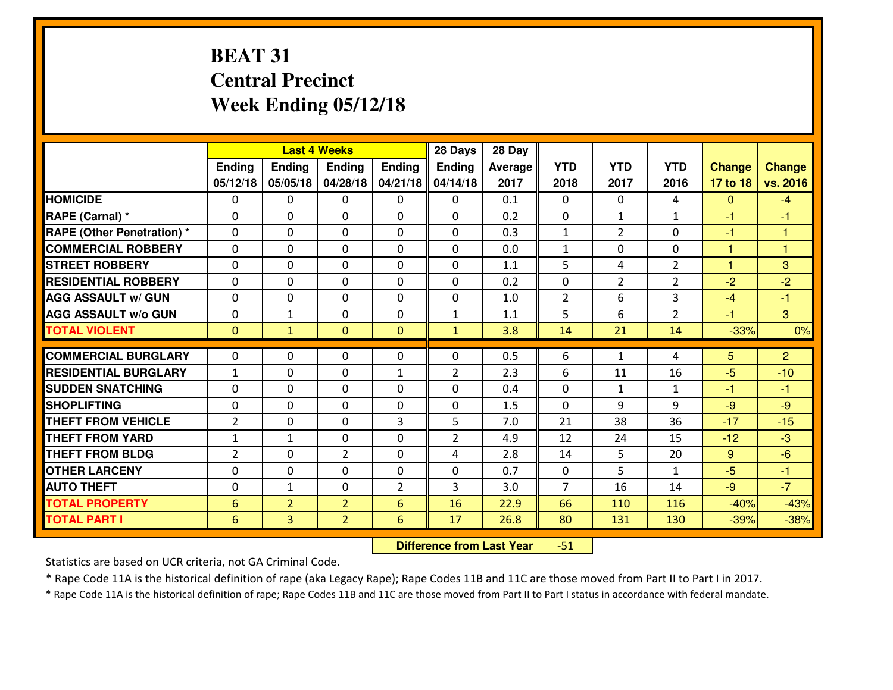# **BEAT 31 Central PrecinctWeek Ending 05/12/18**

|                                   |                |                | <b>Last 4 Weeks</b> |                | 28 Days        | 28 Day  |                |                |                |               |                |
|-----------------------------------|----------------|----------------|---------------------|----------------|----------------|---------|----------------|----------------|----------------|---------------|----------------|
|                                   | <b>Ending</b>  | <b>Ending</b>  | <b>Endina</b>       | <b>Ending</b>  | <b>Ending</b>  | Average | <b>YTD</b>     | <b>YTD</b>     | <b>YTD</b>     | <b>Change</b> | <b>Change</b>  |
|                                   | 05/12/18       | 05/05/18       | 04/28/18            | 04/21/18       | 04/14/18       | 2017    | 2018           | 2017           | 2016           | 17 to 18      | vs. 2016       |
| <b>HOMICIDE</b>                   | $\Omega$       | 0              | 0                   | $\Omega$       | 0              | 0.1     | 0              | $\Omega$       | 4              | $\Omega$      | $-4$           |
| RAPE (Carnal) *                   | $\Omega$       | $\Omega$       | $\mathbf 0$         | $\Omega$       | $\Omega$       | 0.2     | $\Omega$       | $\mathbf{1}$   | $\mathbf{1}$   | $-1$          | $-1$           |
| <b>RAPE (Other Penetration) *</b> | 0              | 0              | $\mathbf 0$         | 0              | 0              | 0.3     | $\mathbf{1}$   | $\overline{2}$ | 0              | $-1$          | $\overline{1}$ |
| <b>COMMERCIAL ROBBERY</b>         | 0              | 0              | $\mathbf 0$         | 0              | 0              | 0.0     | $\mathbf{1}$   | 0              | 0              | $\mathbf{1}$  | $\overline{1}$ |
| <b>STREET ROBBERY</b>             | 0              | 0              | $\mathbf 0$         | 0              | 0              | 1.1     | 5              | 4              | $\overline{2}$ | $\mathbf{1}$  | 3              |
| <b>RESIDENTIAL ROBBERY</b>        | 0              | 0              | $\mathbf 0$         | $\Omega$       | 0              | 0.2     | 0              | $\overline{2}$ | $\overline{2}$ | $-2$          | $-2$           |
| <b>AGG ASSAULT w/ GUN</b>         | 0              | 0              | $\mathbf 0$         | 0              | 0              | 1.0     | $\overline{2}$ | 6              | 3              | $-4$          | $-1$           |
| <b>AGG ASSAULT W/o GUN</b>        | 0              | 1              | $\mathbf 0$         | 0              | $\mathbf{1}$   | 1.1     | 5              | 6              | $\overline{2}$ | $-1$          | $\mathbf{3}$   |
| <b>TOTAL VIOLENT</b>              | $\mathbf{0}$   | $\mathbf{1}$   | $\mathbf{0}$        | $\mathbf{0}$   | $\mathbf{1}$   | 3.8     | 14             | 21             | 14             | $-33%$        | 0%             |
| <b>COMMERCIAL BURGLARY</b>        | $\Omega$       | 0              |                     |                |                |         |                |                | 4              |               |                |
|                                   |                |                | 0                   | 0              | 0              | 0.5     | 6              | $\mathbf{1}$   |                | 5             | $\overline{2}$ |
| <b>RESIDENTIAL BURGLARY</b>       | $\mathbf{1}$   | 0              | $\mathbf 0$         | $\mathbf{1}$   | $\overline{2}$ | 2.3     | 6              | 11             | 16             | $-5$          | $-10$          |
| <b>SUDDEN SNATCHING</b>           | $\Omega$       | $\Omega$       | $\mathbf 0$         | $\Omega$       | 0              | 0.4     | 0              | $\mathbf{1}$   | $\mathbf{1}$   | $-1$          | $-1$           |
| <b>SHOPLIFTING</b>                | 0              | 0              | $\mathbf 0$         | 0              | 0              | 1.5     | 0              | 9              | 9              | $-9$          | $-9$           |
| <b>THEFT FROM VEHICLE</b>         | $\overline{2}$ | 0              | 0                   | 3              | 5              | 7.0     | 21             | 38             | 36             | $-17$         | $-15$          |
| <b>THEFT FROM YARD</b>            | $\mathbf{1}$   | 1              | $\mathbf 0$         | 0              | $\overline{2}$ | 4.9     | 12             | 24             | 15             | $-12$         | $-3$           |
| <b>THEFT FROM BLDG</b>            | 2              | 0              | $\overline{2}$      | $\Omega$       | 4              | 2.8     | 14             | 5              | 20             | 9             | $-6$           |
| <b>OTHER LARCENY</b>              | $\mathbf 0$    | 0              | $\mathbf 0$         | $\mathbf 0$    | 0              | 0.7     | $\mathbf 0$    | 5              | $\mathbf{1}$   | $-5$          | $-1$           |
| <b>AUTO THEFT</b>                 | $\mathbf 0$    | $\mathbf{1}$   | $\mathbf 0$         | $\overline{2}$ | 3              | 3.0     | $\overline{7}$ | 16             | 14             | $-9$          | $-7$           |
| <b>TOTAL PROPERTY</b>             | 6              | $\overline{2}$ | $\overline{2}$      | 6              | 16             | 22.9    | 66             | 110            | 116            | $-40%$        | $-43%$         |
| <b>TOTAL PART I</b>               | 6              | 3              | $\overline{2}$      | 6              | 17             | 26.8    | 80             | 131            | 130            | $-39%$        | $-38%$         |

 **Difference from Last Year**-51

Statistics are based on UCR criteria, not GA Criminal Code.

\* Rape Code 11A is the historical definition of rape (aka Legacy Rape); Rape Codes 11B and 11C are those moved from Part II to Part I in 2017.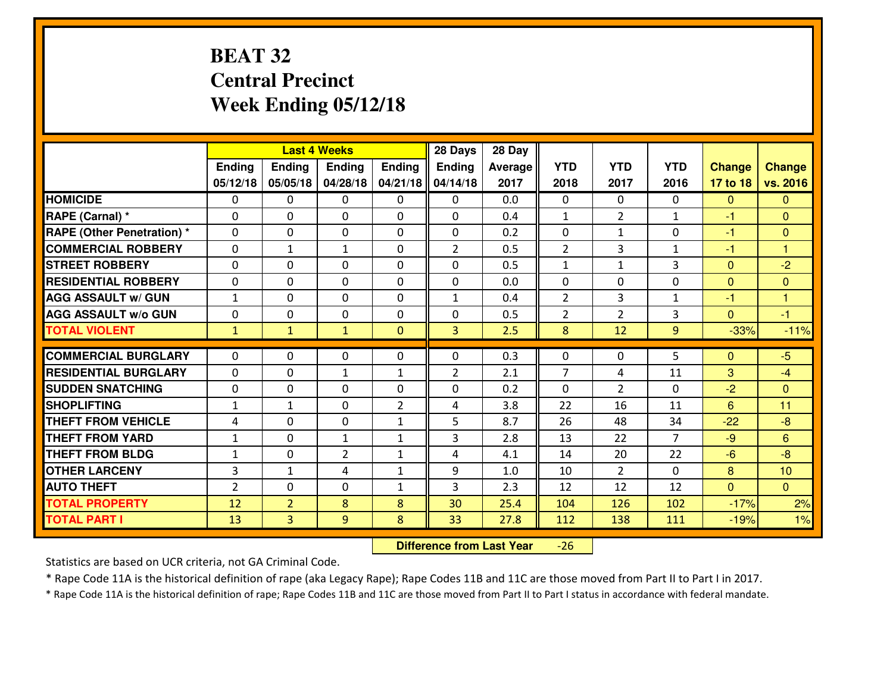# **BEAT 32 Central PrecinctWeek Ending 05/12/18**

|                                  |                |                | <b>Last 4 Weeks</b> |                | 28 Days        | 28 Day         |                |                |                |                |                |
|----------------------------------|----------------|----------------|---------------------|----------------|----------------|----------------|----------------|----------------|----------------|----------------|----------------|
|                                  | Ending         | <b>Ending</b>  | <b>Ending</b>       | Ending         | <b>Ending</b>  | <b>Average</b> | <b>YTD</b>     | <b>YTD</b>     | <b>YTD</b>     | <b>Change</b>  | <b>Change</b>  |
|                                  | 05/12/18       | 05/05/18       | 04/28/18            | 04/21/18       | 04/14/18       | 2017           | 2018           | 2017           | 2016           | 17 to 18       | vs. 2016       |
| <b>HOMICIDE</b>                  | $\mathbf{0}$   | 0              | 0                   | $\mathbf{0}$   | 0              | 0.0            | $\mathbf{0}$   | $\Omega$       | 0              | $\mathbf{0}$   | $\Omega$       |
| RAPE (Carnal) *                  | 0              | 0              | $\mathbf{0}$        | 0              | 0              | 0.4            | 1              | $\overline{2}$ | $\mathbf{1}$   | $-1$           | $\mathbf{0}$   |
| <b>RAPE (Other Penetration)*</b> | $\Omega$       | 0              | $\mathbf{0}$        | $\Omega$       | $\Omega$       | 0.2            | $\Omega$       | $\mathbf{1}$   | $\Omega$       | -1             | $\mathbf{0}$   |
| <b>COMMERCIAL ROBBERY</b>        | $\mathbf{0}$   | $\mathbf{1}$   | $\mathbf{1}$        | 0              | $\overline{2}$ | 0.5            | $\overline{2}$ | 3              | $\mathbf{1}$   | -1             | $\mathbf{1}$   |
| <b>STREET ROBBERY</b>            | 0              | 0              | $\mathbf 0$         | 0              | 0              | 0.5            | $\mathbf{1}$   | $\mathbf{1}$   | 3              | $\mathbf 0$    | $-2$           |
| <b>RESIDENTIAL ROBBERY</b>       | 0              | 0              | $\mathbf 0$         | 0              | 0              | 0.0            | $\mathbf 0$    | $\mathbf 0$    | 0              | $\mathbf{0}$   | $\mathbf{0}$   |
| <b>AGG ASSAULT w/ GUN</b>        | $\mathbf{1}$   | 0              | 0                   | 0              | $\mathbf{1}$   | 0.4            | $\overline{2}$ | 3              | $\mathbf{1}$   | $-1$           | $\mathbf{1}$   |
| <b>AGG ASSAULT W/o GUN</b>       | 0              | 0              | 0                   | 0              | 0              | 0.5            | $\overline{2}$ | $\overline{2}$ | 3              | $\overline{0}$ | $-1$           |
| <b>TOTAL VIOLENT</b>             | $\mathbf{1}$   | $\mathbf{1}$   | $\mathbf{1}$        | $\mathbf{0}$   | 3              | 2.5            | 8              | 12             | 9              | $-33%$         | $-11%$         |
| <b>COMMERCIAL BURGLARY</b>       | $\Omega$       | 0              |                     | 0              | 0              | 0.3            | $\mathbf{0}$   | $\Omega$       | 5              |                | $-5$           |
|                                  |                |                | 0                   |                |                |                |                |                |                | $\mathbf{0}$   |                |
| <b>RESIDENTIAL BURGLARY</b>      | 0              | 0              | $\mathbf{1}$        | $\mathbf{1}$   | $\overline{2}$ | 2.1            | $\overline{7}$ | 4              | 11             | 3              | $-4$           |
| <b>SUDDEN SNATCHING</b>          | 0              | 0              | $\mathbf{0}$        | 0              | 0              | 0.2            | $\mathbf{0}$   | $\overline{2}$ | 0              | $-2$           | $\mathbf{0}$   |
| <b>SHOPLIFTING</b>               | $\mathbf{1}$   | 1              | 0                   | $\overline{2}$ | 4              | 3.8            | 22             | 16             | 11             | 6              | 11             |
| <b>THEFT FROM VEHICLE</b>        | 4              | 0              | $\mathbf{0}$        | $\mathbf{1}$   | 5              | 8.7            | 26             | 48             | 34             | $-22$          | $-8$           |
| <b>THEFT FROM YARD</b>           | $\mathbf{1}$   | 0              | $\mathbf{1}$        | $\mathbf{1}$   | 3              | 2.8            | 13             | 22             | $\overline{7}$ | $-9$           | 6              |
| <b>THEFT FROM BLDG</b>           | $\mathbf{1}$   | 0              | $\overline{2}$      | $\mathbf{1}$   | 4              | 4.1            | 14             | 20             | 22             | $-6$           | $-8$           |
| <b>OTHER LARCENY</b>             | $\overline{3}$ | 1              | 4                   | $\mathbf{1}$   | 9              | 1.0            | 10             | $\overline{2}$ | 0              | 8              | 10             |
| <b>AUTO THEFT</b>                | 2              | 0              | $\mathbf 0$         | $\mathbf{1}$   | 3              | 2.3            | 12             | 12             | 12             | $\mathbf{0}$   | $\overline{0}$ |
| <b>TOTAL PROPERTY</b>            | 12             | $\overline{2}$ | 8                   | 8              | 30             | 25.4           | 104            | 126            | 102            | $-17%$         | 2%             |
| <b>TOTAL PART I</b>              | 13             | $\overline{3}$ | 9                   | 8              | 33             | 27.8           | 112            | 138            | 111            | $-19%$         | 1%             |

 **Difference from Last Year**-26

Statistics are based on UCR criteria, not GA Criminal Code.

\* Rape Code 11A is the historical definition of rape (aka Legacy Rape); Rape Codes 11B and 11C are those moved from Part II to Part I in 2017.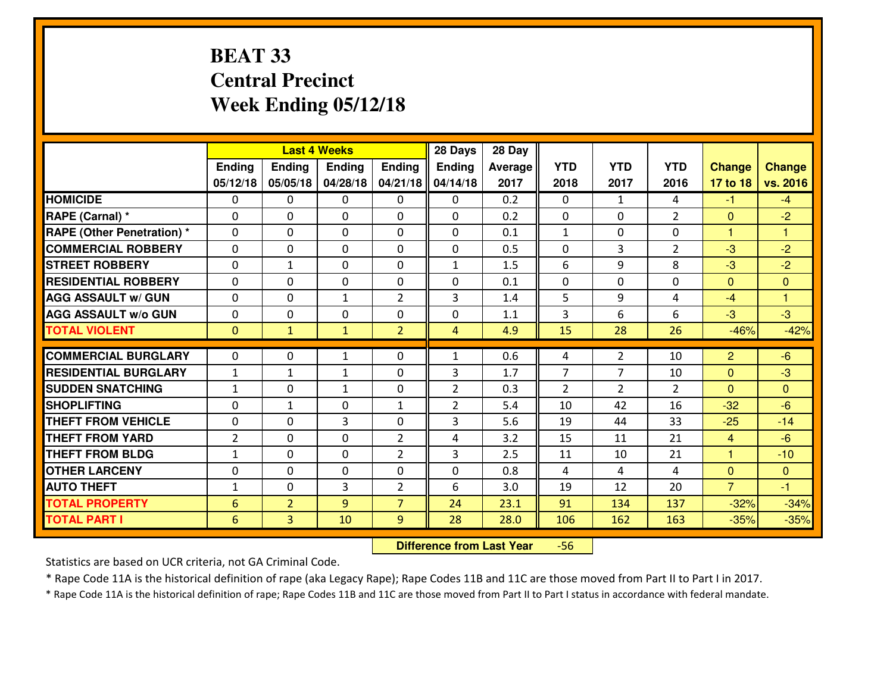# **BEAT 33 Central PrecinctWeek Ending 05/12/18**

|                             |                |                | <b>Last 4 Weeks</b> |                | 28 Days        | 28 Day  |                |                |                |                |               |
|-----------------------------|----------------|----------------|---------------------|----------------|----------------|---------|----------------|----------------|----------------|----------------|---------------|
|                             | <b>Ending</b>  | Ending         | <b>Endina</b>       | <b>Ending</b>  | <b>Ending</b>  | Average | <b>YTD</b>     | <b>YTD</b>     | <b>YTD</b>     | <b>Change</b>  | <b>Change</b> |
|                             | 05/12/18       | 05/05/18       | 04/28/18            | 04/21/18       | 04/14/18       | 2017    | 2018           | 2017           | 2016           | 17 to 18       | vs. 2016      |
| <b>HOMICIDE</b>             | $\Omega$       | $\Omega$       | $\mathbf{0}$        | $\Omega$       | $\Omega$       | 0.2     | $\Omega$       | $\mathbf{1}$   | 4              | $-1$           | $-4$          |
| RAPE (Carnal) *             | $\Omega$       | $\Omega$       | $\mathbf{0}$        | 0              | $\Omega$       | 0.2     | $\Omega$       | $\Omega$       | $\overline{2}$ | $\mathbf{0}$   | $-2$          |
| RAPE (Other Penetration) *  | 0              | $\Omega$       | $\mathbf 0$         | $\Omega$       | $\Omega$       | 0.1     | $\mathbf{1}$   | $\Omega$       | $\Omega$       | 1              | 1             |
| <b>COMMERCIAL ROBBERY</b>   | 0              | 0              | 0                   | $\Omega$       | 0              | 0.5     | $\mathbf 0$    | 3              | $\overline{2}$ | $-3$           | $-2$          |
| <b>STREET ROBBERY</b>       | 0              | $\mathbf{1}$   | $\mathbf 0$         | 0              | $\mathbf{1}$   | 1.5     | 6              | 9              | 8              | $-3$           | $-2$          |
| <b>RESIDENTIAL ROBBERY</b>  | 0              | $\Omega$       | $\mathbf 0$         | $\Omega$       | 0              | 0.1     | $\mathbf 0$    | $\Omega$       | 0              | $\mathbf{0}$   | $\mathbf{0}$  |
| <b>AGG ASSAULT w/ GUN</b>   | 0              | 0              | 1                   | $\overline{2}$ | 3              | 1.4     | 5              | 9              | 4              | $-4$           | 1             |
| <b>AGG ASSAULT W/o GUN</b>  | 0              | 0              | 0                   | 0              | 0              | 1.1     | 3              | 6              | 6              | $-3$           | $-3$          |
| <b>TOTAL VIOLENT</b>        | $\mathbf{0}$   | $\mathbf{1}$   | $\mathbf{1}$        | $\overline{2}$ | 4              | 4.9     | 15             | 28             | 26             | $-46%$         | $-42%$        |
| <b>COMMERCIAL BURGLARY</b>  | $\Omega$       | $\Omega$       | 1                   | $\Omega$       | $\mathbf{1}$   | 0.6     | 4              | $\overline{2}$ | 10             | $\overline{2}$ | $-6$          |
| <b>RESIDENTIAL BURGLARY</b> | $\mathbf{1}$   | $\mathbf{1}$   | $\mathbf{1}$        | 0              | 3              | 1.7     | $\overline{7}$ | $\overline{7}$ | 10             | $\mathbf{0}$   | $-3$          |
| <b>SUDDEN SNATCHING</b>     | $\mathbf{1}$   | 0              | $\mathbf{1}$        | $\Omega$       | $\overline{2}$ | 0.3     | $\overline{2}$ | $\mathcal{L}$  | $\mathcal{L}$  | $\mathbf{0}$   | $\mathbf{0}$  |
| <b>SHOPLIFTING</b>          | 0              | $\mathbf{1}$   | $\mathbf 0$         | $\mathbf{1}$   | $\overline{2}$ | 5.4     | 10             | 42             | 16             | $-32$          | $-6$          |
| <b>THEFT FROM VEHICLE</b>   | 0              | 0              | 3                   | 0              | 3              | 5.6     | 19             | 44             | 33             | $-25$          | $-14$         |
| <b>THEFT FROM YARD</b>      | $\overline{2}$ | $\Omega$       | $\mathbf 0$         | $\overline{2}$ | 4              | 3.2     | 15             | 11             | 21             | $\overline{4}$ | $-6$          |
| <b>THEFT FROM BLDG</b>      | $\mathbf{1}$   | 0              | $\mathbf 0$         | $\overline{2}$ | 3              | 2.5     | 11             | 10             | 21             | $\mathbf{1}$   | $-10$         |
| <b>OTHER LARCENY</b>        | 0              | 0              | $\mathbf 0$         | 0              | 0              | 0.8     | 4              | 4              | 4              | $\overline{0}$ | $\mathbf{0}$  |
| <b>AUTO THEFT</b>           | $\mathbf{1}$   | $\Omega$       | 3                   | $\overline{2}$ | 6              | 3.0     | 19             | 12             | 20             | $\overline{7}$ | -1            |
| <b>TOTAL PROPERTY</b>       | 6              | $\overline{2}$ | 9                   | $\overline{7}$ | 24             | 23.1    | 91             | 134            | 137            | $-32%$         | $-34%$        |
| <b>TOTAL PART I</b>         | 6              | $\overline{3}$ | 10                  | 9              | 28             | 28.0    | 106            | 162            | 163            | $-35%$         | $-35%$        |
|                             |                |                |                     |                |                |         |                |                |                |                |               |

 **Difference from Last Year**-56

Statistics are based on UCR criteria, not GA Criminal Code.

\* Rape Code 11A is the historical definition of rape (aka Legacy Rape); Rape Codes 11B and 11C are those moved from Part II to Part I in 2017.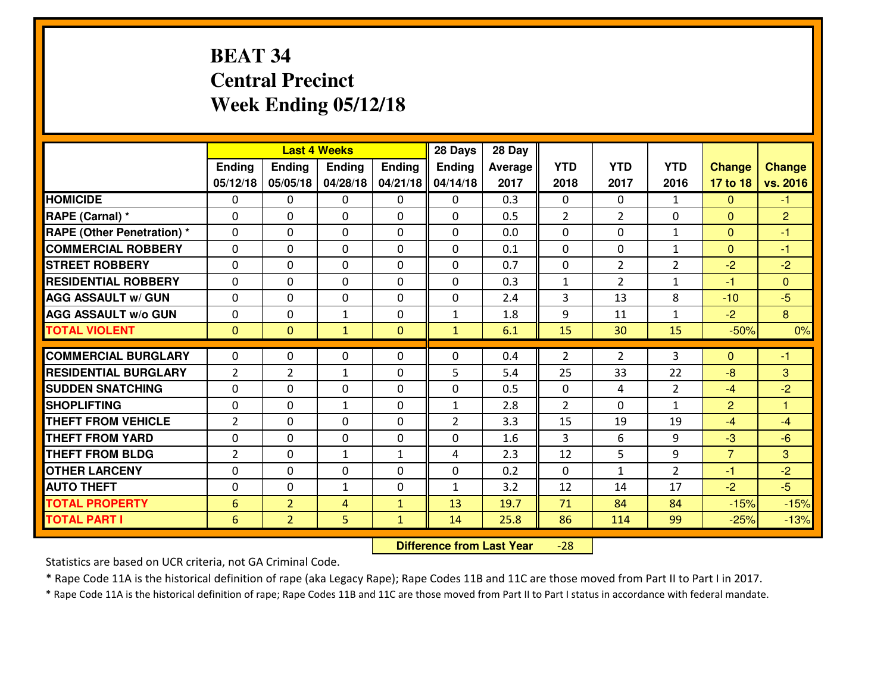# **BEAT 34 Central PrecinctWeek Ending 05/12/18**

|                             |                 |                | <b>Last 4 Weeks</b> |              | 28 Days        | 28 Day         |                |                |                |                |                |
|-----------------------------|-----------------|----------------|---------------------|--------------|----------------|----------------|----------------|----------------|----------------|----------------|----------------|
|                             | Ending          | <b>Ending</b>  | <b>Ending</b>       | Ending       | Ending         | <b>Average</b> | <b>YTD</b>     | <b>YTD</b>     | <b>YTD</b>     | <b>Change</b>  | <b>Change</b>  |
|                             | 05/12/18        | 05/05/18       | 04/28/18            | 04/21/18     | 04/14/18       | 2017           | 2018           | 2017           | 2016           | 17 to 18       | vs. 2016       |
| <b>HOMICIDE</b>             | $\Omega$        | 0              | $\Omega$            | $\Omega$     | 0              | 0.3            | $\Omega$       | $\Omega$       | $\mathbf{1}$   | $\Omega$       | $-1$           |
| RAPE (Carnal) *             | $\mathbf{0}$    | 0              | $\mathbf{0}$        | 0            | $\Omega$       | 0.5            | $\overline{2}$ | $\overline{2}$ | $\Omega$       | $\mathbf{0}$   | $\overline{2}$ |
| RAPE (Other Penetration) *  | $\Omega$        | 0              | $\mathbf{0}$        | $\Omega$     | $\Omega$       | 0.0            | $\Omega$       | $\Omega$       | $\mathbf{1}$   | $\mathbf{0}$   | $-1$           |
| <b>COMMERCIAL ROBBERY</b>   | $\mathbf{0}$    | 0              | 0                   | 0            | 0              | 0.1            | $\mathbf{0}$   | 0              | $\mathbf{1}$   | $\mathbf{0}$   | $-1$           |
| <b>STREET ROBBERY</b>       | 0               | 0              | $\mathbf 0$         | 0            | $\Omega$       | 0.7            | $\mathbf 0$    | $\overline{2}$ | $\overline{2}$ | $-2$           | $-2$           |
| <b>RESIDENTIAL ROBBERY</b>  | $\Omega$        | $\Omega$       | $\mathbf 0$         | $\Omega$     | $\Omega$       | 0.3            | $\mathbf{1}$   | $\overline{2}$ | $\mathbf{1}$   | $-1$           | $\Omega$       |
| <b>AGG ASSAULT w/ GUN</b>   | $\Omega$        | $\Omega$       | $\mathbf 0$         | $\Omega$     | $\Omega$       | 2.4            | 3              | 13             | 8              | $-10$          | $-5$           |
| <b>AGG ASSAULT W/o GUN</b>  | 0               | 0              | $\mathbf{1}$        | 0            | $\mathbf{1}$   | 1.8            | 9              | 11             | $\mathbf{1}$   | $-2$           | 8              |
| <b>TOTAL VIOLENT</b>        | $\mathbf{0}$    | $\overline{0}$ | $\mathbf{1}$        | $\mathbf{0}$ | $\mathbf{1}$   | 6.1            | 15             | 30             | 15             | $-50%$         | 0%             |
| <b>COMMERCIAL BURGLARY</b>  | $\Omega$        | 0              | $\Omega$            | $\Omega$     | $\Omega$       | 0.4            | $\overline{2}$ | $\overline{2}$ | 3              | $\Omega$       | $-1$           |
| <b>RESIDENTIAL BURGLARY</b> | $\overline{2}$  | $\overline{2}$ | $\mathbf{1}$        | 0            | 5              | 5.4            | 25             | 33             | 22             | $-8$           | 3              |
| <b>SUDDEN SNATCHING</b>     | 0               | 0              | $\mathbf 0$         | 0            | 0              | 0.5            | $\mathbf 0$    | 4              | $\overline{2}$ | $-4$           | $-2$           |
| <b>SHOPLIFTING</b>          | 0               | 0              | $\mathbf{1}$        | 0            | $\mathbf{1}$   | 2.8            | $\overline{2}$ | $\Omega$       | $\mathbf{1}$   | $\overline{2}$ | $\mathbf{1}$   |
| <b>THEFT FROM VEHICLE</b>   | $\overline{2}$  | $\Omega$       | $\mathbf 0$         | 0            | $\overline{2}$ | 3.3            | 15             | 19             | 19             | $-4$           | $-4$           |
| <b>THEFT FROM YARD</b>      | 0               | 0              | $\mathbf 0$         | 0            | 0              | 1.6            | $\overline{3}$ | 6              | 9              | $-3$           | $-6$           |
| <b>THEFT FROM BLDG</b>      | $\overline{2}$  | 0              | $\mathbf{1}$        | $\mathbf{1}$ | 4              | 2.3            | 12             | 5              | 9              | $\overline{7}$ | 3              |
| <b>OTHER LARCENY</b>        | 0               | 0              | 0                   | 0            | 0              | 0.2            | $\mathbf 0$    | $\mathbf{1}$   | $\overline{2}$ | $-1$           | $-2$           |
| <b>AUTO THEFT</b>           | $\mathbf{0}$    | 0              | $\mathbf{1}$        | 0            | $\mathbf{1}$   | 3.2            | 12             | 14             | 17             | $-2$           | $-5$           |
| <b>TOTAL PROPERTY</b>       | $6\phantom{1}6$ | $\overline{2}$ | 4                   | $\mathbf{1}$ | 13             | 19.7           | 71             | 84             | 84             | $-15%$         | $-15%$         |
| <b>TOTAL PART I</b>         | 6               | $\overline{2}$ | 5                   | $\mathbf{1}$ | 14             | 25.8           | 86             | 114            | 99             | $-25%$         | $-13%$         |

 **Difference from Last Year**-28

Statistics are based on UCR criteria, not GA Criminal Code.

\* Rape Code 11A is the historical definition of rape (aka Legacy Rape); Rape Codes 11B and 11C are those moved from Part II to Part I in 2017.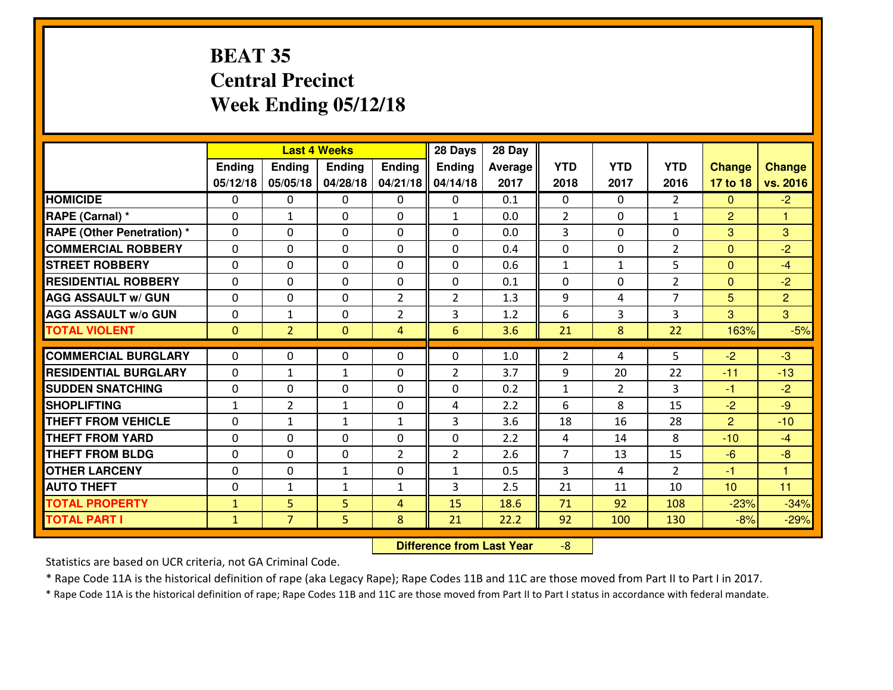# **BEAT 35 Central PrecinctWeek Ending 05/12/18**

|                                  |              |                | <b>Last 4 Weeks</b> |                | 28 Days        | 28 Day  |                |                |                |                |                      |
|----------------------------------|--------------|----------------|---------------------|----------------|----------------|---------|----------------|----------------|----------------|----------------|----------------------|
|                                  | Ending       | Ending         | <b>Ending</b>       | Ending         | <b>Ending</b>  | Average | <b>YTD</b>     | <b>YTD</b>     | <b>YTD</b>     | <b>Change</b>  | <b>Change</b>        |
|                                  | 05/12/18     | 05/05/18       | 04/28/18            | 04/21/18       | 04/14/18       | 2017    | 2018           | 2017           | 2016           | 17 to 18       | vs. 2016             |
| <b>HOMICIDE</b>                  | 0            | 0              | 0                   | 0              | 0              | 0.1     | 0              | $\Omega$       | $\overline{2}$ | $\Omega$       | $-2$                 |
| RAPE (Carnal) *                  | $\Omega$     | $\mathbf{1}$   | 0                   | $\Omega$       | 1              | 0.0     | $\overline{2}$ | $\Omega$       | $\mathbf{1}$   | $\overline{2}$ | 1                    |
| <b>RAPE (Other Penetration)*</b> | $\Omega$     | $\Omega$       | $\Omega$            | $\Omega$       | $\Omega$       | 0.0     | 3              | $\Omega$       | $\Omega$       | 3              | 3                    |
| <b>COMMERCIAL ROBBERY</b>        | $\Omega$     | $\Omega$       | $\mathbf 0$         | $\Omega$       | $\Omega$       | 0.4     | $\Omega$       | $\Omega$       | $\overline{2}$ | $\Omega$       | $-2$                 |
| <b>ISTREET ROBBERY</b>           | $\mathbf{0}$ | 0              | $\mathbf{0}$        | 0              | $\Omega$       | 0.6     | $\mathbf{1}$   | $\mathbf{1}$   | 5              | $\Omega$       | $-4$                 |
| <b>RESIDENTIAL ROBBERY</b>       | 0            | 0              | $\mathbf 0$         | 0              | 0              | 0.1     | 0              | $\mathbf{0}$   | $\overline{2}$ | $\mathbf{0}$   | $-2$                 |
| <b>AGG ASSAULT w/ GUN</b>        | 0            | 0              | $\mathbf 0$         | $\overline{2}$ | $\overline{2}$ | 1.3     | 9              | 4              | $\overline{7}$ | 5              | $\overline{2}$       |
| <b>AGG ASSAULT W/o GUN</b>       | 0            | 1              | $\mathbf{0}$        | $\overline{2}$ | 3              | 1.2     | 6              | 3              | 3              | 3              | $\overline{3}$       |
| <b>TOTAL VIOLENT</b>             | $\mathbf{0}$ | $\overline{2}$ | $\overline{0}$      | 4              | $6\phantom{1}$ | 3.6     | 21             | 8              | 22             | 163%           | $-5%$                |
| <b>COMMERCIAL BURGLARY</b>       | $\Omega$     | 0              | $\mathbf{0}$        | $\Omega$       | $\Omega$       | 1.0     | $\overline{2}$ | 4              | 5              | $-2$           | $-3$                 |
| <b>RESIDENTIAL BURGLARY</b>      | $\Omega$     | $\mathbf{1}$   | 1                   | 0              | $\overline{2}$ | 3.7     | 9              | 20             | 22             | $-11$          | $-13$                |
| <b>SUDDEN SNATCHING</b>          | 0            | 0              | $\mathbf 0$         | $\Omega$       | 0              | 0.2     | $\mathbf{1}$   | $\overline{2}$ | $\overline{3}$ | $-1$           | $-2$                 |
| <b>SHOPLIFTING</b>               | $\mathbf{1}$ | $\overline{2}$ | $\mathbf{1}$        | 0              | 4              | 2.2     | 6              | 8              | 15             | $-2$           | $-9$                 |
| <b>THEFT FROM VEHICLE</b>        | 0            | $\mathbf{1}$   | $\mathbf{1}$        | $\mathbf{1}$   | 3              | 3.6     | 18             | 16             | 28             | 2              | $-10$                |
| <b>THEFT FROM YARD</b>           | 0            | 0              | $\mathbf 0$         | 0              | 0              | 2.2     | 4              | 14             | 8              | $-10$          | $-4$                 |
| <b>THEFT FROM BLDG</b>           | $\mathbf{0}$ | 0              | 0                   | 2              | $\overline{2}$ | 2.6     | $\overline{7}$ | 13             | 15             | $-6$           | $-8$                 |
| <b>OTHER LARCENY</b>             | 0            | 0              | 1                   | 0              | $\mathbf{1}$   | 0.5     | 3              | 4              | $\overline{2}$ | $-1$           | $\blacktriangleleft$ |
| <b>AUTO THEFT</b>                | 0            | $\mathbf{1}$   | 1                   | $\mathbf{1}$   | 3              | 2.5     | 21             | 11             | 10             | 10             | 11                   |
| <b>TOTAL PROPERTY</b>            | $\mathbf{1}$ | 5              | 5                   | $\overline{4}$ | 15             | 18.6    | 71             | 92             | 108            | $-23%$         | $-34%$               |
| <b>TOTAL PART I</b>              | $\mathbf{1}$ | $\overline{7}$ | 5                   | 8              | 21             | 22.2    | 92             | 100            | 130            | $-8%$          | $-29%$               |

 **Difference from Last Year**-8

Statistics are based on UCR criteria, not GA Criminal Code.

\* Rape Code 11A is the historical definition of rape (aka Legacy Rape); Rape Codes 11B and 11C are those moved from Part II to Part I in 2017.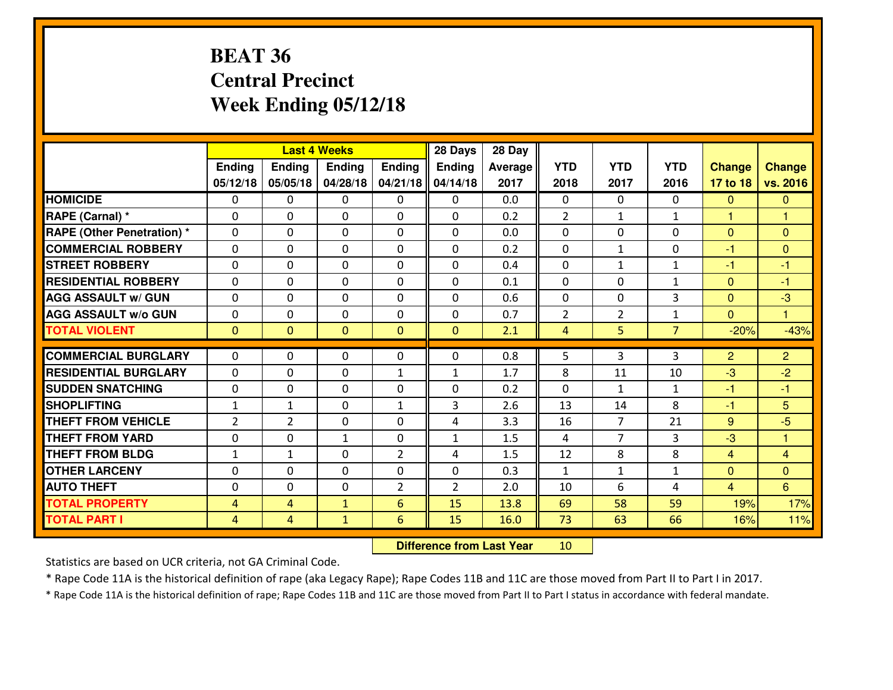# **BEAT 36 Central PrecinctWeek Ending 05/12/18**

|                                   |                |                | <b>Last 4 Weeks</b> |                | 28 Days        | 28 Day         |                |                |                |                |                |
|-----------------------------------|----------------|----------------|---------------------|----------------|----------------|----------------|----------------|----------------|----------------|----------------|----------------|
|                                   | Ending         | <b>Ending</b>  | <b>Ending</b>       | Ending         | <b>Ending</b>  | <b>Average</b> | <b>YTD</b>     | <b>YTD</b>     | <b>YTD</b>     | <b>Change</b>  | <b>Change</b>  |
|                                   | 05/12/18       | 05/05/18       | 04/28/18            | 04/21/18       | 04/14/18       | 2017           | 2018           | 2017           | 2016           | 17 to 18       | vs. 2016       |
| <b>HOMICIDE</b>                   | $\Omega$       | 0              | $\Omega$            | $\Omega$       | 0              | 0.0            | $\Omega$       | $\Omega$       | $\Omega$       | $\mathbf{0}$   | $\Omega$       |
| RAPE (Carnal) *                   | $\Omega$       | 0              | $\Omega$            | $\Omega$       | $\Omega$       | 0.2            | $\overline{2}$ | $\mathbf{1}$   | $\mathbf{1}$   | $\mathbf{1}$   | $\mathbf{1}$   |
| <b>RAPE (Other Penetration) *</b> | 0              | 0              | $\mathbf 0$         | 0              | 0              | 0.0            | $\mathbf 0$    | $\Omega$       | 0              | $\mathbf{0}$   | $\overline{0}$ |
| <b>COMMERCIAL ROBBERY</b>         | 0              | 0              | $\mathbf 0$         | 0              | 0              | 0.2            | $\mathbf 0$    | $\mathbf{1}$   | 0              | $-1$           | $\overline{0}$ |
| <b>STREET ROBBERY</b>             | 0              | 0              | $\mathbf 0$         | 0              | 0              | 0.4            | $\mathbf 0$    | $\mathbf{1}$   | $\mathbf{1}$   | $-1$           | $-1$           |
| <b>RESIDENTIAL ROBBERY</b>        | 0              | 0              | $\mathbf 0$         | 0              | 0              | 0.1            | $\mathbf 0$    | $\mathbf 0$    | $\mathbf{1}$   | $\mathbf{0}$   | $-1$           |
| <b>AGG ASSAULT w/ GUN</b>         | 0              | 0              | 0                   | 0              | 0              | 0.6            | $\mathbf 0$    | $\Omega$       | 3              | $\mathbf 0$    | $-3$           |
| <b>AGG ASSAULT W/o GUN</b>        | 0              | 0              | 0                   | 0              | 0              | 0.7            | $\overline{2}$ | $\overline{2}$ | $\mathbf{1}$   | $\mathbf{0}$   | $\mathbf{1}$   |
| <b>TOTAL VIOLENT</b>              | $\mathbf{0}$   | $\overline{0}$ | $\mathbf{0}$        | $\mathbf{0}$   | $\mathbf{0}$   | 2.1            | $\overline{4}$ | 5              | $\overline{7}$ | $-20%$         | $-43%$         |
| <b>COMMERCIAL BURGLARY</b>        | $\Omega$       | 0              | $\mathbf{0}$        | $\mathbf{0}$   | $\Omega$       | 0.8            | 5              | 3              | 3              | 2              | $\overline{2}$ |
| <b>RESIDENTIAL BURGLARY</b>       | $\mathbf{0}$   | 0              | 0                   | $\mathbf{1}$   | $\mathbf{1}$   | 1.7            | 8              | 11             | 10             | $-3$           | $-2$           |
| <b>SUDDEN SNATCHING</b>           | $\mathbf{0}$   | 0              | 0                   | 0              | 0              | 0.2            | $\mathbf 0$    | $\mathbf{1}$   | $\mathbf{1}$   | $-1$           | $-1$           |
| <b>SHOPLIFTING</b>                | $\mathbf{1}$   | $\mathbf{1}$   | $\mathbf 0$         | $\mathbf{1}$   | 3              | 2.6            | 13             | 14             | 8              | $-1$           | 5 <sup>5</sup> |
| <b>THEFT FROM VEHICLE</b>         | $\overline{2}$ | $\overline{2}$ | 0                   | 0              | 4              | 3.3            | 16             | $\overline{7}$ | 21             | 9              | $-5$           |
| <b>THEFT FROM YARD</b>            | 0              | 0              | 1                   | 0              | $\mathbf{1}$   | 1.5            | 4              | $\overline{7}$ | 3              | $-3$           | $\mathbf{1}$   |
| <b>THEFT FROM BLDG</b>            | $\mathbf{1}$   | 1              | 0                   | 2              | 4              | 1.5            | 12             | 8              | 8              | $\overline{4}$ | $\overline{4}$ |
| <b>OTHER LARCENY</b>              | 0              | 0              | 0                   | 0              | 0              | 0.3            | $\mathbf{1}$   | $\mathbf{1}$   | $\mathbf{1}$   | $\mathbf{0}$   | $\overline{0}$ |
| <b>AUTO THEFT</b>                 | 0              | 0              | $\mathbf 0$         | $\overline{2}$ | $\overline{2}$ | 2.0            | 10             | 6              | 4              | $\overline{4}$ | 6              |
| <b>TOTAL PROPERTY</b>             | $\overline{4}$ | 4              | $\mathbf{1}$        | 6              | 15             | 13.8           | 69             | 58             | 59             | 19%            | 17%            |
| <b>TOTAL PART I</b>               | $\overline{4}$ | 4              | $\mathbf{1}$        | $6\phantom{1}$ | 15             | 16.0           | 73             | 63             | 66             | 16%            | 11%            |
|                                   |                |                |                     |                |                |                |                |                |                |                |                |

 **Difference from Last Year**<sup>10</sup>

Statistics are based on UCR criteria, not GA Criminal Code.

\* Rape Code 11A is the historical definition of rape (aka Legacy Rape); Rape Codes 11B and 11C are those moved from Part II to Part I in 2017.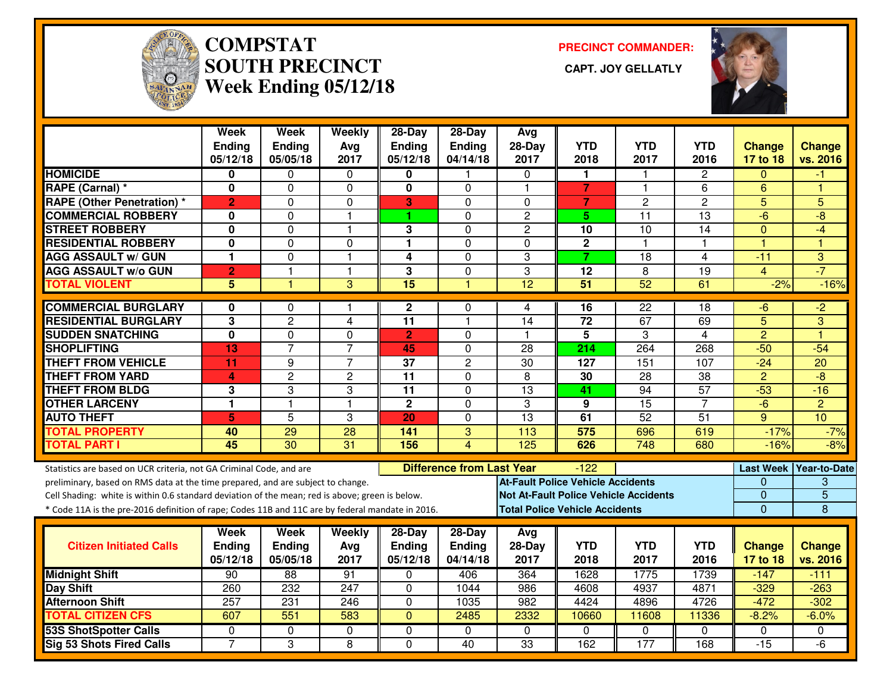

# **COMPSTAT PRECINCT COMMANDER: SOUTH PRECINCT CAPT. JOY GELLATLYWeek Ending 05/12/18**



|                                                                                                  | Week<br><b>Ending</b><br>05/12/18 | Week<br><b>Ending</b><br>05/05/18 | Weekly<br>Avg<br>2017 | 28-Day<br><b>Ending</b><br>05/12/18 | 28-Day<br>Ending<br>04/14/18     | Avg<br>$28-Day$<br>2017 | <b>YTD</b><br>2018                       | <b>YTD</b><br>2017                           | <b>YTD</b><br>2016 | <b>Change</b><br>17 to 18 | <b>Change</b><br>vs. 2016 |
|--------------------------------------------------------------------------------------------------|-----------------------------------|-----------------------------------|-----------------------|-------------------------------------|----------------------------------|-------------------------|------------------------------------------|----------------------------------------------|--------------------|---------------------------|---------------------------|
| <b>HOMICIDE</b>                                                                                  | 0                                 | 0                                 | $\mathbf{0}$          | 0                                   | 1                                | $\mathbf{0}$            | 1                                        | $\mathbf{1}$                                 | $\mathbf{2}$       | $\Omega$                  | -1                        |
| <b>RAPE (Carnal) *</b>                                                                           | $\bf{0}$                          | 0                                 | 0                     | 0                                   | $\Omega$                         | $\overline{\mathbf{1}}$ | $\overline{7}$                           | $\mathbf{1}$                                 | 6                  | 6                         | 1                         |
| <b>RAPE (Other Penetration) *</b>                                                                | $\overline{2}$                    | 0                                 | $\mathbf 0$           | 3                                   | $\Omega$                         | $\mathbf 0$             | $\overline{7}$                           | $\overline{2}$                               | $\overline{2}$     | 5                         | 5                         |
| <b>COMMERCIAL ROBBERY</b>                                                                        | 0                                 | 0                                 | $\mathbf{1}$          | 1                                   | $\Omega$                         | $\overline{2}$          | 5                                        | 11                                           | 13                 | $-6$                      | -8                        |
| <b>STREET ROBBERY</b>                                                                            | 0                                 | 0                                 | $\mathbf{1}$          | 3                                   | 0                                | $\overline{c}$          | 10                                       | 10                                           | 14                 | $\mathbf{0}$              | $-4$                      |
| <b>RESIDENTIAL ROBBERY</b>                                                                       | $\bf{0}$                          | 0                                 | $\mathbf 0$           | 1                                   | $\mathbf 0$                      | $\Omega$                | $\overline{2}$                           | $\mathbf{1}$                                 | 1                  | 1                         | и                         |
| <b>AGG ASSAULT w/ GUN</b>                                                                        | $\mathbf{1}$                      | 0                                 | $\mathbf{1}$          | 4                                   | $\mathbf 0$                      | 3                       | $\overline{7}$                           | 18                                           | $\overline{4}$     | $-11$                     | 3                         |
| <b>AGG ASSAULT w/o GUN</b>                                                                       | $\overline{2}$                    | $\overline{\phantom{a}}$          | $\mathbf{1}$          | 3                                   | $\mathbf 0$                      | 3                       | 12                                       | 8                                            | 19                 | 4                         | $-7$                      |
| <b>TOTAL VIOLENT</b>                                                                             | 5                                 | 1                                 | 3                     | $\overline{15}$                     | 1                                | $\overline{12}$         | $\overline{51}$                          | $\overline{52}$                              | 61                 | $-2%$                     | $-16%$                    |
| <b>COMMERCIAL BURGLARY</b>                                                                       | 0                                 | 0                                 | 1                     | 2                                   | 0                                | 4                       | 16                                       | 22                                           | 18                 | -6                        | $-2$                      |
| <b>RESIDENTIAL BURGLARY</b>                                                                      | 3                                 | $\overline{2}$                    | $\overline{4}$        | 11                                  | $\mathbf{1}$                     | 14                      | 72                                       | 67                                           | 69                 | 5                         | 3                         |
| <b>SUDDEN SNATCHING</b>                                                                          | $\overline{\mathbf{0}}$           | 0                                 | $\mathbf 0$           | $\overline{2}$                      | $\Omega$                         | $\overline{\mathbf{1}}$ | $\overline{5}$                           | 3                                            | $\overline{4}$     | $\overline{2}$            | ۴                         |
| <b>SHOPLIFTING</b>                                                                               | 13                                | $\overline{7}$                    | $\overline{7}$        | 45                                  | $\Omega$                         | 28                      | 214                                      | 264                                          | 268                | $-50$                     | $-54$                     |
| <b>THEFT FROM VEHICLE</b>                                                                        | 11                                | 9                                 | $\overline{7}$        | 37                                  | $\overline{2}$                   | $\overline{30}$         | 127                                      | 151                                          | 107                | $-24$                     | $\overline{20}$           |
| <b>THEFT FROM YARD</b>                                                                           | 4                                 | $\overline{2}$                    | $\overline{2}$        | $\overline{11}$                     | $\mathbf 0$                      | 8                       | 30                                       | $\overline{28}$                              | $\overline{38}$    | $\overline{2}$            | $\overline{-8}$           |
| <b>THEFT FROM BLDG</b>                                                                           | 3                                 | 3                                 | 3                     | 11                                  | $\Omega$                         | 13                      | 41                                       | 94                                           | $\overline{57}$    | $-53$                     | $-16$                     |
| <b>OTHER LARCENY</b>                                                                             | 1                                 | $\overline{1}$                    | $\overline{1}$        | $\mathbf 2$                         | $\mathbf 0$                      | 3                       | 9                                        | 15                                           | $\overline{7}$     | $-6$                      | $\overline{2}$            |
| <b>AUTO THEFT</b>                                                                                | 5                                 | $\overline{5}$                    | 3                     | 20                                  | $\Omega$                         | $\overline{13}$         | 61                                       | 52                                           | 51                 | 9                         | 10                        |
| <b>TOTAL PROPERTY</b>                                                                            | 40                                | 29                                | 28                    | 141                                 | 3                                | 113                     | 575                                      | 696                                          | 619                | $-17%$                    | $-7%$                     |
| <b>TOTAL PART I</b>                                                                              | 45                                | $\overline{30}$                   | 31                    | 156                                 | $\overline{4}$                   | 125                     | 626                                      | 748                                          | 680                | $-16%$                    | $-8%$                     |
| Statistics are based on UCR criteria, not GA Criminal Code, and are                              |                                   |                                   |                       |                                     | <b>Difference from Last Year</b> |                         | -122                                     |                                              |                    |                           | Last Week   Year-to-Date  |
| preliminary, based on RMS data at the time prepared, and are subject to change.                  |                                   |                                   |                       |                                     |                                  |                         | <b>At-Fault Police Vehicle Accidents</b> |                                              |                    | $\overline{0}$            | 3                         |
| Cell Shading: white is within 0.6 standard deviation of the mean; red is above; green is below.  |                                   |                                   |                       |                                     |                                  |                         |                                          | <b>Not At-Fault Police Vehicle Accidents</b> |                    | 0                         | $\overline{5}$            |
| * Code 11A is the pre-2016 definition of rape; Codes 11B and 11C are by federal mandate in 2016. |                                   |                                   |                       |                                     |                                  |                         | <b>Total Police Vehicle Accidents</b>    |                                              |                    | $\overline{0}$            | 8                         |
|                                                                                                  | Week                              | Week                              | Weekly                | 28-Day                              | $28$ -Day                        | Avg                     |                                          |                                              |                    |                           |                           |
| <b>Citizen Initiated Calls</b>                                                                   | <b>Ending</b>                     | <b>Ending</b>                     | Avg                   | Ending                              | Ending                           | 28-Day                  | <b>YTD</b>                               | <b>YTD</b>                                   | <b>YTD</b>         | <b>Change</b>             | <b>Change</b>             |
|                                                                                                  | 05/12/18                          | 05/05/18                          | 2017                  | 05/12/18                            | 04/14/18                         | 2017                    | 2018                                     | 2017                                         | 2016               | 17 to 18                  | vs. 2016                  |
| <b>Midnight Shift</b>                                                                            | 90                                | $\overline{88}$                   | 91                    | $\Omega$                            | 406                              | 364                     | 1628                                     | 1775                                         | 1739               | $-147$                    | $-111$                    |
| <b>Day Shift</b>                                                                                 | 260                               | 232                               | 247                   | 0                                   | 1044                             | 986                     | 4608                                     | 4937                                         | 4871               | $-329$                    | $-263$                    |
| <b>Afternoon Shift</b>                                                                           | 257                               | 231                               | 246                   | 0                                   | 1035                             | 982                     | 4424                                     | 4896                                         | 4726               | $-472$                    | $-302$                    |
| <b>TOTAL CITIZEN CFS</b>                                                                         | 607                               | 551                               | 583                   | $\overline{0}$                      | 2485                             | 2332                    | 10660                                    | 11608                                        | 11336              | $-8.2%$                   | $-6.0%$                   |
| <b>53S ShotSpotter Calls</b>                                                                     | $\Omega$                          | 0                                 | $\mathbf 0$           | $\Omega$                            | $\mathbf{0}$                     | $\Omega$                | $\Omega$                                 | $\Omega$                                     | $\Omega$           | $\Omega$                  | 0                         |
| <b>Sig 53 Shots Fired Calls</b>                                                                  | $\overline{7}$                    | 3                                 | 8                     | $\Omega$                            | 40                               | 33                      | 162                                      | 177                                          | 168                | $-15$                     | $-6$                      |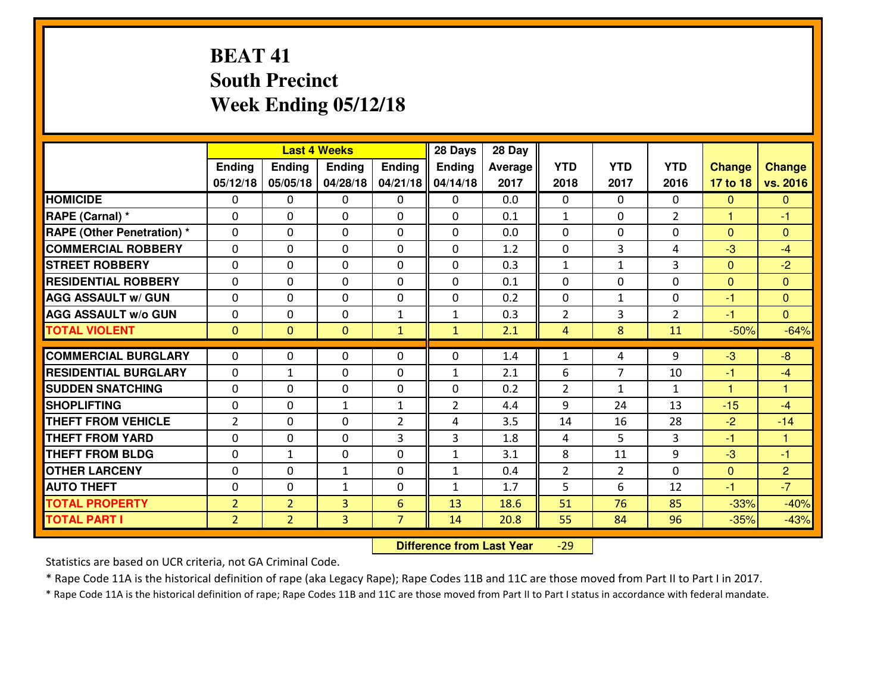# **BEAT 41 South PrecinctWeek Ending 05/12/18**

|                                   |                |                | <b>Last 4 Weeks</b> |                | 28 Days        | 28 Day  |                |                |                |                |                      |
|-----------------------------------|----------------|----------------|---------------------|----------------|----------------|---------|----------------|----------------|----------------|----------------|----------------------|
|                                   | <b>Ending</b>  | <b>Ending</b>  | <b>Endina</b>       | <b>Ending</b>  | <b>Ending</b>  | Average | <b>YTD</b>     | <b>YTD</b>     | <b>YTD</b>     | <b>Change</b>  | <b>Change</b>        |
|                                   | 05/12/18       | 05/05/18       | 04/28/18            | 04/21/18       | 04/14/18       | 2017    | 2018           | 2017           | 2016           | 17 to 18       | vs. 2016             |
| <b>HOMICIDE</b>                   | $\Omega$       | 0              | 0                   | $\Omega$       | 0              | 0.0     | 0              | $\Omega$       | 0              | $\Omega$       | $\Omega$             |
| RAPE (Carnal) *                   | $\Omega$       | $\Omega$       | $\mathbf 0$         | $\Omega$       | $\Omega$       | 0.1     | $\mathbf{1}$   | $\Omega$       | $\mathcal{P}$  | $\mathbf{1}$   | $-1$                 |
| <b>RAPE (Other Penetration) *</b> | 0              | 0              | $\mathbf 0$         | 0              | 0              | 0.0     | 0              | 0              | 0              | $\overline{0}$ | $\overline{0}$       |
| <b>COMMERCIAL ROBBERY</b>         | 0              | 0              | $\mathbf 0$         | 0              | 0              | 1.2     | 0              | 3              | 4              | $-3$           | $-4$                 |
| <b>STREET ROBBERY</b>             | 0              | 0              | $\mathbf 0$         | 0              | 0              | 0.3     | $\mathbf 1$    | $\mathbf{1}$   | 3              | $\mathbf{0}$   | $-2$                 |
| <b>RESIDENTIAL ROBBERY</b>        | 0              | 0              | $\mathbf 0$         | $\Omega$       | 0              | 0.1     | 0              | $\Omega$       | 0              | $\Omega$       | $\overline{0}$       |
| <b>AGG ASSAULT w/ GUN</b>         | 0              | 0              | $\mathbf 0$         | 0              | 0              | 0.2     | $\mathbf 0$    | $\mathbf{1}$   | 0              | $-1$           | $\overline{0}$       |
| <b>AGG ASSAULT W/o GUN</b>        | 0              | 0              | $\mathbf 0$         | $\mathbf{1}$   | $\mathbf{1}$   | 0.3     | $\overline{2}$ | 3              | $\overline{2}$ | $-1$           | $\overline{0}$       |
| <b>TOTAL VIOLENT</b>              | $\mathbf{0}$   | $\overline{0}$ | $\overline{0}$      | $\mathbf{1}$   | $\mathbf{1}$   | 2.1     | $\overline{4}$ | 8              | 11             | $-50%$         | $-64%$               |
| <b>COMMERCIAL BURGLARY</b>        | $\Omega$       | 0              | 0                   | $\Omega$       | 0              | 1.4     | $\mathbf{1}$   | 4              | 9              | $-3$           | $-8$                 |
| <b>RESIDENTIAL BURGLARY</b>       | 0              | 1              | $\mathbf 0$         | 0              | $\mathbf{1}$   | 2.1     | 6              | 7              | 10             | $-1$           | $-4$                 |
| <b>SUDDEN SNATCHING</b>           | 0              | $\Omega$       | $\mathbf 0$         | $\Omega$       | 0              | 0.2     | $\overline{2}$ | $\mathbf{1}$   | $\mathbf{1}$   | $\mathbf{1}$   | $\blacktriangleleft$ |
| <b>SHOPLIFTING</b>                | 0              | 0              | 1                   | $\mathbf{1}$   | $\overline{2}$ | 4.4     | 9              | 24             | 13             | $-15$          | $-4$                 |
| <b>THEFT FROM VEHICLE</b>         | $\overline{2}$ | 0              | 0                   | 2              | 4              | 3.5     | 14             | 16             | 28             | $-2$           | $-14$                |
| <b>THEFT FROM YARD</b>            | 0              | 0              | $\mathbf 0$         | 3              | 3              | 1.8     | 4              | 5              | 3              | $-1$           | 1                    |
| <b>THEFT FROM BLDG</b>            | 0              | $\mathbf{1}$   | $\mathbf{0}$        | $\Omega$       | $\mathbf{1}$   | 3.1     | 8              | 11             | 9              | $-3$           | $-1$                 |
| <b>OTHER LARCENY</b>              | $\mathbf 0$    | $\mathbf 0$    | $\mathbf{1}$        | $\mathbf 0$    | $\mathbf{1}$   | 0.4     | $\overline{2}$ | $\overline{2}$ | 0              | $\mathbf{0}$   | $\overline{2}$       |
| <b>AUTO THEFT</b>                 | $\Omega$       | $\Omega$       | $\mathbf{1}$        | $\Omega$       | $\mathbf{1}$   | 1.7     | 5              | 6              | 12             | $-1$           | $-7$                 |
| <b>TOTAL PROPERTY</b>             | $\overline{2}$ | $\overline{2}$ | 3                   | 6              | 13             | 18.6    | 51             | 76             | 85             | $-33%$         | $-40%$               |
| <b>TOTAL PART I</b>               | $\overline{2}$ | $\overline{2}$ | 3                   | $\overline{7}$ | 14             | 20.8    | 55             | 84             | 96             | $-35%$         | $-43%$               |

 **Difference from Last Year**-29

Statistics are based on UCR criteria, not GA Criminal Code.

\* Rape Code 11A is the historical definition of rape (aka Legacy Rape); Rape Codes 11B and 11C are those moved from Part II to Part I in 2017.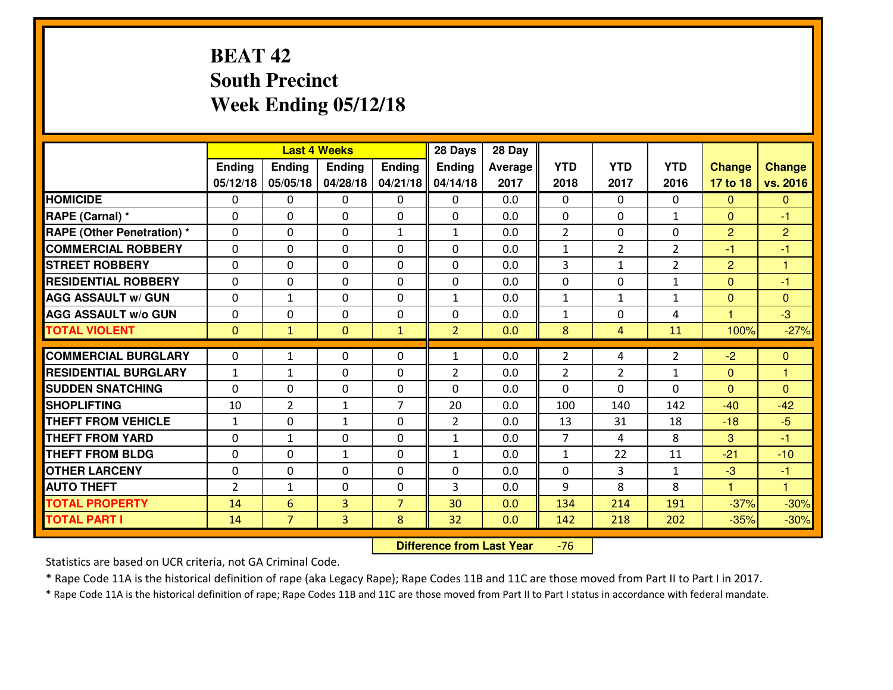# **BEAT 42 South PrecinctWeek Ending 05/12/18**

|                                  |                |                | <b>Last 4 Weeks</b> |                | 28 Days        | 28 Day  |                |                |                |                |                |
|----------------------------------|----------------|----------------|---------------------|----------------|----------------|---------|----------------|----------------|----------------|----------------|----------------|
|                                  | <b>Ending</b>  | <b>Ending</b>  | <b>Endina</b>       | <b>Ending</b>  | <b>Ending</b>  | Average | <b>YTD</b>     | <b>YTD</b>     | <b>YTD</b>     | <b>Change</b>  | <b>Change</b>  |
|                                  | 05/12/18       | 05/05/18       | 04/28/18            | 04/21/18       | 04/14/18       | 2017    | 2018           | 2017           | 2016           | 17 to 18       | vs. 2016       |
| <b>HOMICIDE</b>                  | $\Omega$       | 0              | 0                   | 0              | 0              | 0.0     | 0              | $\Omega$       | 0              | $\Omega$       | $\mathbf{0}$   |
| RAPE (Carnal) *                  | $\Omega$       | 0              | $\mathbf{0}$        | 0              | $\Omega$       | 0.0     | $\Omega$       | $\Omega$       | $\mathbf{1}$   | $\Omega$       | -1             |
| <b>RAPE (Other Penetration)*</b> | $\Omega$       | $\Omega$       | $\mathbf 0$         | $\mathbf{1}$   | $\mathbf{1}$   | 0.0     | 2              | 0              | $\Omega$       | $\overline{2}$ | $\overline{2}$ |
| <b>COMMERCIAL ROBBERY</b>        | $\Omega$       | 0              | $\mathbf 0$         | $\Omega$       | 0              | 0.0     | $\mathbf{1}$   | $\overline{2}$ | $\overline{2}$ | $-1$           | $-1$           |
| <b>STREET ROBBERY</b>            | $\Omega$       | $\Omega$       | $\mathbf 0$         | $\Omega$       | $\Omega$       | 0.0     | 3              | $\mathbf{1}$   | $\overline{2}$ | $\overline{2}$ | $\overline{1}$ |
| <b>RESIDENTIAL ROBBERY</b>       | $\Omega$       | $\Omega$       | $\mathbf 0$         | $\Omega$       | 0              | 0.0     | 0              | $\Omega$       | $\mathbf{1}$   | $\Omega$       | $-1$           |
| <b>AGG ASSAULT w/ GUN</b>        | $\Omega$       | $\mathbf{1}$   | $\mathbf 0$         | $\Omega$       | $\mathbf{1}$   | 0.0     | $\mathbf 1$    | $\mathbf{1}$   | $\mathbf{1}$   | $\mathbf{0}$   | $\overline{0}$ |
| <b>AGG ASSAULT w/o GUN</b>       | 0              | 0              | $\mathbf 0$         | 0              | 0              | 0.0     | $\mathbf{1}$   | 0              | 4              | $\overline{1}$ | $-3$           |
| <b>TOTAL VIOLENT</b>             | $\mathbf{0}$   | $\mathbf{1}$   | $\mathbf{0}$        | $\mathbf{1}$   | $\overline{2}$ | 0.0     | 8              | 4              | 11             | 100%           | $-27%$         |
| <b>COMMERCIAL BURGLARY</b>       | $\Omega$       | $\mathbf{1}$   |                     | 0              |                | 0.0     | $\overline{2}$ | 4              | $\overline{2}$ | $-2$           | $\mathbf{0}$   |
|                                  |                |                | 0                   |                | $\mathbf{1}$   |         |                |                |                |                |                |
| <b>RESIDENTIAL BURGLARY</b>      | $\mathbf{1}$   | $\mathbf{1}$   | $\mathbf 0$         | 0              | $\overline{2}$ | 0.0     | $\overline{2}$ | $\overline{2}$ | $\mathbf{1}$   | $\Omega$       | $\mathbf{1}$   |
| <b>SUDDEN SNATCHING</b>          | $\Omega$       | 0              | $\mathbf 0$         | 0              | 0              | 0.0     | $\Omega$       | 0              | $\Omega$       | $\Omega$       | $\mathbf{0}$   |
| <b>SHOPLIFTING</b>               | 10             | $\overline{2}$ | $\mathbf{1}$        | $\overline{7}$ | 20             | 0.0     | 100            | 140            | 142            | $-40$          | $-42$          |
| <b>THEFT FROM VEHICLE</b>        | $1\,$          | 0              | 1                   | $\Omega$       | $\overline{2}$ | 0.0     | 13             | 31             | 18             | $-18$          | $-5$           |
| <b>THEFT FROM YARD</b>           | $\mathbf 0$    | 1              | $\mathbf 0$         | 0              | $\mathbf{1}$   | 0.0     | $\overline{7}$ | 4              | 8              | 3              | $-1$           |
| <b>THEFT FROM BLDG</b>           | 0              | 0              | $\mathbf{1}$        | 0              | $\mathbf{1}$   | 0.0     | $\mathbf 1$    | 22             | 11             | $-21$          | $-10$          |
| <b>OTHER LARCENY</b>             | 0              | 0              | $\mathbf 0$         | 0              | 0              | 0.0     | $\mathbf 0$    | 3              | $\mathbf{1}$   | -3             | $-1$           |
| <b>AUTO THEFT</b>                | $\overline{2}$ | $\mathbf{1}$   | $\mathbf 0$         | 0              | 3              | 0.0     | 9              | 8              | 8              | $\mathbf{1}$   | $\mathbf{1}$   |
| <b>TOTAL PROPERTY</b>            | 14             | 6              | 3                   | $\overline{7}$ | 30             | 0.0     | 134            | 214            | 191            | $-37%$         | $-30%$         |
| <b>TOTAL PART I</b>              | 14             | $\overline{7}$ | 3                   | 8              | 32             | 0.0     | 142            | 218            | 202            | $-35%$         | $-30%$         |

 **Difference from Last Year**-76

Statistics are based on UCR criteria, not GA Criminal Code.

\* Rape Code 11A is the historical definition of rape (aka Legacy Rape); Rape Codes 11B and 11C are those moved from Part II to Part I in 2017.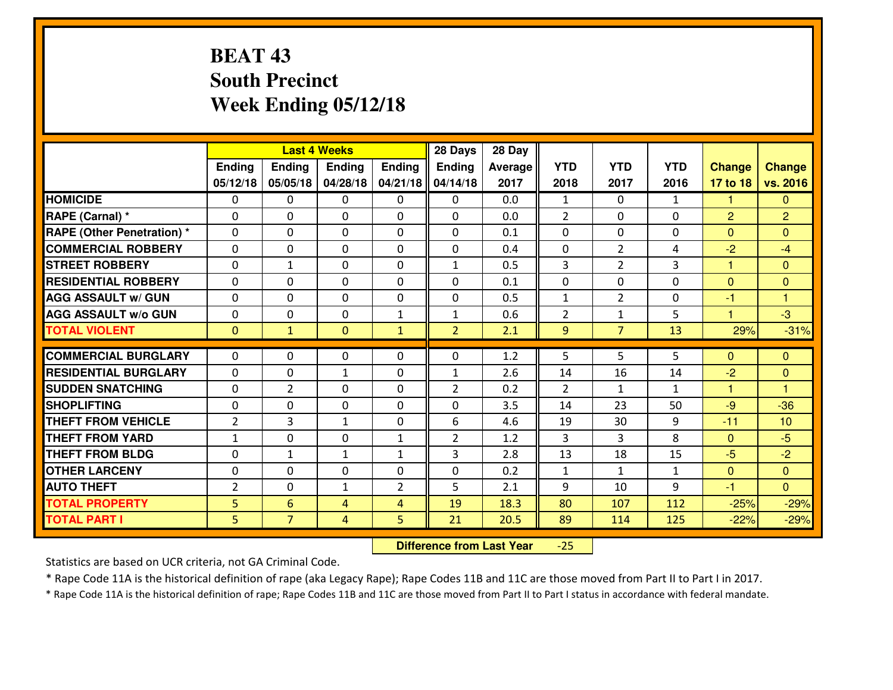# **BEAT 43 South PrecinctWeek Ending 05/12/18**

|                                   |                |                | <b>Last 4 Weeks</b> |                | 28 Days        | 28 Day  |                |                |              |                |                         |
|-----------------------------------|----------------|----------------|---------------------|----------------|----------------|---------|----------------|----------------|--------------|----------------|-------------------------|
|                                   | <b>Ending</b>  | <b>Ending</b>  | <b>Endina</b>       | <b>Ending</b>  | <b>Ending</b>  | Average | <b>YTD</b>     | <b>YTD</b>     | <b>YTD</b>   | <b>Change</b>  | <b>Change</b>           |
|                                   | 05/12/18       | 05/05/18       | 04/28/18            | 04/21/18       | 04/14/18       | 2017    | 2018           | 2017           | 2016         | 17 to 18       | vs. 2016                |
| <b>HOMICIDE</b>                   | $\Omega$       | 0              | 0                   | $\Omega$       | 0              | 0.0     | 1              | $\Omega$       | $\mathbf{1}$ | 1              | $\mathbf{0}$            |
| RAPE (Carnal) *                   | $\Omega$       | $\Omega$       | $\mathbf 0$         | $\Omega$       | $\Omega$       | 0.0     | $\overline{2}$ | $\Omega$       | $\Omega$     | 2              | $\overline{2}$          |
| <b>RAPE (Other Penetration) *</b> | 0              | 0              | $\mathbf 0$         | 0              | 0              | 0.1     | 0              | 0              | 0            | $\overline{0}$ | $\Omega$                |
| <b>COMMERCIAL ROBBERY</b>         | 0              | 0              | $\mathbf 0$         | 0              | 0              | 0.4     | 0              | $\overline{2}$ | 4            | $-2$           | $-4$                    |
| <b>STREET ROBBERY</b>             | 0              | $\mathbf{1}$   | $\mathbf 0$         | 0              | $\mathbf{1}$   | 0.5     | 3              | $\overline{2}$ | 3            | $\mathbf{1}$   | $\overline{0}$          |
| <b>RESIDENTIAL ROBBERY</b>        | 0              | 0              | $\mathbf 0$         | $\Omega$       | 0              | 0.1     | 0              | $\Omega$       | 0            | $\mathbf{0}$   | $\overline{0}$          |
| <b>AGG ASSAULT w/ GUN</b>         | 0              | 0              | $\mathbf 0$         | 0              | 0              | 0.5     | $\mathbf{1}$   | $\overline{2}$ | 0            | $-1$           | $\overline{\mathbf{1}}$ |
| <b>AGG ASSAULT W/o GUN</b>        | 0              | 0              | $\mathbf 0$         | $\mathbf{1}$   | $\mathbf{1}$   | 0.6     | $\overline{2}$ | 1              | 5            | $\mathbf{1}$   | $-3$                    |
| <b>TOTAL VIOLENT</b>              | $\mathbf{0}$   | $\mathbf{1}$   | $\mathbf{0}$        | $\mathbf{1}$   | $\overline{2}$ | 2.1     | 9              | $\overline{7}$ | 13           | 29%            | $-31%$                  |
| <b>COMMERCIAL BURGLARY</b>        | $\Omega$       | 0              | 0                   | $\Omega$       | 0              | 1.2     | 5              | 5              | 5            | $\Omega$       | $\mathbf{0}$            |
| <b>RESIDENTIAL BURGLARY</b>       | 0              | 0              | $\mathbf{1}$        | 0              | $\mathbf{1}$   | 2.6     | 14             | 16             | 14           | $-2$           | $\overline{0}$          |
| <b>SUDDEN SNATCHING</b>           | 0              | $\overline{2}$ | $\mathbf 0$         | $\Omega$       | $\overline{2}$ | 0.2     | $\overline{2}$ | $\mathbf{1}$   | $\mathbf{1}$ | $\mathbf{1}$   | 1                       |
| <b>SHOPLIFTING</b>                | 0              | 0              | $\mathbf 0$         | 0              | 0              | 3.5     | 14             | 23             | 50           | $-9$           | $-36$                   |
| <b>THEFT FROM VEHICLE</b>         | $\overline{2}$ | 3              | 1                   | 0              | 6              | 4.6     | 19             | 30             | 9            | $-11$          | 10                      |
| <b>THEFT FROM YARD</b>            | $\mathbf{1}$   | 0              | $\mathbf 0$         | $\mathbf{1}$   | $\overline{2}$ | 1.2     | 3              | 3              | 8            | $\mathbf{0}$   | $-5$                    |
| <b>THEFT FROM BLDG</b>            | 0              | $\mathbf{1}$   | $\mathbf{1}$        | $\mathbf{1}$   | 3              | 2.8     | 13             | 18             | 15           | $-5$           | $-2$                    |
| <b>OTHER LARCENY</b>              | $\mathbf 0$    | $\mathbf 0$    | $\mathbf 0$         | $\mathbf 0$    | 0              | 0.2     | $\mathbf 1$    | $\mathbf{1}$   | $\mathbf{1}$ | $\mathbf{0}$   | $\overline{0}$          |
| <b>AUTO THEFT</b>                 | $\overline{2}$ | $\Omega$       | $\mathbf{1}$        | $\overline{2}$ | 5              | 2.1     | 9              | 10             | 9            | $-1$           | $\Omega$                |
| <b>TOTAL PROPERTY</b>             | 5              | 6              | 4                   | $\overline{4}$ | 19             | 18.3    | 80             | 107            | 112          | $-25%$         | $-29%$                  |
| <b>TOTAL PART I</b>               | 5              | $\overline{7}$ | $\overline{4}$      | 5              | 21             | 20.5    | 89             | 114            | 125          | $-22%$         | $-29%$                  |
|                                   |                |                |                     |                |                |         |                |                |              |                |                         |

 **Difference from Last Year** $-25$ 

Statistics are based on UCR criteria, not GA Criminal Code.

\* Rape Code 11A is the historical definition of rape (aka Legacy Rape); Rape Codes 11B and 11C are those moved from Part II to Part I in 2017.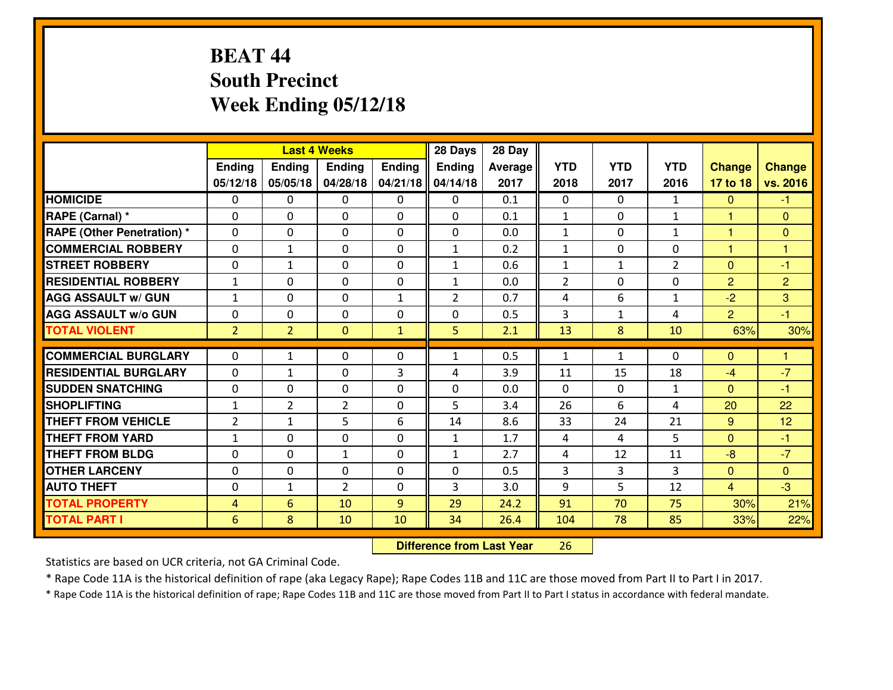# **BEAT 44 South PrecinctWeek Ending 05/12/18**

|                                   |                |                 | <b>Last 4 Weeks</b> |               | 28 Days        | 28 Day  |                |              |                |                |                |
|-----------------------------------|----------------|-----------------|---------------------|---------------|----------------|---------|----------------|--------------|----------------|----------------|----------------|
|                                   | Ending         | <b>Ending</b>   | <b>Ending</b>       | <b>Ending</b> | <b>Ending</b>  | Average | <b>YTD</b>     | <b>YTD</b>   | <b>YTD</b>     | <b>Change</b>  | <b>Change</b>  |
|                                   | 05/12/18       | 05/05/18        | 04/28/18            | 04/21/18      | 04/14/18       | 2017    | 2018           | 2017         | 2016           | 17 to 18       | vs. 2016       |
| <b>HOMICIDE</b>                   | $\Omega$       | 0               | $\mathbf{0}$        | $\Omega$      | 0              | 0.1     | $\Omega$       | $\Omega$     | $\mathbf{1}$   | $\mathbf{0}$   | $-1$           |
| RAPE (Carnal) *                   | $\Omega$       | 0               | $\Omega$            | 0             | $\Omega$       | 0.1     | $\mathbf{1}$   | $\Omega$     | $\mathbf{1}$   | $\mathbf{1}$   | $\Omega$       |
| <b>RAPE (Other Penetration) *</b> | $\Omega$       | 0               | $\mathbf 0$         | 0             | 0              | 0.0     | $\mathbf{1}$   | 0            | $\mathbf{1}$   | 1              | $\mathbf{0}$   |
| <b>COMMERCIAL ROBBERY</b>         | 0              | 1               | 0                   | 0             | $\mathbf{1}$   | 0.2     | $\mathbf{1}$   | 0            | $\Omega$       | 1              | 1              |
| <b>STREET ROBBERY</b>             | 0              | $\mathbf{1}$    | $\mathbf 0$         | 0             | $\mathbf{1}$   | 0.6     | $\mathbf 1$    | $\mathbf{1}$ | $\overline{2}$ | $\mathbf{0}$   | $-1$           |
| <b>RESIDENTIAL ROBBERY</b>        | $\mathbf{1}$   | 0               | $\mathbf 0$         | 0             | $\mathbf{1}$   | 0.0     | $\overline{2}$ | $\mathbf 0$  | 0              | $\overline{2}$ | $\overline{2}$ |
| <b>AGG ASSAULT W/ GUN</b>         | $\mathbf{1}$   | 0               | $\mathbf 0$         | $\mathbf{1}$  | $\overline{2}$ | 0.7     | 4              | 6            | $\mathbf{1}$   | $-2$           | 3              |
| <b>AGG ASSAULT W/o GUN</b>        | 0              | 0               | $\mathbf 0$         | 0             | 0              | 0.5     | 3              | $\mathbf{1}$ | 4              | $\overline{2}$ | $-1$           |
| <b>TOTAL VIOLENT</b>              | 2 <sup>1</sup> | $\overline{2}$  | $\mathbf{O}$        | $\mathbf{1}$  | 5              | 2.1     | 13             | 8            | 10             | 63%            | 30%            |
|                                   |                |                 |                     |               |                |         |                |              |                |                |                |
| <b>COMMERCIAL BURGLARY</b>        | $\Omega$       | 1               | $\mathbf{0}$        | 0             | $\mathbf{1}$   | 0.5     | 1              | $\mathbf{1}$ | 0              | $\mathbf{0}$   | $\mathbf{1}$   |
| <b>RESIDENTIAL BURGLARY</b>       | $\Omega$       | 1               | $\mathbf 0$         | 3             | 4              | 3.9     | 11             | 15           | 18             | $-4$           | $-7$           |
| <b>SUDDEN SNATCHING</b>           | $\mathbf{0}$   | 0               | $\mathbf{0}$        | $\Omega$      | $\Omega$       | 0.0     | $\Omega$       | $\Omega$     | $\mathbf{1}$   | $\mathbf{0}$   | $-1$           |
| <b>SHOPLIFTING</b>                | $\mathbf{1}$   | $\overline{2}$  | $\overline{2}$      | $\Omega$      | 5              | 3.4     | 26             | 6            | 4              | 20             | 22             |
| <b>THEFT FROM VEHICLE</b>         | $\overline{2}$ | 1               | 5                   | 6             | 14             | 8.6     | 33             | 24           | 21             | 9              | 12             |
| <b>THEFT FROM YARD</b>            | $\mathbf{1}$   | 0               | $\mathbf 0$         | 0             | $\mathbf{1}$   | 1.7     | 4              | 4            | 5              | $\mathbf{0}$   | $-1$           |
| <b>THEFT FROM BLDG</b>            | 0              | $\Omega$        | $\mathbf{1}$        | 0             | $\mathbf{1}$   | 2.7     | 4              | 12           | 11             | $-8$           | $-7$           |
| <b>OTHER LARCENY</b>              | 0              | 0               | $\mathbf 0$         | 0             | 0              | 0.5     | 3              | 3            | 3              | $\overline{0}$ | $\mathbf{0}$   |
| <b>AUTO THEFT</b>                 | 0              | 1               | $\overline{2}$      | 0             | 3              | 3.0     | 9              | 5            | 12             | $\overline{4}$ | $-3$           |
| <b>TOTAL PROPERTY</b>             | $\overline{4}$ | $6\overline{6}$ | 10                  | 9             | 29             | 24.2    | 91             | 70           | 75             | 30%            | 21%            |
| <b>TOTAL PART I</b>               | 6              | 8               | 10                  | 10            | 34             | 26.4    | 104            | 78           | 85             | 33%            | 22%            |

 **Difference from Last Year**<sup>26</sup>

Statistics are based on UCR criteria, not GA Criminal Code.

\* Rape Code 11A is the historical definition of rape (aka Legacy Rape); Rape Codes 11B and 11C are those moved from Part II to Part I in 2017.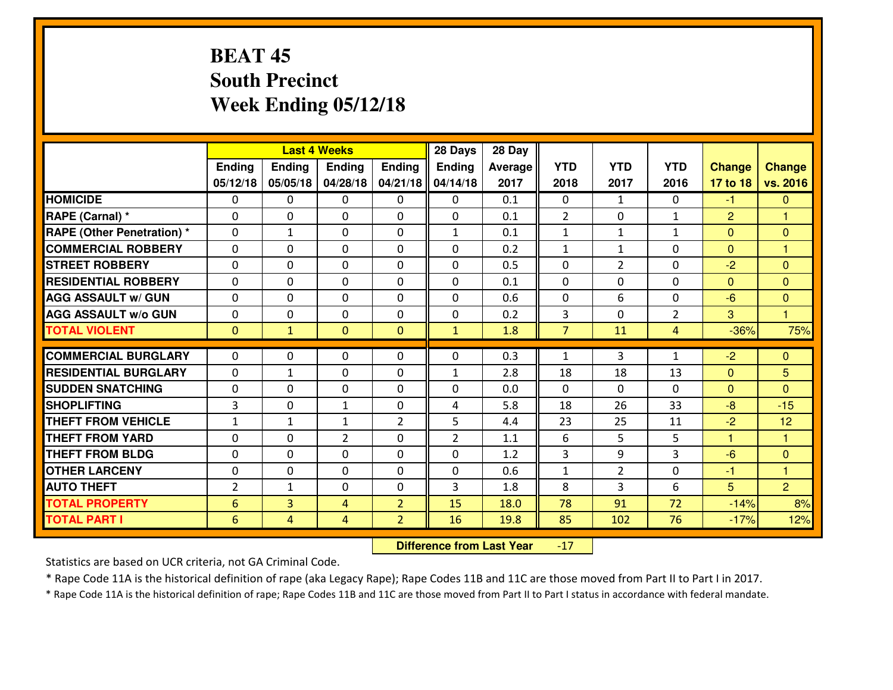# **BEAT 45 South PrecinctWeek Ending 05/12/18**

|                                  |                |               | <b>Last 4 Weeks</b> |                | 28 Days        | 28 Day  |                |                |                |                |                |
|----------------------------------|----------------|---------------|---------------------|----------------|----------------|---------|----------------|----------------|----------------|----------------|----------------|
|                                  | Ending         | <b>Ending</b> | <b>Ending</b>       | Ending         | <b>Ending</b>  | Average | <b>YTD</b>     | <b>YTD</b>     | <b>YTD</b>     | <b>Change</b>  | <b>Change</b>  |
|                                  | 05/12/18       | 05/05/18      | 04/28/18            | 04/21/18       | 04/14/18       | 2017    | 2018           | 2017           | 2016           | 17 to 18       | vs. 2016       |
| <b>HOMICIDE</b>                  | $\Omega$       | 0             | 0                   | $\Omega$       | $\Omega$       | 0.1     | 0              | $\mathbf{1}$   | 0              | $-1$           | $\mathbf{0}$   |
| RAPE (Carnal) *                  | $\Omega$       | 0             | $\mathbf{0}$        | $\Omega$       | $\Omega$       | 0.1     | 2              | $\Omega$       | $\mathbf{1}$   | $\overline{2}$ | 1              |
| <b>RAPE (Other Penetration)*</b> | 0              | $\mathbf{1}$  | $\mathbf 0$         | 0              | $\mathbf{1}$   | 0.1     | $\mathbf{1}$   | $\mathbf{1}$   | $\mathbf{1}$   | $\overline{0}$ | $\mathbf{0}$   |
| <b>COMMERCIAL ROBBERY</b>        | 0              | 0             | $\mathbf 0$         | 0              | 0              | 0.2     | $\mathbf{1}$   | $\mathbf{1}$   | 0              | $\overline{0}$ | $\overline{1}$ |
| <b>STREET ROBBERY</b>            | 0              | 0             | $\mathbf 0$         | 0              | 0              | 0.5     | 0              | $\overline{2}$ | 0              | $-2$           | $\mathbf{0}$   |
| <b>RESIDENTIAL ROBBERY</b>       | 0              | 0             | $\mathbf 0$         | 0              | 0              | 0.1     | 0              | 0              | 0              | $\Omega$       | $\mathbf{0}$   |
| <b>AGG ASSAULT w/ GUN</b>        | 0              | 0             | $\mathbf 0$         | 0              | 0              | 0.6     | 0              | 6              | 0              | $-6$           | $\overline{0}$ |
| <b>AGG ASSAULT W/o GUN</b>       | 0              | 0             | 0                   | $\mathbf{0}$   | $\mathbf 0$    | 0.2     | 3              | 0              | $\overline{2}$ | 3              | $\overline{1}$ |
| <b>TOTAL VIOLENT</b>             | $\mathbf{0}$   | $\mathbf{1}$  | $\overline{0}$      | $\mathbf{0}$   | $\mathbf{1}$   | 1.8     | $\overline{7}$ | 11             | 4              | $-36%$         | 75%            |
| <b>COMMERCIAL BURGLARY</b>       | $\Omega$       | 0             | $\mathbf{0}$        | 0              | $\Omega$       | 0.3     | $\mathbf{1}$   | 3              | $\mathbf{1}$   | $-2$           | $\mathbf{0}$   |
| <b>RESIDENTIAL BURGLARY</b>      | $\mathbf{0}$   | 1             | 0                   | 0              | $\mathbf{1}$   | 2.8     | 18             | 18             | 13             | $\mathbf{0}$   | 5              |
| <b>SUDDEN SNATCHING</b>          | $\mathbf{0}$   | 0             | $\mathbf 0$         | 0              | 0              | 0.0     | $\mathbf{0}$   | $\Omega$       | $\Omega$       | $\Omega$       | $\Omega$       |
| <b>SHOPLIFTING</b>               | 3              | 0             | 1                   | 0              | 4              | 5.8     | 18             | 26             | 33             | $-8$           | $-15$          |
| <b>THEFT FROM VEHICLE</b>        | $\mathbf{1}$   | 1             | 1                   | $\overline{2}$ | 5              | 4.4     | 23             | 25             | 11             | $-2$           | 12             |
| <b>THEFT FROM YARD</b>           | 0              | 0             | $\overline{2}$      | 0              | $\overline{2}$ | 1.1     | 6              | 5              | 5              | $\mathbf{1}$   | 1              |
| <b>THEFT FROM BLDG</b>           | 0              | 0             | $\mathbf 0$         | $\mathbf{0}$   | 0              | 1.2     | 3              | 9              | 3              | $-6$           | $\mathbf{0}$   |
| <b>OTHER LARCENY</b>             | 0              | 0             | $\mathbf 0$         | 0              | 0              | 0.6     | $\mathbf 1$    | $\overline{2}$ | 0              | $-1$           | $\overline{1}$ |
| <b>AUTO THEFT</b>                | $\overline{2}$ | $\mathbf{1}$  | $\mathbf 0$         | 0              | 3              | 1.8     | 8              | 3              | 6              | 5              | 2              |
| <b>TOTAL PROPERTY</b>            | 6              | 3             | 4                   | $\overline{2}$ | 15             | 18.0    | 78             | 91             | 72             | $-14%$         | 8%             |
| <b>TOTAL PART I</b>              | 6              | 4             | $\overline{4}$      | $\overline{2}$ | 16             | 19.8    | 85             | 102            | 76             | $-17%$         | 12%            |

 **Difference from Last Year** $-17$ 

Statistics are based on UCR criteria, not GA Criminal Code.

\* Rape Code 11A is the historical definition of rape (aka Legacy Rape); Rape Codes 11B and 11C are those moved from Part II to Part I in 2017.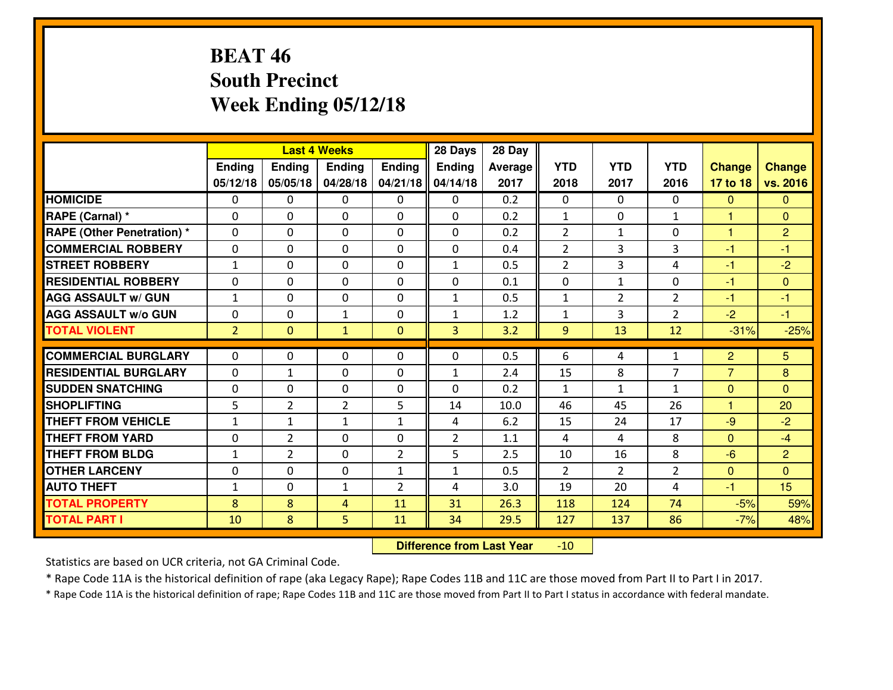# **BEAT 46 South PrecinctWeek Ending 05/12/18**

|                                              |                |                | <b>Last 4 Weeks</b> |                | 28 Days        | 28 Day       |                |                |                |                |                |
|----------------------------------------------|----------------|----------------|---------------------|----------------|----------------|--------------|----------------|----------------|----------------|----------------|----------------|
|                                              | Ending         | <b>Ending</b>  | <b>Ending</b>       | Ending         | <b>Ending</b>  | Average      | <b>YTD</b>     | <b>YTD</b>     | <b>YTD</b>     | <b>Change</b>  | <b>Change</b>  |
|                                              | 05/12/18       | 05/05/18       | 04/28/18            | 04/21/18       | 04/14/18       | 2017         | 2018           | 2017           | 2016           | 17 to 18       | vs. 2016       |
| <b>HOMICIDE</b>                              | $\Omega$       | 0              | 0                   | $\Omega$       | $\Omega$       | 0.2          | 0              | $\Omega$       | 0              | $\Omega$       | $\Omega$       |
| RAPE (Carnal) *                              | $\mathbf{0}$   | 0              | $\mathbf{0}$        | 0              | $\Omega$       | 0.2          | $\mathbf{1}$   | $\mathbf{0}$   | $\mathbf{1}$   | 1              | $\mathbf{0}$   |
| RAPE (Other Penetration) *                   | $\Omega$       | 0              | $\mathbf{0}$        | $\Omega$       | $\Omega$       | 0.2          | $\overline{2}$ | $\mathbf{1}$   | 0              | $\mathbf{1}$   | $\overline{2}$ |
| <b>COMMERCIAL ROBBERY</b>                    | 0              | 0              | 0                   | 0              | 0              | 0.4          | $\overline{2}$ | 3              | 3              | $-1$           | $-1$           |
| <b>STREET ROBBERY</b>                        | $\mathbf{1}$   | 0              | $\mathbf 0$         | 0              | $\mathbf{1}$   | 0.5          | $\overline{2}$ | $\overline{3}$ | 4              | $-1$           | $-2$           |
| <b>RESIDENTIAL ROBBERY</b>                   | $\Omega$       | $\Omega$       | $\mathbf 0$         | $\Omega$       | 0              | 0.1          | 0              | $\mathbf{1}$   | 0              | $-1$           | $\Omega$       |
| <b>AGG ASSAULT w/ GUN</b>                    | $\mathbf{1}$   | 0              | $\mathbf 0$         | 0              | $\mathbf{1}$   | 0.5          | $\mathbf 1$    | $\overline{2}$ | $\overline{2}$ | $-1$           | $-1$           |
| <b>AGG ASSAULT W/o GUN</b>                   | 0              | 0              | 1                   | $\mathbf 0$    | $\mathbf{1}$   | 1.2          | $\mathbf{1}$   | 3              | $\overline{2}$ | $-2$           | $-1$           |
| <b>TOTAL VIOLENT</b>                         | $\overline{2}$ | $\mathbf{0}$   | $\mathbf{1}$        | $\mathbf{0}$   | 3              | 3.2          | 9              | 13             | 12             | $-31%$         | $-25%$         |
| <b>COMMERCIAL BURGLARY</b>                   | $\Omega$       | 0              | $\mathbf{0}$        | $\Omega$       | $\Omega$       | 0.5          | 6              | 4              | $\mathbf{1}$   | $\overline{2}$ | 5              |
| <b>RESIDENTIAL BURGLARY</b>                  | 0              | $\mathbf{1}$   | 0                   | 0              | 1              | 2.4          | 15             | 8              | $\overline{7}$ | $\overline{7}$ | 8              |
| <b>SUDDEN SNATCHING</b>                      |                |                |                     |                |                |              |                |                |                |                |                |
|                                              |                |                |                     |                |                |              |                |                |                |                |                |
|                                              | 0              | 0              | $\mathbf 0$         | 0              | 0              | 0.2          | $\mathbf{1}$   | $\mathbf{1}$   | $\mathbf{1}$   | $\mathbf{0}$   | $\Omega$       |
| <b>SHOPLIFTING</b>                           | 5              | $\overline{2}$ | $\overline{2}$      | 5              | 14             | 10.0         | 46             | 45             | 26             | 1              | 20             |
| <b>THEFT FROM VEHICLE</b>                    | $\mathbf{1}$   | 1              | $\mathbf{1}$        | $\mathbf{1}$   | 4              | 6.2          | 15             | 24             | 17             | $-9$           | $-2$           |
| <b>THEFT FROM YARD</b>                       | 0              | $\overline{2}$ | $\mathbf 0$         | 0              | $\overline{2}$ | 1.1          | 4              | 4              | 8              | $\Omega$       | $-4$           |
| <b>THEFT FROM BLDG</b>                       | $\mathbf{1}$   | $\overline{2}$ | $\mathbf 0$         | $\overline{2}$ | 5              | 2.5          | 10             | 16             | 8              | $-6$           | $\overline{2}$ |
| <b>OTHER LARCENY</b>                         | 0              | 0              | $\mathbf 0$         | $\mathbf{1}$   | $\mathbf{1}$   | 0.5          | $\overline{2}$ | $\overline{2}$ | $\overline{2}$ | $\mathbf{0}$   | $\overline{0}$ |
| <b>AUTO THEFT</b>                            | $\mathbf{1}$   | 0              | $\mathbf{1}$        | 2              | 4              | 3.0          | 19             | 20             | 4              | $-1$           | 15             |
| <b>TOTAL PROPERTY</b><br><b>TOTAL PART I</b> | 8<br>10        | 8<br>8         | 4<br>5              | 11<br>11       | 31<br>34       | 26.3<br>29.5 | 118<br>127     | 124<br>137     | 74<br>86       | $-5%$<br>$-7%$ | 59%<br>48%     |

 **Difference from Last Year**-10

Statistics are based on UCR criteria, not GA Criminal Code.

\* Rape Code 11A is the historical definition of rape (aka Legacy Rape); Rape Codes 11B and 11C are those moved from Part II to Part I in 2017.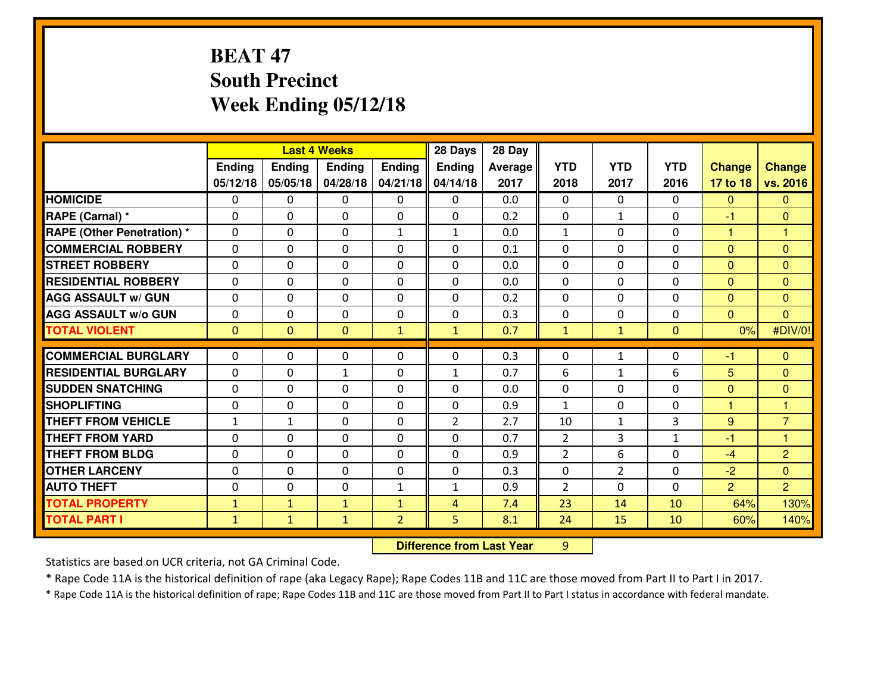# **BEAT 47 South PrecinctWeek Ending 05/12/18**

|                                   |              |                | <b>Last 4 Weeks</b> |                | 28 Days        | 28 Day  |                |                |              |                |                |
|-----------------------------------|--------------|----------------|---------------------|----------------|----------------|---------|----------------|----------------|--------------|----------------|----------------|
|                                   | Ending       | Ending         | <b>Ending</b>       | <b>Ending</b>  | <b>Ending</b>  | Average | <b>YTD</b>     | <b>YTD</b>     | <b>YTD</b>   | <b>Change</b>  | <b>Change</b>  |
|                                   | 05/12/18     | 05/05/18       | 04/28/18            | 04/21/18       | 04/14/18       | 2017    | 2018           | 2017           | 2016         | 17 to 18       | vs. 2016       |
| <b>HOMICIDE</b>                   | 0            | 0              | 0                   | 0              | 0              | 0.0     | 0              | $\Omega$       | 0            | $\Omega$       | $\Omega$       |
| RAPE (Carnal) *                   | $\mathbf{0}$ | 0              | $\mathbf 0$         | 0              | 0              | 0.2     | $\mathbf{0}$   | $\mathbf{1}$   | 0            | -1             | $\mathbf{0}$   |
| <b>RAPE (Other Penetration) *</b> | $\Omega$     | 0              | $\mathbf{0}$        | $\mathbf{1}$   | 1              | 0.0     | 1              | 0              | 0            | 1              | 1              |
| <b>COMMERCIAL ROBBERY</b>         | $\Omega$     | 0              | $\mathbf 0$         | $\Omega$       | $\Omega$       | 0.1     | $\Omega$       | 0              | 0            | $\Omega$       | $\mathbf{0}$   |
| <b>ISTREET ROBBERY</b>            | $\Omega$     | 0              | $\mathbf{0}$        | $\Omega$       | $\Omega$       | 0.0     | $\mathbf{0}$   | 0              | 0            | $\Omega$       | $\mathbf{0}$   |
| <b>RESIDENTIAL ROBBERY</b>        | $\Omega$     | 0              | $\mathbf{0}$        | $\Omega$       | $\Omega$       | 0.0     | $\Omega$       | 0              | 0            | $\Omega$       | $\Omega$       |
| <b>AGG ASSAULT W/ GUN</b>         | 0            | 0              | $\mathbf 0$         | 0              | 0              | 0.2     | 0              | 0              | 0            | $\overline{0}$ | $\overline{0}$ |
| <b>AGG ASSAULT w/o GUN</b>        | $\mathbf{0}$ | 0              | 0                   | 0              | 0              | 0.3     | 0              | 0              | 0            | $\mathbf{0}$   | $\Omega$       |
| <b>TOTAL VIOLENT</b>              | $\mathbf{0}$ | $\overline{0}$ | $\mathbf{0}$        | $\mathbf{1}$   | $\mathbf{1}$   | 0.7     | $\mathbf{1}$   | $\mathbf{1}$   | $\mathbf{0}$ | 0%             | #DIV/0!        |
| <b>COMMERCIAL BURGLARY</b>        | $\mathbf{0}$ |                |                     |                |                |         |                |                |              |                |                |
|                                   |              |                |                     |                |                |         |                |                |              |                |                |
|                                   |              | 0              | 0                   | 0              | 0              | 0.3     | $\mathbf{0}$   | $\mathbf{1}$   | 0            | -1             | $\mathbf{0}$   |
| <b>RESIDENTIAL BURGLARY</b>       | $\Omega$     | 0              | $\mathbf{1}$        | $\Omega$       | 1              | 0.7     | 6              | $\mathbf{1}$   | 6            | 5              | $\Omega$       |
| <b>SUDDEN SNATCHING</b>           | $\mathbf{0}$ | 0              | 0                   | 0              | $\Omega$       | 0.0     | $\mathbf{0}$   | 0              | 0            | $\mathbf{0}$   | $\mathbf{0}$   |
| <b>SHOPLIFTING</b>                | $\mathbf{0}$ | 0              | $\mathbf{0}$        | 0              | 0              | 0.9     | 1              | 0              | 0            | 1              | 1              |
| <b>THEFT FROM VEHICLE</b>         | $\mathbf{1}$ | $\mathbf{1}$   | $\mathbf 0$         | 0              | $\overline{2}$ | 2.7     | 10             | $\mathbf{1}$   | 3            | 9              | $\overline{7}$ |
| <b>THEFT FROM YARD</b>            | $\mathbf{0}$ | 0              | $\mathbf{0}$        | 0              | $\Omega$       | 0.7     | 2              | 3              | $\mathbf{1}$ | $-1$           | 1              |
| <b>THEFT FROM BLDG</b>            | $\Omega$     | $\Omega$       | $\mathbf 0$         | $\Omega$       | $\Omega$       | 0.9     | $\overline{2}$ | 6              | $\Omega$     | $-4$           | $\overline{2}$ |
| <b>OTHER LARCENY</b>              | $\mathbf{0}$ | 0              | $\mathbf{0}$        | $\Omega$       | $\Omega$       | 0.3     | $\mathbf{0}$   | $\overline{2}$ | 0            | $-2$           | $\mathbf{0}$   |
| <b>AUTO THEFT</b>                 | $\mathbf{0}$ | 0              | $\mathbf{0}$        | $\mathbf{1}$   | 1              | 0.9     | $\overline{2}$ | 0              | 0            | $\overline{2}$ | $\overline{2}$ |
| <b>TOTAL PROPERTY</b>             | $\mathbf{1}$ | $\mathbf{1}$   | $\mathbf{1}$        | $\mathbf{1}$   | 4              | 7.4     | 23             | 14             | 10           | 64%            | 130%           |
| <b>TOTAL PART I</b>               | $\mathbf{1}$ | $\mathbf{1}$   | $\mathbf{1}$        | $\overline{2}$ | 5              | 8.1     | 24             | 15             | 10           | 60%            | 140%           |

 **Difference from Last Year**<sup>9</sup>

Statistics are based on UCR criteria, not GA Criminal Code.

\* Rape Code 11A is the historical definition of rape (aka Legacy Rape); Rape Codes 11B and 11C are those moved from Part II to Part I in 2017.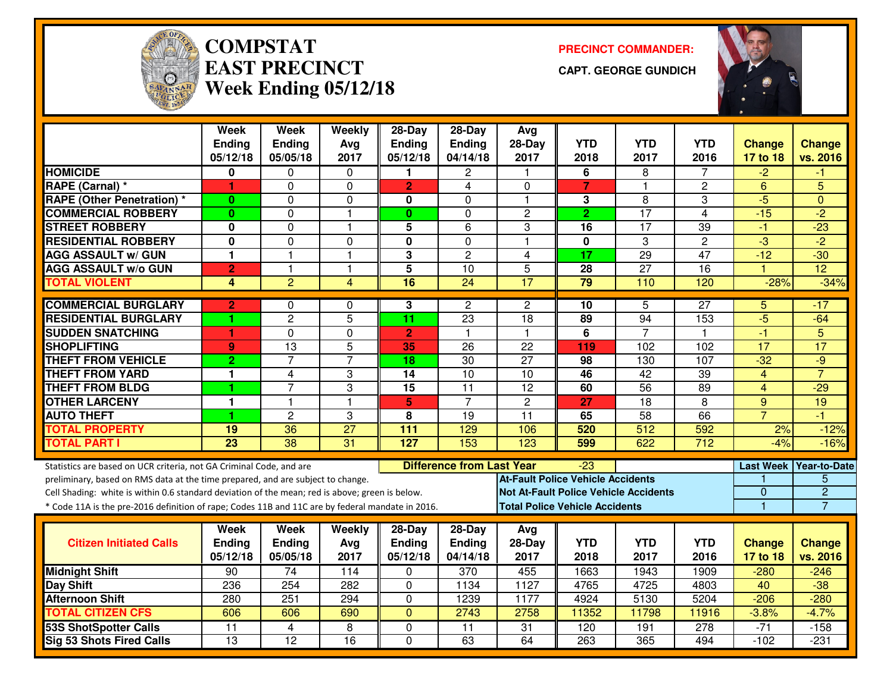

#### **COMPSTATEAST PRECINCTWeek Ending 05/12/18**

**PRECINCT COMMANDER:**

**CAPT. GEORGE GUNDICH**



|                                                                                                  | <b>Week</b><br>Ending | Week<br><b>Ending</b>   | Weekly<br>Avg   | $28-Day$<br><b>Ending</b> | $28-Day$<br>Ending               | Avg<br>28-Day           | <b>YTD</b>                                   | <b>YTD</b>      | <b>YTD</b>      | <b>Change</b>   | <b>Change</b>          |
|--------------------------------------------------------------------------------------------------|-----------------------|-------------------------|-----------------|---------------------------|----------------------------------|-------------------------|----------------------------------------------|-----------------|-----------------|-----------------|------------------------|
|                                                                                                  | 05/12/18              | 05/05/18                | 2017            | 05/12/18                  | 04/14/18                         | 2017                    | 2018                                         | 2017            | 2016            | 17 to 18        | vs. 2016               |
| <b>HOMICIDE</b>                                                                                  | 0                     | 0                       | $\mathbf{0}$    | 1                         | $\mathbf{2}$                     | -1                      | 6                                            | 8               | 7               | $-2$            | -1                     |
| RAPE (Carnal) *                                                                                  | 1                     | 0                       | 0               | $\overline{2}$            | $\overline{4}$                   | $\Omega$                | $\overline{7}$                               | $\mathbf{1}$    | 2               | 6               | 5                      |
| <b>RAPE (Other Penetration)*</b>                                                                 | $\bf{0}$              | 0                       | 0               | 0                         | $\Omega$                         | $\overline{1}$          | 3                                            | $\overline{8}$  | 3               | $-5$            | $\Omega$               |
| <b>COMMERCIAL ROBBERY</b>                                                                        | $\mathbf{0}$          | 0                       | $\mathbf{1}$    | $\bf{0}$                  | 0                                | $\overline{2}$          | $\overline{2}$                               | 17              | $\overline{4}$  | $-15$           | $-2$                   |
| <b>STREET ROBBERY</b>                                                                            | 0                     | 0                       | 1               | 5                         | 6                                | 3                       | 16                                           | 17              | 39              | -1              | $-23$                  |
| <b>RESIDENTIAL ROBBERY</b>                                                                       | 0                     | 0                       | $\Omega$        | 0                         | $\Omega$                         | $\overline{\mathbf{1}}$ | $\mathbf 0$                                  | 3               | $\overline{c}$  | $\overline{3}$  | $\overline{-2}$        |
| <b>AGG ASSAULT w/ GUN</b>                                                                        | 1                     | $\overline{1}$          | $\mathbf{1}$    | 3                         | $\overline{c}$                   | 4                       | 17                                           | 29              | 47              | $-12$           | $-30$                  |
| <b>AGG ASSAULT w/o GUN</b>                                                                       | $\overline{2}$        | $\overline{1}$          | $\mathbf{1}$    | $\overline{5}$            | $\overline{10}$                  | $\overline{5}$          | $\overline{28}$                              | $\overline{27}$ | $\overline{16}$ |                 | $\overline{12}$        |
| <b>TOTAL VIOLENT</b>                                                                             | 4                     | $\overline{2}$          | $\overline{4}$  | $\overline{16}$           | $\overline{24}$                  | 17                      | 79                                           | 110             | 120             | $-28%$          | $-34%$                 |
| <b>COMMERCIAL BURGLARY</b>                                                                       | $\overline{2}$        | 0                       | $\mathbf 0$     | 3                         | $\overline{2}$                   | $\overline{2}$          | 10                                           | 5               | 27              | 5               | -17                    |
| <b>RESIDENTIAL BURGLARY</b>                                                                      |                       | $\overline{2}$          | $\overline{5}$  | 11                        | $\overline{23}$                  | 18                      | 89                                           | 94              | 153             | $-5$            | $-64$                  |
| <b>SUDDEN SNATCHING</b>                                                                          | 1                     | 0                       | 0               | $\overline{2}$            | 1                                | $\overline{\mathbf{1}}$ | $\overline{6}$                               | $\overline{7}$  | 1               | $-1$            | 5                      |
| <b>SHOPLIFTING</b>                                                                               | 9                     | 13                      | 5               | 35                        | 26                               | 22                      | 119                                          | 102             | 102             | $\overline{17}$ | $\overline{17}$        |
| <b>THEFT FROM VEHICLE</b>                                                                        | $\overline{2}$        | $\overline{7}$          | $\overline{7}$  | 18                        | $\overline{30}$                  | $\overline{27}$         | 98                                           | 130             | 107             | $-32$           | $-9$                   |
| <b>THEFT FROM YARD</b>                                                                           | $\mathbf{1}$          | 4                       | 3               | $\overline{14}$           | $\overline{10}$                  | $\overline{10}$         | 46                                           | 42              | $\overline{39}$ | $\overline{4}$  | $\overline{7}$         |
| <b>THEFT FROM BLDG</b>                                                                           |                       | $\overline{7}$          | 3               | 15                        | 11                               | $\overline{12}$         | 60                                           | 56              | 89              | 4               | $-29$                  |
| <b>OTHER LARCENY</b>                                                                             | 1                     | $\overline{\mathbf{1}}$ | $\mathbf{1}$    | 5                         | $\overline{7}$                   | $\overline{2}$          | 27                                           | $\overline{18}$ | $\overline{8}$  | $\overline{9}$  | 19                     |
| <b>AUTO THEFT</b>                                                                                |                       | $\overline{2}$          | 3               | 8                         | 19                               | 11                      | 65                                           | 58              | 66              | $\overline{7}$  | $-1$                   |
| <b>TOTAL PROPERTY</b>                                                                            | 19                    | 36                      | $\overline{27}$ | 111                       | 129                              | 106                     | 520                                          | 512             | 592             | 2%              | $-12%$                 |
| <b>TOTAL PART I</b>                                                                              | $\overline{23}$       | $\overline{38}$         | 31              | 127                       | 153                              | 123                     | 599                                          | 622             | 712             | $-4%$           | $-16%$                 |
| Statistics are based on UCR criteria, not GA Criminal Code, and are                              |                       |                         |                 |                           | <b>Difference from Last Year</b> |                         | $-23$                                        |                 |                 |                 | Last Week Year-to-Date |
| preliminary, based on RMS data at the time prepared, and are subject to change.                  |                       |                         |                 |                           |                                  |                         | <b>At-Fault Police Vehicle Accidents</b>     |                 |                 |                 | 5                      |
| Cell Shading: white is within 0.6 standard deviation of the mean; red is above; green is below.  |                       |                         |                 |                           |                                  |                         | <b>Not At-Fault Police Vehicle Accidents</b> |                 |                 | 0               | $\overline{2}$         |
| * Code 11A is the pre-2016 definition of rape; Codes 11B and 11C are by federal mandate in 2016. |                       |                         |                 |                           |                                  |                         | <b>Total Police Vehicle Accidents</b>        |                 |                 | $\mathbf{1}$    | $\overline{7}$         |
|                                                                                                  | Week                  | Week                    | Weekly          | $28$ -Day                 | $28-Day$                         | Avg                     |                                              |                 |                 |                 |                        |
| <b>Citizen Initiated Calls</b>                                                                   | <b>Ending</b>         | <b>Ending</b>           | Avg             | <b>Ending</b>             | Ending                           | 28-Day                  | <b>YTD</b>                                   | <b>YTD</b>      | <b>YTD</b>      | <b>Change</b>   | <b>Change</b>          |
|                                                                                                  | 05/12/18              | 05/05/18                | 2017            | 05/12/18                  | 04/14/18                         | 2017                    | 2018                                         | 2017            | 2016            | 17 to 18        | vs. 2016               |
| <b>Midnight Shift</b>                                                                            | 90                    | 74                      | 114             | $\Omega$                  | 370                              | 455                     | 1663                                         | 1943            | 1909            | $-280$          | $-246$                 |
| <b>Day Shift</b>                                                                                 | 236                   | 254                     | 282             | 0                         | 1134                             | 1127                    | 4765                                         | 4725            | 4803            | $\overline{40}$ | $-38$                  |
| <b>Afternoon Shift</b>                                                                           | 280                   | 251                     | 294             | $\mathbf 0$               | 1239                             | 1177                    | 4924                                         | 5130            | 5204            | $-206$          | $-280$                 |
| <b>TOTAL CITIZEN CFS</b>                                                                         | 606                   | 606                     | 690             | $\mathbf{0}$              | 2743                             | 2758                    | 11352                                        | 11798           | 11916           | $-3.8%$         | $-4.7%$                |
| <b>53S ShotSpotter Calls</b>                                                                     | $\overline{11}$       | 4                       | 8               | $\Omega$                  | 11                               | 31                      | 120                                          | 191             | 278             | $-71$           | $-158$                 |
| <b>Sig 53 Shots Fired Calls</b>                                                                  | $\overline{13}$       | $\overline{12}$         | $\overline{16}$ | $\Omega$                  | 63                               | 64                      | 263                                          | 365             | 494             | $-102$          | $-231$                 |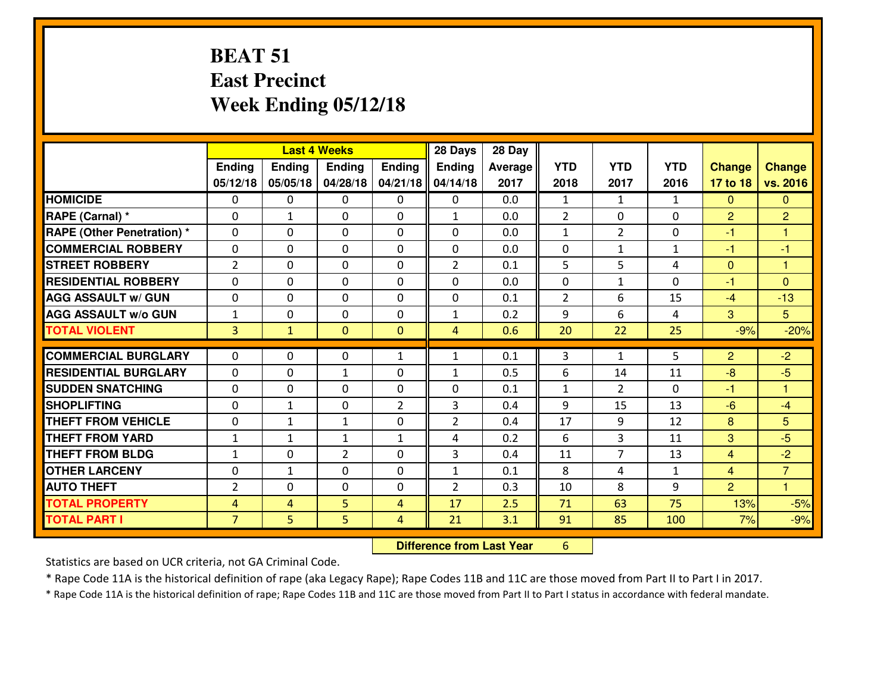## **BEAT 51 East PrecinctWeek Ending 05/12/18**

|                                  |                |              | <b>Last 4 Weeks</b>         |                | 28 Days        | 28 Day  |                   |                |              |                |                |
|----------------------------------|----------------|--------------|-----------------------------|----------------|----------------|---------|-------------------|----------------|--------------|----------------|----------------|
|                                  | Ending         | Ending       | <b>Ending</b>               | Ending         | <b>Ending</b>  | Average | <b>YTD</b>        | <b>YTD</b>     | <b>YTD</b>   | <b>Change</b>  | <b>Change</b>  |
|                                  | 05/12/18       | 05/05/18     | 04/28/18                    | 04/21/18       | 04/14/18       | 2017    | 2018              | 2017           | 2016         | 17 to 18       | vs. 2016       |
| <b>HOMICIDE</b>                  | $\mathbf{0}$   | 0            | 0                           | 0              | 0              | 0.0     | 1                 | $\mathbf{1}$   | $\mathbf{1}$ | $\Omega$       | $\Omega$       |
| RAPE (Carnal) *                  | 0              | $\mathbf{1}$ | $\mathbf{0}$                | 0              | $\mathbf{1}$   | 0.0     | 2                 | $\mathbf{0}$   | 0            | $\overline{2}$ | $\overline{2}$ |
| <b>RAPE (Other Penetration)*</b> | $\Omega$       | 0            | $\mathbf 0$                 | $\Omega$       | $\Omega$       | 0.0     | $\mathbf{1}$      | $\overline{2}$ | 0            | -1             | 1              |
| <b>COMMERCIAL ROBBERY</b>        | 0              | 0            | $\mathbf 0$                 | $\Omega$       | 0              | 0.0     | 0                 | $\mathbf{1}$   | $\mathbf{1}$ | $-1$           | $-1$           |
| <b>ISTREET ROBBERY</b>           | 2              | 0            | $\mathbf 0$                 | 0              | $\overline{2}$ | 0.1     | 5                 | 5              | 4            | $\overline{0}$ | $\overline{1}$ |
| <b>RESIDENTIAL ROBBERY</b>       | $\Omega$       | 0            | $\mathbf 0$                 | 0              | 0              | 0.0     | $\mathbf{0}$      | $\mathbf{1}$   | 0            | $-1$           | $\Omega$       |
| <b>AGG ASSAULT W/ GUN</b>        | 0              | 0            | $\mathbf 0$                 | 0              | 0              | 0.1     | $\overline{2}$    | 6              | 15           | $-4$           | $-13$          |
| <b>AGG ASSAULT W/o GUN</b>       | $\mathbf{1}$   | 0            | $\mathbf 0$                 | $\mathbf{0}$   | $\mathbf{1}$   | 0.2     | 9                 | 6              | 4            | 3              | 5              |
| <b>TOTAL VIOLENT</b>             | 3              | $\mathbf{1}$ | $\mathbf{0}$                | $\mathbf{0}$   | $\overline{4}$ | 0.6     | 20                | 22             | 25           | $-9%$          | $-20%$         |
| <b>COMMERCIAL BURGLARY</b>       | $\Omega$       | 0            | $\mathbf{0}$                | $\mathbf{1}$   | 1              | 0.1     | 3                 | $\mathbf{1}$   | 5            | $\overline{2}$ | $-2$           |
| <b>RESIDENTIAL BURGLARY</b>      | $\Omega$       | 0            |                             | $\Omega$       |                | 0.5     | 6                 | 14             | 11           | $-8$           | $-5$           |
| <b>SUDDEN SNATCHING</b>          | $\Omega$       | 0            | 1                           | $\Omega$       | 1              | 0.1     |                   | $\mathcal{L}$  | 0            |                | 1              |
| <b>SHOPLIFTING</b>               | $\Omega$       | $\mathbf{1}$ | $\mathbf 0$<br>$\mathbf{0}$ | $\overline{2}$ | $\Omega$<br>3  | 0.4     | $\mathbf{1}$<br>9 | 15             | 13           | -1<br>$-6$     | $-4$           |
|                                  |                |              |                             |                |                |         |                   |                |              |                |                |
| <b>THEFT FROM VEHICLE</b>        | $\mathbf{0}$   | 1            | 1                           | 0              | $\overline{2}$ | 0.4     | 17                | 9              | 12           | 8              | 5              |
| <b>THEFT FROM YARD</b>           | $\mathbf{1}$   | $\mathbf{1}$ | 1                           | $\mathbf{1}$   | 4              | 0.2     | 6                 | $\overline{3}$ | 11           | 3              | $-5$           |
| <b>THEFT FROM BLDG</b>           | $\mathbf{1}$   | 0            | $\overline{2}$              | 0              | 3              | 0.4     | 11                | $\overline{7}$ | 13           | $\overline{4}$ | $-2$           |
| <b>OTHER LARCENY</b>             | 0              | $\mathbf{1}$ | $\mathbf 0$                 | 0              | $\mathbf{1}$   | 0.1     | 8                 | 4              | $\mathbf{1}$ | $\overline{4}$ | $\overline{7}$ |
| <b>AUTO THEFT</b>                | $\overline{2}$ | 0            | $\mathbf 0$                 | 0              | $\overline{2}$ | 0.3     | 10                | 8              | 9            | $\overline{2}$ | 1              |
| <b>TOTAL PROPERTY</b>            | 4              | 4            | 5                           | 4              | 17             | 2.5     | 71                | 63             | 75           | 13%            | $-5%$          |
| <b>TOTAL PART I</b>              | $\overline{7}$ | 5            | 5                           | 4              | 21             | 3.1     | 91                | 85             | 100          | 7%             | $-9%$          |

**Difference from Last Year** 6

Statistics are based on UCR criteria, not GA Criminal Code.

\* Rape Code 11A is the historical definition of rape (aka Legacy Rape); Rape Codes 11B and 11C are those moved from Part II to Part I in 2017.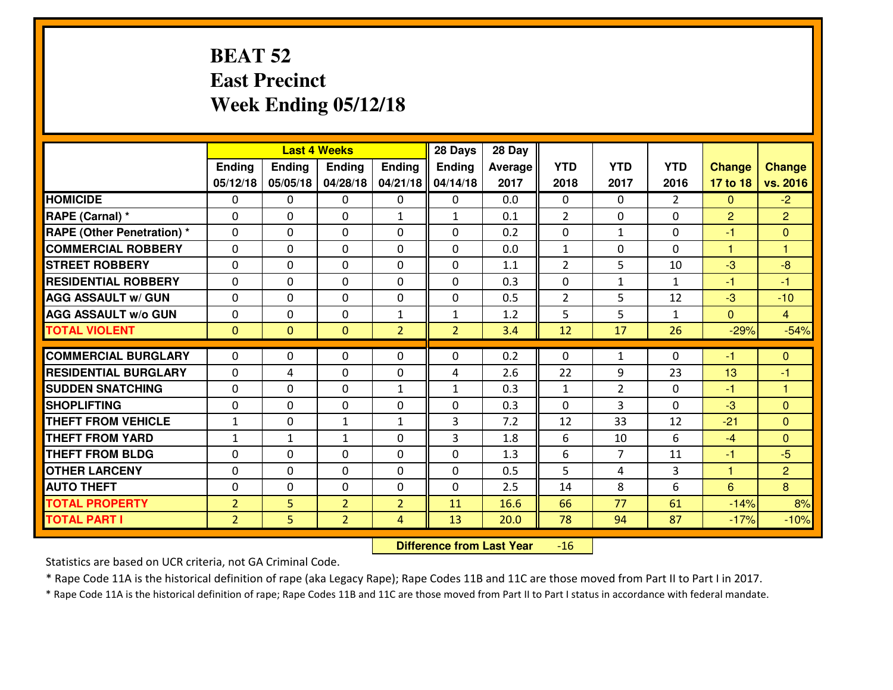# **BEAT 52 East PrecinctWeek Ending 05/12/18**

|                                   |                |                | <b>Last 4 Weeks</b> |                | 28 Days        | 28 Day  |                |                |                |                |                |
|-----------------------------------|----------------|----------------|---------------------|----------------|----------------|---------|----------------|----------------|----------------|----------------|----------------|
|                                   | Ending         | <b>Ending</b>  | <b>Ending</b>       | Ending         | <b>Ending</b>  | Average | <b>YTD</b>     | <b>YTD</b>     | <b>YTD</b>     | <b>Change</b>  | <b>Change</b>  |
|                                   | 05/12/18       | 05/05/18       | 04/28/18            | 04/21/18       | 04/14/18       | 2017    | 2018           | 2017           | 2016           | 17 to 18       | vs. 2016       |
| <b>HOMICIDE</b>                   | $\Omega$       | 0              | 0                   | $\Omega$       | $\Omega$       | 0.0     | 0              | $\Omega$       | $\mathfrak{D}$ | $\Omega$       | $-2$           |
| RAPE (Carnal) *                   | $\mathbf{0}$   | 0              | $\mathbf{0}$        | $\mathbf{1}$   | $\mathbf{1}$   | 0.1     | 2              | $\mathbf{0}$   | 0              | 2              | $\overline{2}$ |
| <b>RAPE (Other Penetration) *</b> | $\Omega$       | 0              | $\mathbf{0}$        | $\Omega$       | $\Omega$       | 0.2     | $\mathbf{0}$   | $\mathbf{1}$   | 0              | $-1$           | $\mathbf{0}$   |
| <b>COMMERCIAL ROBBERY</b>         | $\mathbf{0}$   | 0              | 0                   | 0              | $\Omega$       | 0.0     | $\mathbf{1}$   | 0              | 0              | 1              | 1              |
| <b>STREET ROBBERY</b>             | 0              | 0              | $\mathbf 0$         | 0              | 0              | 1.1     | $\overline{2}$ | 5              | 10             | $-3$           | $-8$           |
| <b>RESIDENTIAL ROBBERY</b>        | $\Omega$       | $\Omega$       | $\mathbf 0$         | $\Omega$       | 0              | 0.3     | 0              | $\mathbf{1}$   | $\mathbf{1}$   | $-1$           | $-1$           |
| <b>AGG ASSAULT w/ GUN</b>         | $\Omega$       | $\Omega$       | $\mathbf 0$         | 0              | 0              | 0.5     | $\overline{2}$ | 5              | 12             | $-3$           | $-10$          |
| <b>AGG ASSAULT W/o GUN</b>        | 0              | 0              | $\mathbf 0$         | $\mathbf{1}$   | $\mathbf{1}$   | 1.2     | 5              | 5              | $\mathbf{1}$   | $\overline{0}$ | $\overline{4}$ |
| <b>TOTAL VIOLENT</b>              | $\mathbf{0}$   | $\overline{0}$ | $\mathbf{O}$        | $\overline{2}$ | $\overline{2}$ | 3.4     | 12             | 17             | 26             | $-29%$         | $-54%$         |
| <b>COMMERCIAL BURGLARY</b>        | $\Omega$       | 0              | $\mathbf{0}$        | $\Omega$       | $\Omega$       | 0.2     | $\Omega$       | $\mathbf{1}$   | 0              | $-1$           | $\mathbf{0}$   |
| <b>RESIDENTIAL BURGLARY</b>       | 0              | 4              | $\mathbf 0$         | 0              | 4              | 2.6     | 22             | 9              | 23             | 13             | $-1$           |
| <b>SUDDEN SNATCHING</b>           | 0              | 0              | 0                   | $\mathbf{1}$   | $\mathbf{1}$   | 0.3     | $\mathbf{1}$   | $\overline{2}$ | 0              | $-1$           | $\overline{1}$ |
| <b>SHOPLIFTING</b>                | 0              | 0              | $\mathbf 0$         | 0              | 0              | 0.3     | 0              | 3              | $\Omega$       | -3             | $\mathbf{0}$   |
| <b>THEFT FROM VEHICLE</b>         | $1\,$          | 0              | 1                   | $\mathbf{1}$   | 3              | 7.2     | 12             | 33             | 12             | $-21$          | $\Omega$       |
| <b>THEFT FROM YARD</b>            | $1\,$          | $\mathbf{1}$   | $\mathbf{1}$        | 0              | 3              | 1.8     | 6              | 10             | 6              | $-4$           | $\overline{0}$ |
| <b>THEFT FROM BLDG</b>            | 0              | 0              | $\mathbf 0$         | 0              | 0              | 1.3     | 6              | 7              | 11             | $-1$           | $-5$           |
| <b>OTHER LARCENY</b>              | 0              | 0              | $\mathbf 0$         | 0              | 0              | 0.5     | 5              | 4              | 3              | $\mathbf{1}$   | $\overline{2}$ |
| <b>AUTO THEFT</b>                 | $\mathbf{0}$   | 0              | $\mathbf{0}$        | 0              | 0              | 2.5     | 14             | 8              | 6              | 6              | 8              |
| <b>TOTAL PROPERTY</b>             | $\overline{2}$ | 5              | $\overline{2}$      | $\overline{2}$ | 11             | 16.6    | 66             | 77             | 61             | $-14%$         | 8%             |
| <b>TOTAL PART I</b>               | $\overline{2}$ | 5              | $\overline{2}$      | 4              | 13             | 20.0    | 78             | 94             | 87             | $-17%$         | $-10%$         |
|                                   |                |                |                     |                |                |         |                |                |                |                |                |

 **Difference from Last Year** $-16$ 

Statistics are based on UCR criteria, not GA Criminal Code.

\* Rape Code 11A is the historical definition of rape (aka Legacy Rape); Rape Codes 11B and 11C are those moved from Part II to Part I in 2017.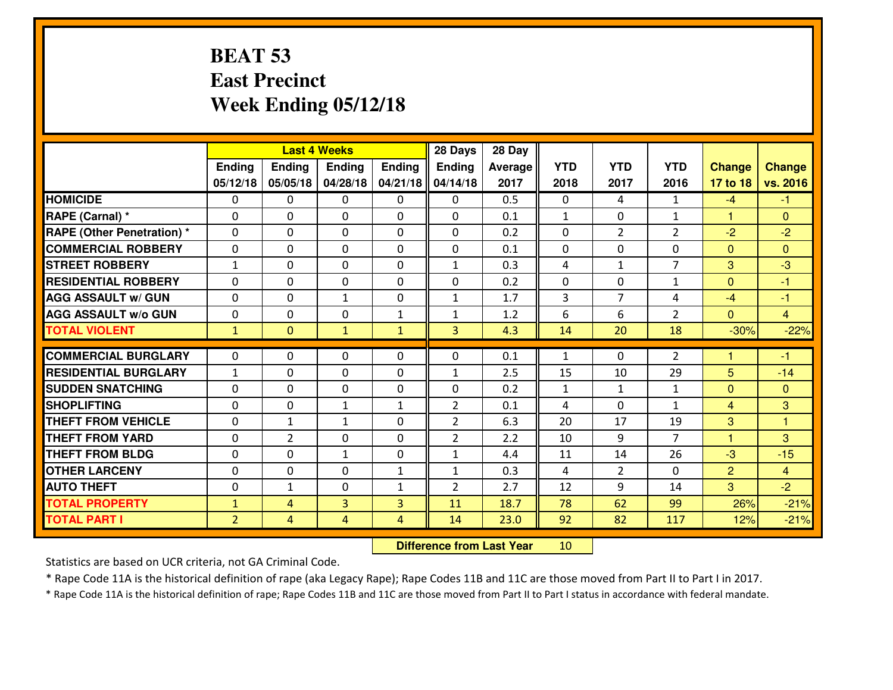## **BEAT 53 East PrecinctWeek Ending 05/12/18**

|                                  |                | <b>Last 4 Weeks</b> |                |               |                | 28 Day  |              |                |                |                |                |
|----------------------------------|----------------|---------------------|----------------|---------------|----------------|---------|--------------|----------------|----------------|----------------|----------------|
|                                  | <b>Ending</b>  | <b>Ending</b>       | <b>Endina</b>  | <b>Ending</b> | <b>Ending</b>  | Average | <b>YTD</b>   | <b>YTD</b>     | <b>YTD</b>     | <b>Change</b>  | <b>Change</b>  |
|                                  | 05/12/18       | 05/05/18            | 04/28/18       | 04/21/18      | 04/14/18       | 2017    | 2018         | 2017           | 2016           | 17 to 18       | vs. 2016       |
| <b>HOMICIDE</b>                  | $\Omega$       | 0                   | 0              | 0             | $\Omega$       | 0.5     | 0            | 4              | $\mathbf{1}$   | $-4$           | -1             |
| RAPE (Carnal) *                  | $\Omega$       | 0                   | $\mathbf{0}$   | 0             | $\Omega$       | 0.1     | 1            | $\Omega$       | $\mathbf{1}$   | $\mathbf{1}$   | $\Omega$       |
| <b>RAPE (Other Penetration)*</b> | $\Omega$       | $\Omega$            | $\mathbf 0$    | $\Omega$      | $\Omega$       | 0.2     | $\Omega$     | $\overline{2}$ | $\overline{2}$ | $-2$           | $-2$           |
| <b>COMMERCIAL ROBBERY</b>        | $\Omega$       | 0                   | $\mathbf 0$    | $\Omega$      | 0              | 0.1     | 0            | $\Omega$       | 0              | $\Omega$       | $\Omega$       |
| <b>STREET ROBBERY</b>            | $\mathbf{1}$   | $\Omega$            | $\mathbf 0$    | $\Omega$      | $\mathbf{1}$   | 0.3     | 4            | $\mathbf{1}$   | $\overline{7}$ | 3              | $-3$           |
| <b>RESIDENTIAL ROBBERY</b>       | $\Omega$       | $\Omega$            | $\mathbf 0$    | $\Omega$      | 0              | 0.2     | 0            | $\Omega$       | $\mathbf{1}$   | $\mathbf{0}$   | $-1$           |
| <b>AGG ASSAULT w/ GUN</b>        | $\Omega$       | $\Omega$            | $\mathbf{1}$   | $\Omega$      | $\mathbf{1}$   | 1.7     | 3            | $\overline{7}$ | 4              | $-4$           | $-1$           |
| <b>AGG ASSAULT w/o GUN</b>       | 0              | 0                   | $\mathbf 0$    | $\mathbf{1}$  | $\mathbf{1}$   | 1.2     | 6            | 6              | $\overline{2}$ | $\overline{0}$ | $\overline{4}$ |
| <b>TOTAL VIOLENT</b>             | $\mathbf{1}$   | $\mathbf{0}$        | $\mathbf{1}$   | $\mathbf{1}$  | 3              | 4.3     | 14           | 20             | 18             | $-30%$         | $-22%$         |
| <b>COMMERCIAL BURGLARY</b>       | $\Omega$       | 0                   | 0              | $\Omega$      | $\Omega$       | 0.1     | $\mathbf{1}$ | $\Omega$       | $\overline{2}$ | 1              | $-1$           |
| <b>RESIDENTIAL BURGLARY</b>      | $\mathbf{1}$   | 0                   | $\mathbf 0$    | 0             | $\mathbf{1}$   | 2.5     | 15           | 10             | 29             | 5              | $-14$          |
| <b>SUDDEN SNATCHING</b>          | 0              | 0                   | $\mathbf 0$    | 0             | 0              | 0.2     | $\mathbf{1}$ | $\mathbf{1}$   | $\mathbf{1}$   | $\mathbf{0}$   | $\mathbf{0}$   |
| <b>SHOPLIFTING</b>               | 0              | 0                   | $\mathbf{1}$   | $\mathbf{1}$  | $\overline{2}$ | 0.1     | 4            | $\Omega$       | $\mathbf{1}$   | $\overline{4}$ | 3              |
| <b>THEFT FROM VEHICLE</b>        | $\Omega$       | $\mathbf{1}$        | $\mathbf{1}$   | $\Omega$      | $\overline{2}$ | 6.3     | 20           | 17             | 19             | 3              | $\overline{1}$ |
| <b>THEFT FROM YARD</b>           | 0              | $\overline{2}$      | $\mathbf 0$    | 0             | $\overline{2}$ | 2.2     | 10           | 9              | $\overline{7}$ | $\mathbf{1}$   | 3              |
| <b>THEFT FROM BLDG</b>           | 0              | 0                   | $\mathbf{1}$   | $\mathbf 0$   | $\mathbf{1}$   | 4.4     | 11           | 14             | 26             | -3             | $-15$          |
| <b>OTHER LARCENY</b>             | 0              | 0                   | $\mathbf 0$    | $\mathbf{1}$  | $\mathbf{1}$   | 0.3     | 4            | $\overline{2}$ | 0              | $\overline{2}$ | $\overline{4}$ |
| <b>AUTO THEFT</b>                | 0              | $\mathbf{1}$        | $\mathbf 0$    | $\mathbf{1}$  | $\overline{2}$ | 2.7     | 12           | 9              | 14             | 3              | $-2$           |
| <b>TOTAL PROPERTY</b>            | $\mathbf{1}$   | 4                   | 3              | 3             | 11             | 18.7    | 78           | 62             | 99             | 26%            | $-21%$         |
| <b>TOTAL PART I</b>              | $\overline{2}$ | 4                   | $\overline{4}$ | 4             | 14             | 23.0    | 92           | 82             | 117            |                |                |
|                                  |                |                     |                |               |                |         |              |                |                | 12%            | $-21%$         |

 **Difference from Last Year**<sup>10</sup>

Statistics are based on UCR criteria, not GA Criminal Code.

\* Rape Code 11A is the historical definition of rape (aka Legacy Rape); Rape Codes 11B and 11C are those moved from Part II to Part I in 2017.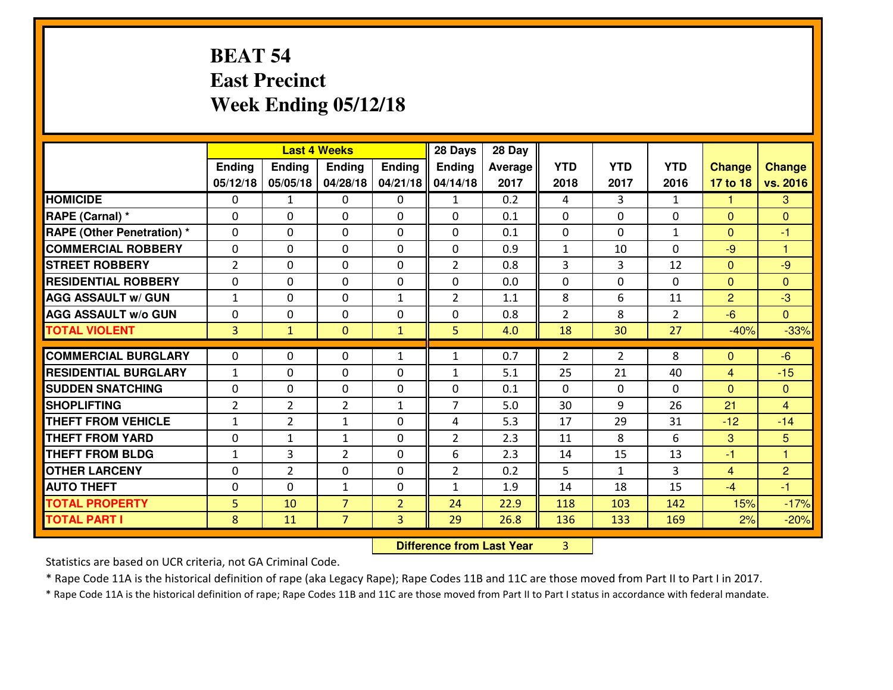# **BEAT 54 East PrecinctWeek Ending 05/12/18**

|                                              |                | <b>Last 4 Weeks</b> |                                  |                                  | 28 Days        | 28 Day       |                |                |                |                |                      |
|----------------------------------------------|----------------|---------------------|----------------------------------|----------------------------------|----------------|--------------|----------------|----------------|----------------|----------------|----------------------|
|                                              | Ending         | <b>Ending</b>       | <b>Ending</b>                    | Ending                           | Ending         | Average      | <b>YTD</b>     | <b>YTD</b>     | <b>YTD</b>     | <b>Change</b>  | <b>Change</b>        |
|                                              | 05/12/18       | 05/05/18            | 04/28/18                         | 04/21/18                         | 04/14/18       | 2017         | 2018           | 2017           | 2016           | 17 to 18       | vs. 2016             |
| <b>HOMICIDE</b>                              | $\Omega$       | $\mathbf{1}$        | 0                                | $\mathbf{0}$                     | $\mathbf{1}$   | 0.2          | 4              | 3              | $\mathbf{1}$   | 1.             | 3                    |
| RAPE (Carnal) *                              | $\Omega$       | 0                   | $\Omega$                         | $\Omega$                         | 0              | 0.1          | $\mathbf{0}$   | $\Omega$       | $\Omega$       | $\Omega$       | $\mathbf{0}$         |
| <b>RAPE (Other Penetration) *</b>            | $\mathbf{0}$   | 0                   | $\Omega$                         | $\Omega$                         | $\Omega$       | 0.1          | $\Omega$       | $\Omega$       | $\mathbf{1}$   | $\Omega$       | $-1$                 |
| <b>COMMERCIAL ROBBERY</b>                    | $\mathbf 0$    | 0                   | $\mathbf 0$                      | 0                                | 0              | 0.9          | $\mathbf{1}$   | 10             | $\Omega$       | $-9$           | $\blacktriangleleft$ |
| <b>STREET ROBBERY</b>                        | $\overline{2}$ | 0                   | $\Omega$                         | $\Omega$                         | $\overline{2}$ | 0.8          | 3              | 3              | 12             | $\mathbf{0}$   | $-9$                 |
| <b>RESIDENTIAL ROBBERY</b>                   | $\mathbf{0}$   | 0                   | $\mathbf 0$                      | 0                                | $\Omega$       | 0.0          | $\Omega$       | $\Omega$       | $\Omega$       | $\Omega$       | $\Omega$             |
| <b>AGG ASSAULT w/ GUN</b>                    | $\mathbf{1}$   | 0                   | $\Omega$                         | $\mathbf{1}$                     | $\overline{2}$ | 1.1          | 8              | 6              | 11             | $\overline{2}$ | $-3$                 |
| <b>AGG ASSAULT W/o GUN</b>                   | $\mathbf 0$    | 0                   | $\mathbf 0$                      | 0                                | 0              | 0.8          | $\overline{2}$ | 8              | $\overline{2}$ | $-6$           | $\overline{0}$       |
| <b>TOTAL VIOLENT</b>                         | 3 <sup>1</sup> | $\mathbf{1}$        | $\mathbf{0}$                     | $\mathbf{1}$                     | 5              | 4.0          | 18             | 30             | 27             | $-40%$         | $-33%$               |
| <b>COMMERCIAL BURGLARY</b>                   | $\mathbf 0$    | 0                   | $\mathbf{0}$                     | $\mathbf{1}$                     | 1              | 0.7          | $\overline{2}$ | $\overline{2}$ | 8              |                | $-6$                 |
|                                              |                |                     |                                  |                                  |                |              |                |                |                |                |                      |
|                                              |                |                     |                                  |                                  |                |              |                |                |                | $\mathbf{0}$   |                      |
| <b>RESIDENTIAL BURGLARY</b>                  | $\mathbf{1}$   | 0                   | $\mathbf{0}$                     | 0                                | $\mathbf{1}$   | 5.1          | 25             | 21             | 40             | 4              | $-15$                |
| <b>SUDDEN SNATCHING</b>                      | $\Omega$       | 0                   | $\Omega$                         | $\Omega$                         | 0              | 0.1          | $\Omega$       | $\Omega$       | $\Omega$       | $\Omega$       | $\Omega$             |
| <b>SHOPLIFTING</b>                           | $\overline{2}$ | $\overline{2}$      | $\overline{2}$                   | $\mathbf{1}$                     | $\overline{7}$ | 5.0          | 30             | 9              | 26             | 21             | $\overline{4}$       |
| <b>THEFT FROM VEHICLE</b>                    | $\mathbf{1}$   | $\overline{2}$      | 1                                | $\Omega$                         | 4              | 5.3          | 17             | 29             | 31             | $-12$          | $-14$                |
| <b>THEFT FROM YARD</b>                       | $\mathbf 0$    | 1                   | $\mathbf{1}$                     | 0                                | $\overline{2}$ | 2.3          | 11             | 8              | 6              | 3              | 5                    |
| <b>THEFT FROM BLDG</b>                       | $\mathbf{1}$   | 3                   | $\overline{2}$                   | 0                                | 6              | 2.3          | 14             | 15             | 13             | -1             | $\mathbf{1}$         |
| <b>OTHER LARCENY</b>                         | $\mathbf 0$    | $\overline{2}$      | $\mathbf 0$                      | 0                                | $\overline{2}$ | 0.2          | 5              | $\mathbf{1}$   | 3              | $\overline{4}$ | $\overline{2}$       |
| <b>AUTO THEFT</b>                            | $\mathbf{0}$   | 0                   | $\mathbf{1}$                     | 0                                | $\mathbf{1}$   | 1.9          | 14             | 18             | 15             | $-4$           | $-1$                 |
| <b>TOTAL PROPERTY</b><br><b>TOTAL PART I</b> | 5<br>8         | 10<br>11            | $\overline{7}$<br>$\overline{7}$ | $\overline{2}$<br>$\overline{3}$ | 24<br>29       | 22.9<br>26.8 | 118<br>136     | 103<br>133     | 142<br>169     | 15%<br>2%      | $-17%$<br>$-20%$     |

**Difference from Last Year** 3

Statistics are based on UCR criteria, not GA Criminal Code.

\* Rape Code 11A is the historical definition of rape (aka Legacy Rape); Rape Codes 11B and 11C are those moved from Part II to Part I in 2017.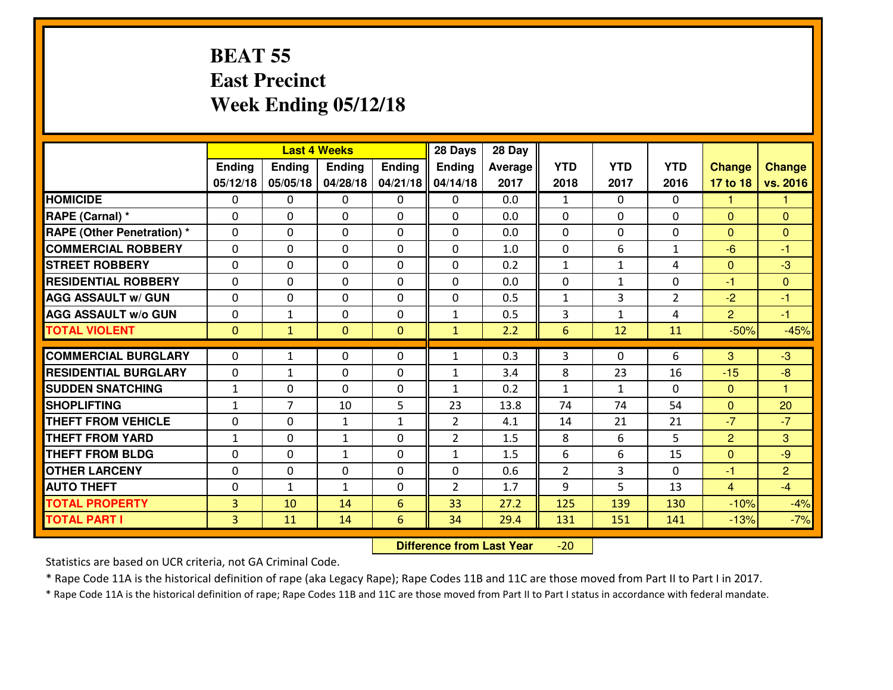## **BEAT 55 East PrecinctWeek Ending 05/12/18**

|                                   |                |                | <b>Last 4 Weeks</b> |               | 28 Days        | 28 Day  |                |                |                |                |                |
|-----------------------------------|----------------|----------------|---------------------|---------------|----------------|---------|----------------|----------------|----------------|----------------|----------------|
|                                   | <b>Ending</b>  | <b>Ending</b>  | <b>Endina</b>       | <b>Ending</b> | <b>Ending</b>  | Average | <b>YTD</b>     | <b>YTD</b>     | <b>YTD</b>     | <b>Change</b>  | <b>Change</b>  |
|                                   | 05/12/18       | 05/05/18       | 04/28/18            | 04/21/18      | 04/14/18       | 2017    | 2018           | 2017           | 2016           | 17 to 18       | vs. 2016       |
| <b>HOMICIDE</b>                   | $\Omega$       | 0              | 0                   | 0             | 0              | 0.0     | 1              | $\Omega$       | 0              | 1              | 1              |
| RAPE (Carnal) *                   | $\Omega$       | $\Omega$       | $\mathbf 0$         | $\Omega$      | $\Omega$       | 0.0     | $\Omega$       | $\Omega$       | $\Omega$       | $\mathbf{0}$   | $\Omega$       |
| <b>RAPE (Other Penetration) *</b> | 0              | 0              | $\mathbf 0$         | 0             | 0              | 0.0     | 0              | 0              | 0              | $\overline{0}$ | $\mathbf{0}$   |
| <b>COMMERCIAL ROBBERY</b>         | 0              | 0              | $\mathbf 0$         | 0             | 0              | 1.0     | 0              | 6              | $\mathbf{1}$   | $-6$           | $-1$           |
| <b>STREET ROBBERY</b>             | 0              | 0              | $\mathbf 0$         | 0             | 0              | 0.2     | $\mathbf 1$    | $\mathbf{1}$   | 4              | $\mathbf{0}$   | $-3$           |
| <b>RESIDENTIAL ROBBERY</b>        | 0              | 0              | $\mathbf 0$         | $\Omega$      | 0              | 0.0     | 0              | $\mathbf{1}$   | 0              | $-1$           | $\mathbf{0}$   |
| <b>AGG ASSAULT w/ GUN</b>         | 0              | 0              | $\mathbf 0$         | 0             | 0              | 0.5     | $\mathbf{1}$   | 3              | $\overline{2}$ | $-2$           | $-1$           |
| <b>AGG ASSAULT W/o GUN</b>        | 0              | 1              | $\mathbf 0$         | 0             | $\mathbf{1}$   | 0.5     | 3              | 1              | 4              | $\overline{2}$ | $-1$           |
| <b>TOTAL VIOLENT</b>              | $\mathbf{0}$   | $\mathbf{1}$   | $\mathbf{0}$        | $\mathbf{0}$  | $\mathbf{1}$   | 2.2     | 6              | 12             | 11             | $-50%$         | $-45%$         |
| <b>COMMERCIAL BURGLARY</b>        | $\Omega$       | $\mathbf{1}$   | 0                   | $\Omega$      | $\mathbf{1}$   | 0.3     | 3              | $\Omega$       | 6              | 3              | $-3$           |
| <b>RESIDENTIAL BURGLARY</b>       | 0              | 1              | $\mathbf 0$         | 0             | $\mathbf{1}$   | 3.4     | 8              | 23             | 16             | $-15$          | $-8$           |
| <b>SUDDEN SNATCHING</b>           | $\mathbf{1}$   | 0              | $\mathbf 0$         | 0             | $\mathbf{1}$   | 0.2     | $\mathbf{1}$   | $\mathbf{1}$   | $\Omega$       | $\Omega$       | $\overline{1}$ |
| <b>SHOPLIFTING</b>                | $\mathbf{1}$   | $\overline{7}$ | 10                  | 5             | 23             | 13.8    | 74             | 74             | 54             | $\Omega$       | 20             |
| <b>THEFT FROM VEHICLE</b>         | $\mathbf{0}$   | 0              | 1                   | $\mathbf{1}$  | $\overline{2}$ | 4.1     | 14             | 21             | 21             | $-7$           | $-7$           |
| <b>THEFT FROM YARD</b>            | $\mathbf{1}$   | 0              | 1                   | 0             | $\overline{2}$ | 1.5     | 8              | 6              | 5              | $\overline{2}$ | 3              |
| <b>THEFT FROM BLDG</b>            | 0              | 0              | $\mathbf{1}$        | $\Omega$      | $\mathbf{1}$   | 1.5     | 6              | 6              | 15             | $\mathbf{0}$   | $-9$           |
| <b>OTHER LARCENY</b>              | $\mathbf 0$    | 0              | $\mathbf 0$         | $\mathbf 0$   | 0              | 0.6     | $\overline{2}$ | $\overline{3}$ | 0              | $-1$           | $\overline{2}$ |
| <b>AUTO THEFT</b>                 | $\mathbf 0$    | $\mathbf{1}$   | $\mathbf{1}$        | $\Omega$      | $\overline{2}$ | 1.7     | 9              | 5              | 13             | $\overline{4}$ | $-4$           |
| <b>TOTAL PROPERTY</b>             | $\overline{3}$ | 10             | 14                  | 6             | 33             | 27.2    | 125            | 139            | 130            | $-10%$         | $-4%$          |
| <b>TOTAL PART I</b>               | $\overline{3}$ | 11             | 14                  | 6             | 34             | 29.4    | 131            | 151            | 141            | $-13%$         | $-7%$          |
|                                   |                |                |                     |               |                |         |                |                |                |                |                |

 **Difference from Last Year**-20

Statistics are based on UCR criteria, not GA Criminal Code.

\* Rape Code 11A is the historical definition of rape (aka Legacy Rape); Rape Codes 11B and 11C are those moved from Part II to Part I in 2017.